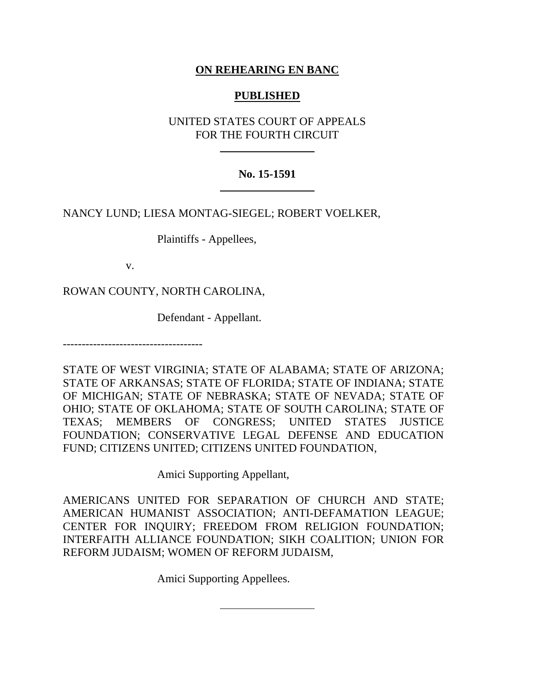# **ON REHEARING EN BANC**

## **PUBLISHED**

UNITED STATES COURT OF APPEALS FOR THE FOURTH CIRCUIT

# **No. 15-1591**

NANCY LUND; LIESA MONTAG-SIEGEL; ROBERT VOELKER,

Plaintiffs - Appellees,

v.

ROWAN COUNTY, NORTH CAROLINA,

Defendant - Appellant.

-------------------------------------

STATE OF WEST VIRGINIA; STATE OF ALABAMA; STATE OF ARIZONA; STATE OF ARKANSAS; STATE OF FLORIDA; STATE OF INDIANA; STATE OF MICHIGAN; STATE OF NEBRASKA; STATE OF NEVADA; STATE OF OHIO; STATE OF OKLAHOMA; STATE OF SOUTH CAROLINA; STATE OF TEXAS; MEMBERS OF CONGRESS; UNITED STATES JUSTICE FOUNDATION; CONSERVATIVE LEGAL DEFENSE AND EDUCATION FUND; CITIZENS UNITED; CITIZENS UNITED FOUNDATION,

Amici Supporting Appellant,

AMERICANS UNITED FOR SEPARATION OF CHURCH AND STATE; AMERICAN HUMANIST ASSOCIATION; ANTI-DEFAMATION LEAGUE; CENTER FOR INQUIRY; FREEDOM FROM RELIGION FOUNDATION; INTERFAITH ALLIANCE FOUNDATION; SIKH COALITION; UNION FOR REFORM JUDAISM; WOMEN OF REFORM JUDAISM,

Amici Supporting Appellees.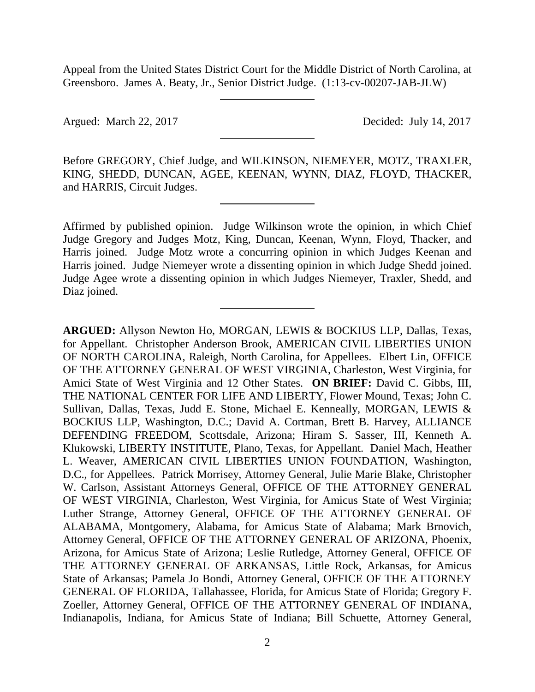Appeal from the United States District Court for the Middle District of North Carolina, at Greensboro. James A. Beaty, Jr., Senior District Judge. (1:13-cv-00207-JAB-JLW)

Argued: March 22, 2017 Decided: July 14, 2017

Before GREGORY, Chief Judge, and WILKINSON, NIEMEYER, MOTZ, TRAXLER, KING, SHEDD, DUNCAN, AGEE, KEENAN, WYNN, DIAZ, FLOYD, THACKER, and HARRIS, Circuit Judges.

Affirmed by published opinion. Judge Wilkinson wrote the opinion, in which Chief Judge Gregory and Judges Motz, King, Duncan, Keenan, Wynn, Floyd, Thacker, and Harris joined. Judge Motz wrote a concurring opinion in which Judges Keenan and Harris joined. Judge Niemeyer wrote a dissenting opinion in which Judge Shedd joined. Judge Agee wrote a dissenting opinion in which Judges Niemeyer, Traxler, Shedd, and Diaz joined.

**ARGUED:** Allyson Newton Ho, MORGAN, LEWIS & BOCKIUS LLP, Dallas, Texas, for Appellant. Christopher Anderson Brook, AMERICAN CIVIL LIBERTIES UNION OF NORTH CAROLINA, Raleigh, North Carolina, for Appellees. Elbert Lin, OFFICE OF THE ATTORNEY GENERAL OF WEST VIRGINIA, Charleston, West Virginia, for Amici State of West Virginia and 12 Other States. **ON BRIEF:** David C. Gibbs, III, THE NATIONAL CENTER FOR LIFE AND LIBERTY, Flower Mound, Texas; John C. Sullivan, Dallas, Texas, Judd E. Stone, Michael E. Kenneally, MORGAN, LEWIS & BOCKIUS LLP, Washington, D.C.; David A. Cortman, Brett B. Harvey, ALLIANCE DEFENDING FREEDOM, Scottsdale, Arizona; Hiram S. Sasser, III, Kenneth A. Klukowski, LIBERTY INSTITUTE, Plano, Texas, for Appellant. Daniel Mach, Heather L. Weaver, AMERICAN CIVIL LIBERTIES UNION FOUNDATION, Washington, D.C., for Appellees. Patrick Morrisey, Attorney General, Julie Marie Blake, Christopher W. Carlson, Assistant Attorneys General, OFFICE OF THE ATTORNEY GENERAL OF WEST VIRGINIA, Charleston, West Virginia, for Amicus State of West Virginia; Luther Strange, Attorney General, OFFICE OF THE ATTORNEY GENERAL OF ALABAMA, Montgomery, Alabama, for Amicus State of Alabama; Mark Brnovich, Attorney General, OFFICE OF THE ATTORNEY GENERAL OF ARIZONA, Phoenix, Arizona, for Amicus State of Arizona; Leslie Rutledge, Attorney General, OFFICE OF THE ATTORNEY GENERAL OF ARKANSAS, Little Rock, Arkansas, for Amicus State of Arkansas; Pamela Jo Bondi, Attorney General, OFFICE OF THE ATTORNEY GENERAL OF FLORIDA, Tallahassee, Florida, for Amicus State of Florida; Gregory F. Zoeller, Attorney General, OFFICE OF THE ATTORNEY GENERAL OF INDIANA, Indianapolis, Indiana, for Amicus State of Indiana; Bill Schuette, Attorney General,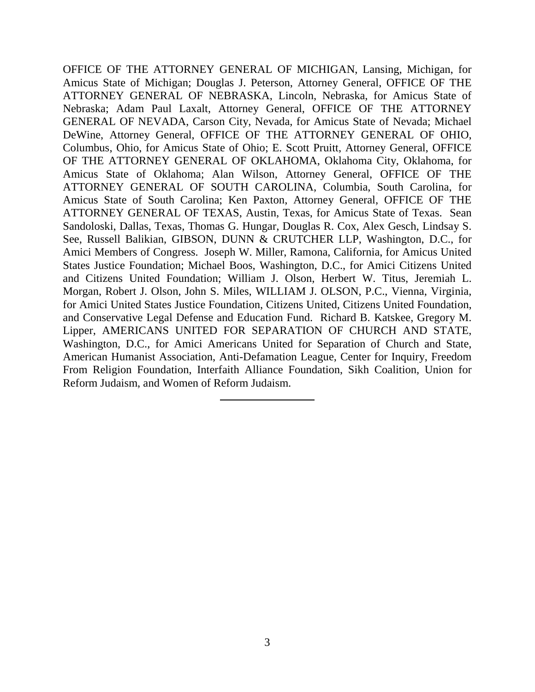OFFICE OF THE ATTORNEY GENERAL OF MICHIGAN, Lansing, Michigan, for Amicus State of Michigan; Douglas J. Peterson, Attorney General, OFFICE OF THE ATTORNEY GENERAL OF NEBRASKA, Lincoln, Nebraska, for Amicus State of Nebraska; Adam Paul Laxalt, Attorney General, OFFICE OF THE ATTORNEY GENERAL OF NEVADA, Carson City, Nevada, for Amicus State of Nevada; Michael DeWine, Attorney General, OFFICE OF THE ATTORNEY GENERAL OF OHIO, Columbus, Ohio, for Amicus State of Ohio; E. Scott Pruitt, Attorney General, OFFICE OF THE ATTORNEY GENERAL OF OKLAHOMA, Oklahoma City, Oklahoma, for Amicus State of Oklahoma; Alan Wilson, Attorney General, OFFICE OF THE ATTORNEY GENERAL OF SOUTH CAROLINA, Columbia, South Carolina, for Amicus State of South Carolina; Ken Paxton, Attorney General, OFFICE OF THE ATTORNEY GENERAL OF TEXAS, Austin, Texas, for Amicus State of Texas. Sean Sandoloski, Dallas, Texas, Thomas G. Hungar, Douglas R. Cox, Alex Gesch, Lindsay S. See, Russell Balikian, GIBSON, DUNN & CRUTCHER LLP, Washington, D.C., for Amici Members of Congress. Joseph W. Miller, Ramona, California, for Amicus United States Justice Foundation; Michael Boos, Washington, D.C., for Amici Citizens United and Citizens United Foundation; William J. Olson, Herbert W. Titus, Jeremiah L. Morgan, Robert J. Olson, John S. Miles, WILLIAM J. OLSON, P.C., Vienna, Virginia, for Amici United States Justice Foundation, Citizens United, Citizens United Foundation, and Conservative Legal Defense and Education Fund. Richard B. Katskee, Gregory M. Lipper, AMERICANS UNITED FOR SEPARATION OF CHURCH AND STATE, Washington, D.C., for Amici Americans United for Separation of Church and State, American Humanist Association, Anti-Defamation League, Center for Inquiry, Freedom From Religion Foundation, Interfaith Alliance Foundation, Sikh Coalition, Union for Reform Judaism, and Women of Reform Judaism.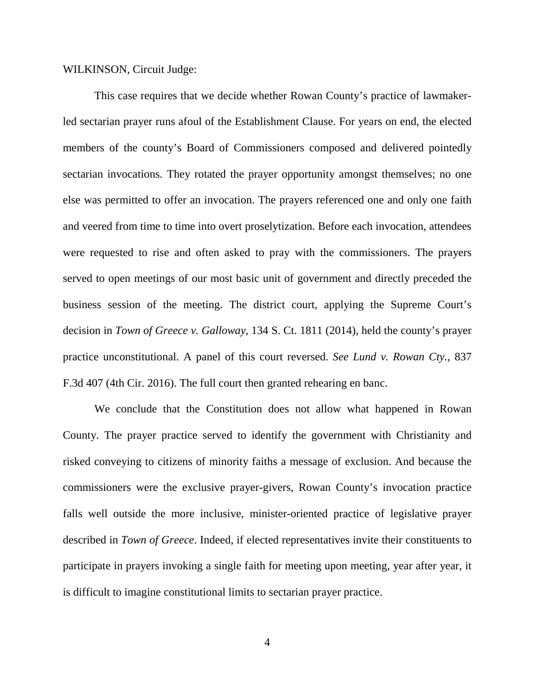WILKINSON, Circuit Judge:

This case requires that we decide whether Rowan County's practice of lawmakerled sectarian prayer runs afoul of the Establishment Clause. For years on end, the elected members of the county's Board of Commissioners composed and delivered pointedly sectarian invocations. They rotated the prayer opportunity amongst themselves; no one else was permitted to offer an invocation. The prayers referenced one and only one faith and veered from time to time into overt proselytization. Before each invocation, attendees were requested to rise and often asked to pray with the commissioners. The prayers served to open meetings of our most basic unit of government and directly preceded the business session of the meeting. The district court, applying the Supreme Court's decision in *Town of Greece v. Galloway*, 134 S. Ct. 1811 (2014), held the county's prayer practice unconstitutional. A panel of this court reversed. *See Lund v. Rowan Cty.*, 837 F.3d 407 (4th Cir. 2016). The full court then granted rehearing en banc.

We conclude that the Constitution does not allow what happened in Rowan County. The prayer practice served to identify the government with Christianity and risked conveying to citizens of minority faiths a message of exclusion. And because the commissioners were the exclusive prayer-givers, Rowan County's invocation practice falls well outside the more inclusive, minister-oriented practice of legislative prayer described in *Town of Greece*. Indeed, if elected representatives invite their constituents to participate in prayers invoking a single faith for meeting upon meeting, year after year, it is difficult to imagine constitutional limits to sectarian prayer practice.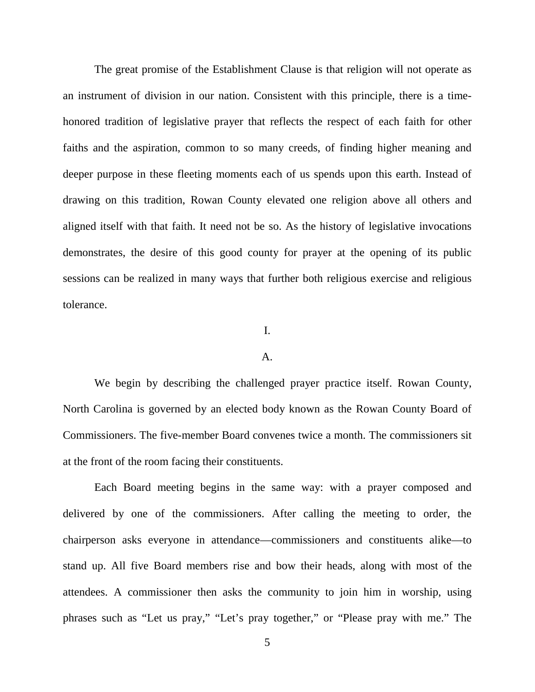The great promise of the Establishment Clause is that religion will not operate as an instrument of division in our nation. Consistent with this principle, there is a timehonored tradition of legislative prayer that reflects the respect of each faith for other faiths and the aspiration, common to so many creeds, of finding higher meaning and deeper purpose in these fleeting moments each of us spends upon this earth. Instead of drawing on this tradition, Rowan County elevated one religion above all others and aligned itself with that faith. It need not be so. As the history of legislative invocations demonstrates, the desire of this good county for prayer at the opening of its public sessions can be realized in many ways that further both religious exercise and religious tolerance.

## I.

#### A.

We begin by describing the challenged prayer practice itself. Rowan County, North Carolina is governed by an elected body known as the Rowan County Board of Commissioners. The five-member Board convenes twice a month. The commissioners sit at the front of the room facing their constituents.

Each Board meeting begins in the same way: with a prayer composed and delivered by one of the commissioners. After calling the meeting to order, the chairperson asks everyone in attendance—commissioners and constituents alike—to stand up. All five Board members rise and bow their heads, along with most of the attendees. A commissioner then asks the community to join him in worship, using phrases such as "Let us pray," "Let's pray together," or "Please pray with me." The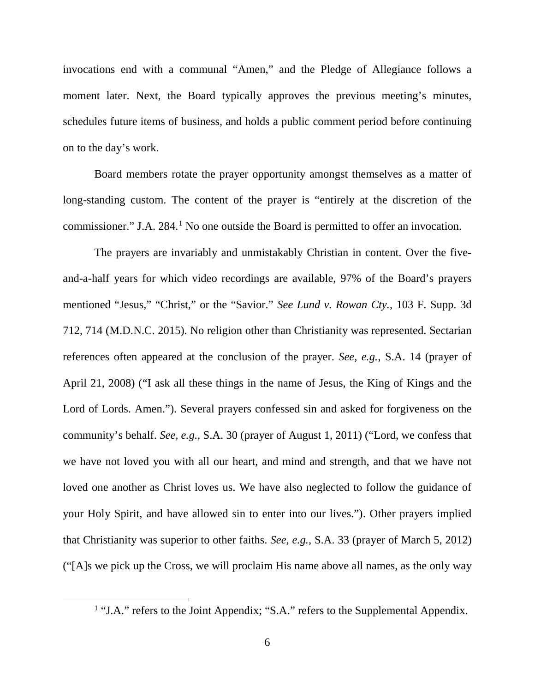invocations end with a communal "Amen," and the Pledge of Allegiance follows a moment later. Next, the Board typically approves the previous meeting's minutes, schedules future items of business, and holds a public comment period before continuing on to the day's work.

Board members rotate the prayer opportunity amongst themselves as a matter of long-standing custom. The content of the prayer is "entirely at the discretion of the commissioner." J.A. 284.<sup>[1](#page-5-0)</sup> No one outside the Board is permitted to offer an invocation.

The prayers are invariably and unmistakably Christian in content. Over the fiveand-a-half years for which video recordings are available, 97% of the Board's prayers mentioned "Jesus," "Christ," or the "Savior." *See Lund v. Rowan Cty.*, 103 F. Supp. 3d 712, 714 (M.D.N.C. 2015). No religion other than Christianity was represented. Sectarian references often appeared at the conclusion of the prayer. *See, e.g.*, S.A. 14 (prayer of April 21, 2008) ("I ask all these things in the name of Jesus, the King of Kings and the Lord of Lords. Amen."). Several prayers confessed sin and asked for forgiveness on the community's behalf. *See, e.g.*, S.A. 30 (prayer of August 1, 2011) ("Lord, we confess that we have not loved you with all our heart, and mind and strength, and that we have not loved one another as Christ loves us. We have also neglected to follow the guidance of your Holy Spirit, and have allowed sin to enter into our lives."). Other prayers implied that Christianity was superior to other faiths. *See, e.g.*, S.A. 33 (prayer of March 5, 2012) ("[A]s we pick up the Cross, we will proclaim His name above all names, as the only way

<span id="page-5-0"></span><sup>&</sup>lt;sup>1</sup> "J.A." refers to the Joint Appendix; "S.A." refers to the Supplemental Appendix.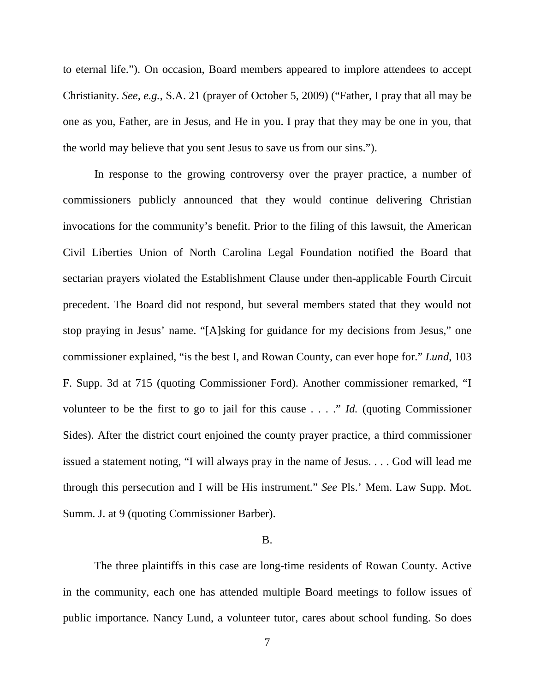to eternal life."). On occasion, Board members appeared to implore attendees to accept Christianity. *See, e.g.*, S.A. 21 (prayer of October 5, 2009) ("Father, I pray that all may be one as you, Father, are in Jesus, and He in you. I pray that they may be one in you, that the world may believe that you sent Jesus to save us from our sins.").

In response to the growing controversy over the prayer practice, a number of commissioners publicly announced that they would continue delivering Christian invocations for the community's benefit. Prior to the filing of this lawsuit, the American Civil Liberties Union of North Carolina Legal Foundation notified the Board that sectarian prayers violated the Establishment Clause under then-applicable Fourth Circuit precedent. The Board did not respond, but several members stated that they would not stop praying in Jesus' name. "[A]sking for guidance for my decisions from Jesus," one commissioner explained, "is the best I, and Rowan County, can ever hope for." *Lund*, 103 F. Supp. 3d at 715 (quoting Commissioner Ford). Another commissioner remarked, "I volunteer to be the first to go to jail for this cause . . . ." *Id.* (quoting Commissioner Sides). After the district court enjoined the county prayer practice, a third commissioner issued a statement noting, "I will always pray in the name of Jesus. . . . God will lead me through this persecution and I will be His instrument." *See* Pls.' Mem. Law Supp. Mot. Summ. J. at 9 (quoting Commissioner Barber).

## B.

The three plaintiffs in this case are long-time residents of Rowan County. Active in the community, each one has attended multiple Board meetings to follow issues of public importance. Nancy Lund, a volunteer tutor, cares about school funding. So does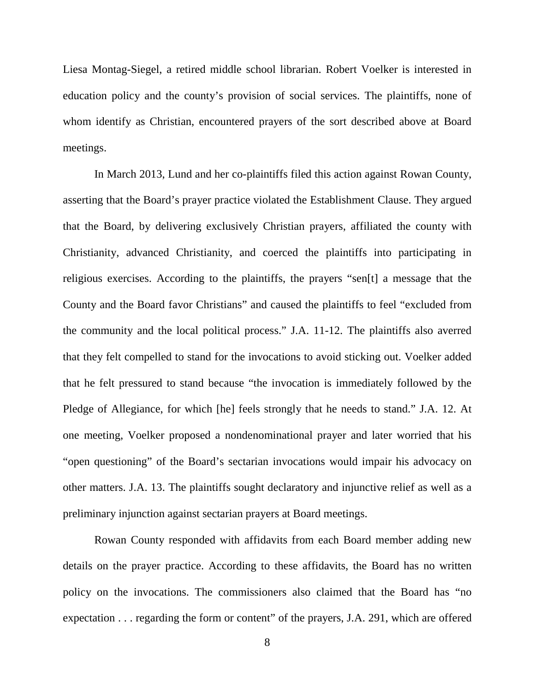Liesa Montag-Siegel, a retired middle school librarian. Robert Voelker is interested in education policy and the county's provision of social services. The plaintiffs, none of whom identify as Christian, encountered prayers of the sort described above at Board meetings.

In March 2013, Lund and her co-plaintiffs filed this action against Rowan County, asserting that the Board's prayer practice violated the Establishment Clause. They argued that the Board, by delivering exclusively Christian prayers, affiliated the county with Christianity, advanced Christianity, and coerced the plaintiffs into participating in religious exercises. According to the plaintiffs, the prayers "sen[t] a message that the County and the Board favor Christians" and caused the plaintiffs to feel "excluded from the community and the local political process." J.A. 11-12. The plaintiffs also averred that they felt compelled to stand for the invocations to avoid sticking out. Voelker added that he felt pressured to stand because "the invocation is immediately followed by the Pledge of Allegiance, for which [he] feels strongly that he needs to stand." J.A. 12. At one meeting, Voelker proposed a nondenominational prayer and later worried that his "open questioning" of the Board's sectarian invocations would impair his advocacy on other matters. J.A. 13. The plaintiffs sought declaratory and injunctive relief as well as a preliminary injunction against sectarian prayers at Board meetings.

Rowan County responded with affidavits from each Board member adding new details on the prayer practice. According to these affidavits, the Board has no written policy on the invocations. The commissioners also claimed that the Board has "no expectation . . . regarding the form or content" of the prayers, J.A. 291, which are offered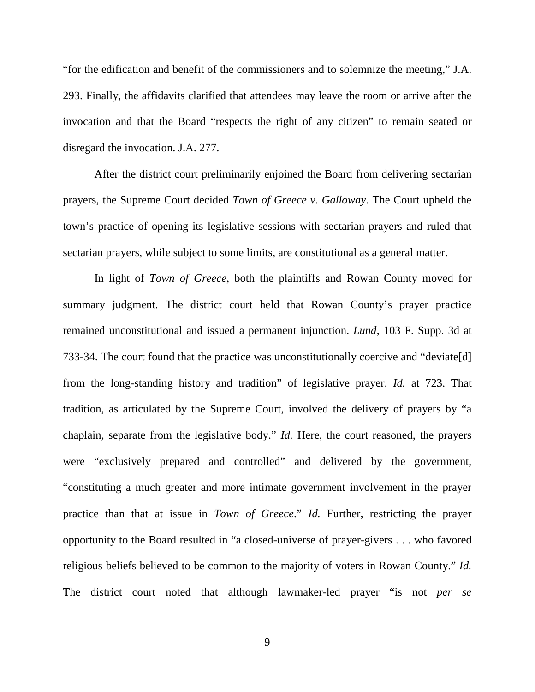"for the edification and benefit of the commissioners and to solemnize the meeting," J.A. 293. Finally, the affidavits clarified that attendees may leave the room or arrive after the invocation and that the Board "respects the right of any citizen" to remain seated or disregard the invocation. J.A. 277.

After the district court preliminarily enjoined the Board from delivering sectarian prayers, the Supreme Court decided *Town of Greece v. Galloway*. The Court upheld the town's practice of opening its legislative sessions with sectarian prayers and ruled that sectarian prayers, while subject to some limits, are constitutional as a general matter.

In light of *Town of Greece*, both the plaintiffs and Rowan County moved for summary judgment. The district court held that Rowan County's prayer practice remained unconstitutional and issued a permanent injunction. *Lund*, 103 F. Supp. 3d at 733-34. The court found that the practice was unconstitutionally coercive and "deviate[d] from the long-standing history and tradition" of legislative prayer. *Id.* at 723. That tradition, as articulated by the Supreme Court, involved the delivery of prayers by "a chaplain, separate from the legislative body." *Id.* Here, the court reasoned, the prayers were "exclusively prepared and controlled" and delivered by the government, "constituting a much greater and more intimate government involvement in the prayer practice than that at issue in *Town of Greece*." *Id.* Further, restricting the prayer opportunity to the Board resulted in "a closed-universe of prayer-givers . . . who favored religious beliefs believed to be common to the majority of voters in Rowan County." *Id.* The district court noted that although lawmaker-led prayer "is not *per se*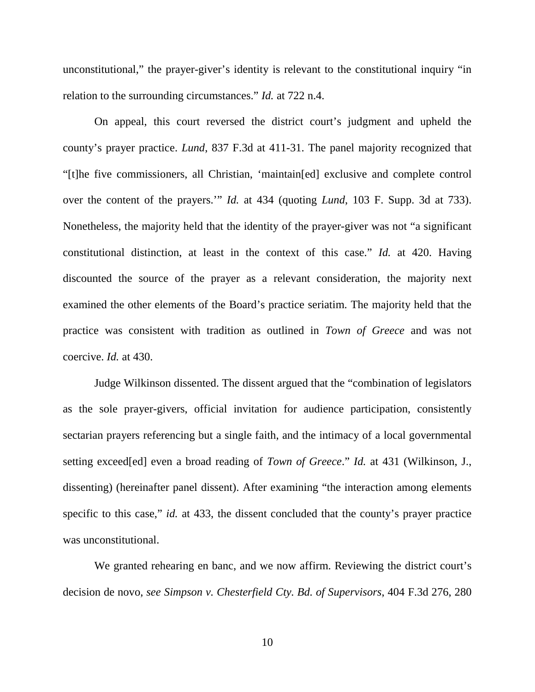unconstitutional," the prayer-giver's identity is relevant to the constitutional inquiry "in relation to the surrounding circumstances." *Id.* at 722 n.4.

On appeal, this court reversed the district court's judgment and upheld the county's prayer practice. *Lund*, 837 F.3d at 411-31. The panel majority recognized that "[t]he five commissioners, all Christian, 'maintain[ed] exclusive and complete control over the content of the prayers.'" *Id.* at 434 (quoting *Lund*, 103 F. Supp. 3d at 733). Nonetheless, the majority held that the identity of the prayer-giver was not "a significant constitutional distinction, at least in the context of this case." *Id.* at 420. Having discounted the source of the prayer as a relevant consideration, the majority next examined the other elements of the Board's practice seriatim. The majority held that the practice was consistent with tradition as outlined in *Town of Greece* and was not coercive. *Id.* at 430.

Judge Wilkinson dissented. The dissent argued that the "combination of legislators as the sole prayer-givers, official invitation for audience participation, consistently sectarian prayers referencing but a single faith, and the intimacy of a local governmental setting exceed[ed] even a broad reading of *Town of Greece*." *Id.* at 431 (Wilkinson, J., dissenting) (hereinafter panel dissent). After examining "the interaction among elements specific to this case," *id.* at 433, the dissent concluded that the county's prayer practice was unconstitutional.

We granted rehearing en banc, and we now affirm. Reviewing the district court's decision de novo, *see Simpson v. Chesterfield Cty. Bd. of Supervisors*, 404 F.3d 276, 280

10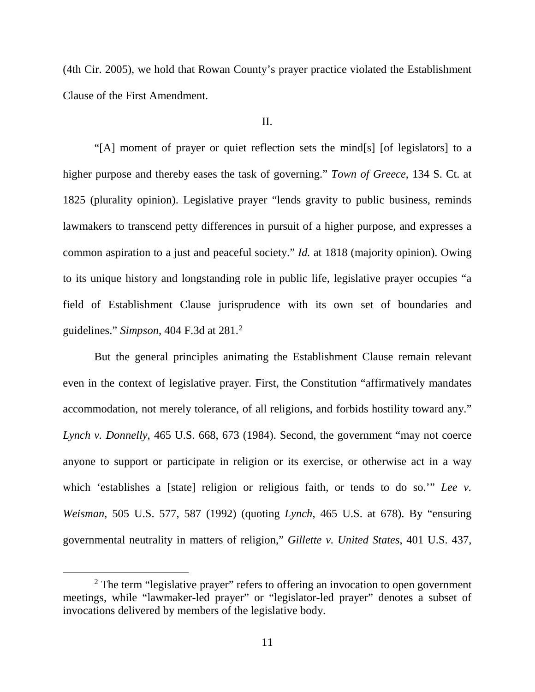(4th Cir. 2005), we hold that Rowan County's prayer practice violated the Establishment Clause of the First Amendment.

## II.

"[A] moment of prayer or quiet reflection sets the mind[s] [of legislators] to a higher purpose and thereby eases the task of governing." *Town of Greece*, 134 S. Ct. at 1825 (plurality opinion). Legislative prayer "lends gravity to public business, reminds lawmakers to transcend petty differences in pursuit of a higher purpose, and expresses a common aspiration to a just and peaceful society." *Id.* at 1818 (majority opinion). Owing to its unique history and longstanding role in public life, legislative prayer occupies "a field of Establishment Clause jurisprudence with its own set of boundaries and guidelines." *Simpson*, 404 F.3d at 281.[2](#page-10-0)

But the general principles animating the Establishment Clause remain relevant even in the context of legislative prayer. First, the Constitution "affirmatively mandates accommodation, not merely tolerance, of all religions, and forbids hostility toward any." *Lynch v. Donnelly*, 465 U.S. 668, 673 (1984). Second, the government "may not coerce anyone to support or participate in religion or its exercise, or otherwise act in a way which 'establishes a [state] religion or religious faith, or tends to do so." *Lee v. Weisman*, 505 U.S. 577, 587 (1992) (quoting *Lynch*, 465 U.S. at 678). By "ensuring governmental neutrality in matters of religion," *Gillette v. United States*, 401 U.S. 437,

<span id="page-10-0"></span> $2$ . The term "legislative prayer" refers to offering an invocation to open government meetings, while "lawmaker-led prayer" or "legislator-led prayer" denotes a subset of invocations delivered by members of the legislative body.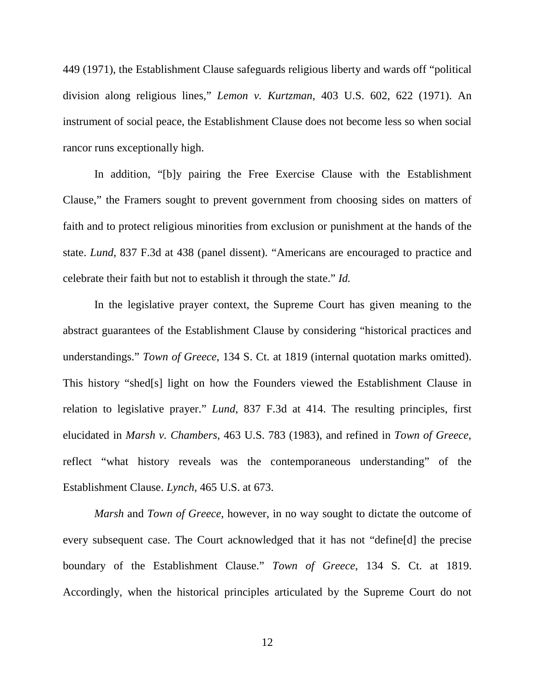449 (1971), the Establishment Clause safeguards religious liberty and wards off "political division along religious lines," *Lemon v. Kurtzman*, 403 U.S. 602, 622 (1971). An instrument of social peace, the Establishment Clause does not become less so when social rancor runs exceptionally high.

In addition, "[b]y pairing the Free Exercise Clause with the Establishment Clause," the Framers sought to prevent government from choosing sides on matters of faith and to protect religious minorities from exclusion or punishment at the hands of the state. *Lund*, 837 F.3d at 438 (panel dissent). "Americans are encouraged to practice and celebrate their faith but not to establish it through the state." *Id.*

In the legislative prayer context, the Supreme Court has given meaning to the abstract guarantees of the Establishment Clause by considering "historical practices and understandings." *Town of Greece*, 134 S. Ct. at 1819 (internal quotation marks omitted). This history "shed[s] light on how the Founders viewed the Establishment Clause in relation to legislative prayer." *Lund*, 837 F.3d at 414. The resulting principles, first elucidated in *Marsh v. Chambers*, 463 U.S. 783 (1983), and refined in *Town of Greece*, reflect "what history reveals was the contemporaneous understanding" of the Establishment Clause. *Lynch*, 465 U.S. at 673.

*Marsh* and *Town of Greece*, however, in no way sought to dictate the outcome of every subsequent case. The Court acknowledged that it has not "define[d] the precise boundary of the Establishment Clause." *Town of Greece*, 134 S. Ct. at 1819. Accordingly, when the historical principles articulated by the Supreme Court do not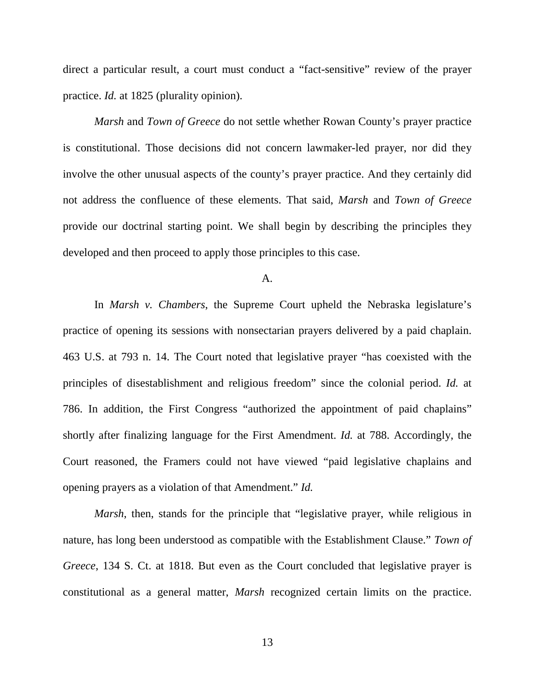direct a particular result, a court must conduct a "fact-sensitive" review of the prayer practice. *Id.* at 1825 (plurality opinion).

*Marsh* and *Town of Greece* do not settle whether Rowan County's prayer practice is constitutional. Those decisions did not concern lawmaker-led prayer, nor did they involve the other unusual aspects of the county's prayer practice. And they certainly did not address the confluence of these elements. That said, *Marsh* and *Town of Greece*  provide our doctrinal starting point. We shall begin by describing the principles they developed and then proceed to apply those principles to this case.

A.

In *Marsh v. Chambers*, the Supreme Court upheld the Nebraska legislature's practice of opening its sessions with nonsectarian prayers delivered by a paid chaplain. 463 U.S. at 793 n. 14. The Court noted that legislative prayer "has coexisted with the principles of disestablishment and religious freedom" since the colonial period. *Id.* at 786. In addition, the First Congress "authorized the appointment of paid chaplains" shortly after finalizing language for the First Amendment. *Id.* at 788. Accordingly, the Court reasoned, the Framers could not have viewed "paid legislative chaplains and opening prayers as a violation of that Amendment." *Id.*

*Marsh*, then, stands for the principle that "legislative prayer, while religious in nature, has long been understood as compatible with the Establishment Clause." *Town of Greece*, 134 S. Ct. at 1818. But even as the Court concluded that legislative prayer is constitutional as a general matter, *Marsh* recognized certain limits on the practice.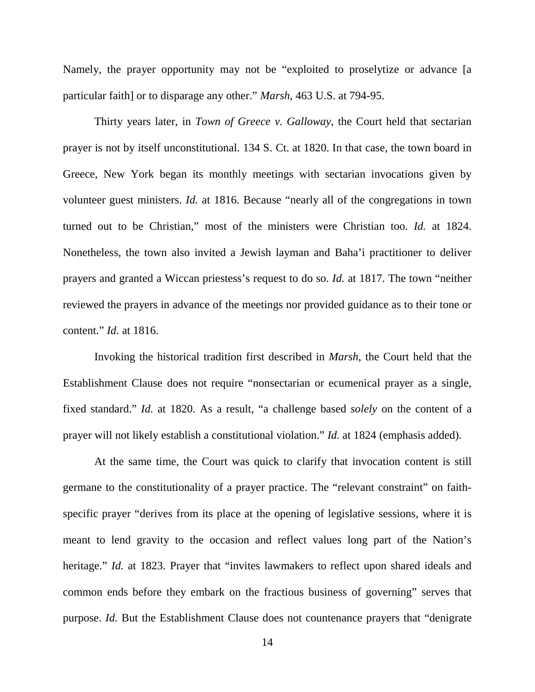Namely, the prayer opportunity may not be "exploited to proselytize or advance [a particular faith] or to disparage any other." *Marsh*, 463 U.S. at 794-95.

Thirty years later, in *Town of Greece v. Galloway*, the Court held that sectarian prayer is not by itself unconstitutional. 134 S. Ct. at 1820. In that case, the town board in Greece, New York began its monthly meetings with sectarian invocations given by volunteer guest ministers. *Id.* at 1816. Because "nearly all of the congregations in town turned out to be Christian," most of the ministers were Christian too. *Id.* at 1824. Nonetheless, the town also invited a Jewish layman and Baha'i practitioner to deliver prayers and granted a Wiccan priestess's request to do so. *Id.* at 1817. The town "neither reviewed the prayers in advance of the meetings nor provided guidance as to their tone or content." *Id.* at 1816.

Invoking the historical tradition first described in *Marsh*, the Court held that the Establishment Clause does not require "nonsectarian or ecumenical prayer as a single, fixed standard." *Id.* at 1820. As a result, "a challenge based *solely* on the content of a prayer will not likely establish a constitutional violation." *Id.* at 1824 (emphasis added).

At the same time, the Court was quick to clarify that invocation content is still germane to the constitutionality of a prayer practice. The "relevant constraint" on faithspecific prayer "derives from its place at the opening of legislative sessions, where it is meant to lend gravity to the occasion and reflect values long part of the Nation's heritage." *Id.* at 1823. Prayer that "invites lawmakers to reflect upon shared ideals and common ends before they embark on the fractious business of governing" serves that purpose. *Id.* But the Establishment Clause does not countenance prayers that "denigrate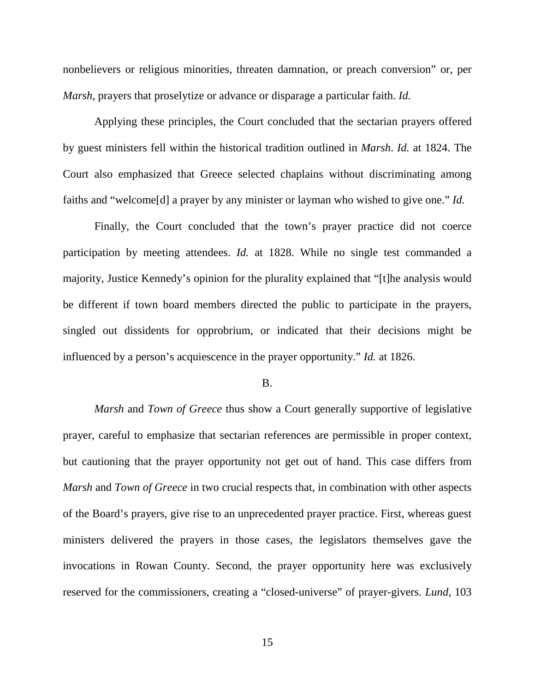nonbelievers or religious minorities, threaten damnation, or preach conversion" or, per *Marsh*, prayers that proselytize or advance or disparage a particular faith. *Id.*

Applying these principles, the Court concluded that the sectarian prayers offered by guest ministers fell within the historical tradition outlined in *Marsh*. *Id.* at 1824. The Court also emphasized that Greece selected chaplains without discriminating among faiths and "welcome[d] a prayer by any minister or layman who wished to give one." *Id.*

Finally, the Court concluded that the town's prayer practice did not coerce participation by meeting attendees. *Id.* at 1828. While no single test commanded a majority, Justice Kennedy's opinion for the plurality explained that "[t]he analysis would be different if town board members directed the public to participate in the prayers, singled out dissidents for opprobrium, or indicated that their decisions might be influenced by a person's acquiescence in the prayer opportunity." *Id.* at 1826.

### B.

*Marsh* and *Town of Greece* thus show a Court generally supportive of legislative prayer, careful to emphasize that sectarian references are permissible in proper context, but cautioning that the prayer opportunity not get out of hand. This case differs from *Marsh* and *Town of Greece* in two crucial respects that, in combination with other aspects of the Board's prayers, give rise to an unprecedented prayer practice. First, whereas guest ministers delivered the prayers in those cases, the legislators themselves gave the invocations in Rowan County. Second, the prayer opportunity here was exclusively reserved for the commissioners, creating a "closed-universe" of prayer-givers. *Lund*, 103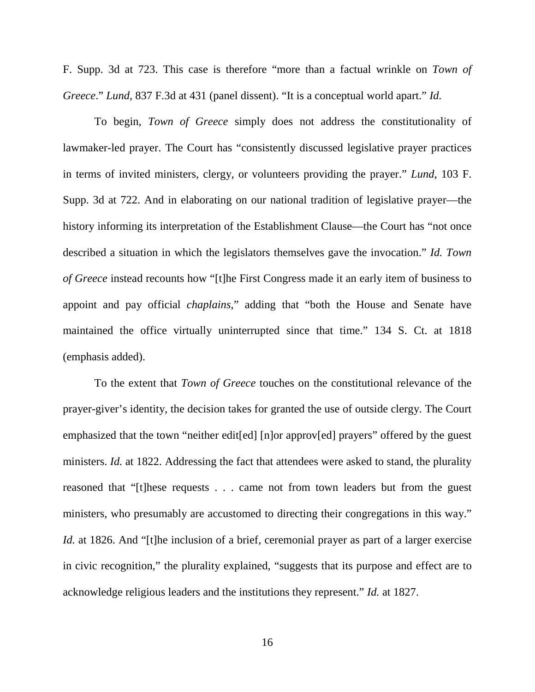F. Supp. 3d at 723. This case is therefore "more than a factual wrinkle on *Town of Greece*." *Lund*, 837 F.3d at 431 (panel dissent). "It is a conceptual world apart." *Id.*

To begin, *Town of Greece* simply does not address the constitutionality of lawmaker-led prayer. The Court has "consistently discussed legislative prayer practices in terms of invited ministers, clergy, or volunteers providing the prayer." *Lund*, 103 F. Supp. 3d at 722. And in elaborating on our national tradition of legislative prayer—the history informing its interpretation of the Establishment Clause—the Court has "not once described a situation in which the legislators themselves gave the invocation." *Id. Town of Greece* instead recounts how "[t]he First Congress made it an early item of business to appoint and pay official *chaplains*," adding that "both the House and Senate have maintained the office virtually uninterrupted since that time." 134 S. Ct. at 1818 (emphasis added).

To the extent that *Town of Greece* touches on the constitutional relevance of the prayer-giver's identity, the decision takes for granted the use of outside clergy. The Court emphasized that the town "neither edit[ed] [n]or approv[ed] prayers" offered by the guest ministers. *Id.* at 1822. Addressing the fact that attendees were asked to stand, the plurality reasoned that "[t]hese requests . . . came not from town leaders but from the guest ministers, who presumably are accustomed to directing their congregations in this way." *Id.* at 1826. And "[t]he inclusion of a brief, ceremonial prayer as part of a larger exercise in civic recognition," the plurality explained, "suggests that its purpose and effect are to acknowledge religious leaders and the institutions they represent." *Id.* at 1827.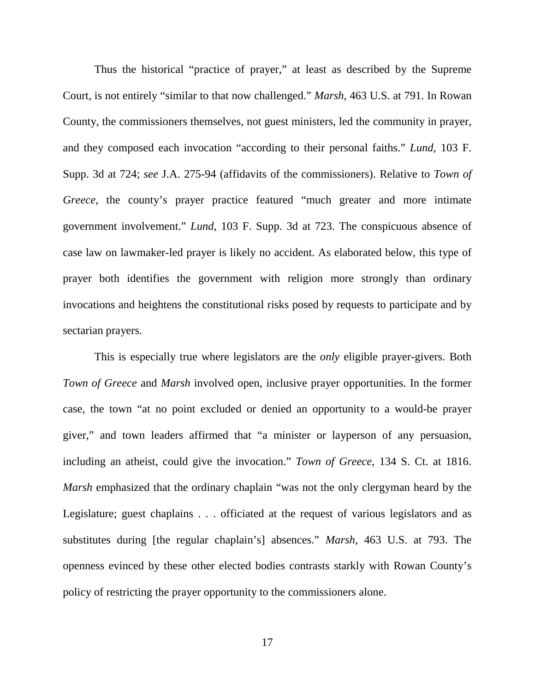Thus the historical "practice of prayer," at least as described by the Supreme Court, is not entirely "similar to that now challenged." *Marsh*, 463 U.S. at 791. In Rowan County, the commissioners themselves, not guest ministers, led the community in prayer, and they composed each invocation "according to their personal faiths." *Lund*, 103 F. Supp. 3d at 724; *see* J.A. 275-94 (affidavits of the commissioners). Relative to *Town of Greece*, the county's prayer practice featured "much greater and more intimate government involvement." *Lund*, 103 F. Supp. 3d at 723. The conspicuous absence of case law on lawmaker-led prayer is likely no accident. As elaborated below, this type of prayer both identifies the government with religion more strongly than ordinary invocations and heightens the constitutional risks posed by requests to participate and by sectarian prayers.

This is especially true where legislators are the *only* eligible prayer-givers. Both *Town of Greece* and *Marsh* involved open, inclusive prayer opportunities. In the former case, the town "at no point excluded or denied an opportunity to a would-be prayer giver," and town leaders affirmed that "a minister or layperson of any persuasion, including an atheist, could give the invocation." *Town of Greece*, 134 S. Ct. at 1816. *Marsh* emphasized that the ordinary chaplain "was not the only clergyman heard by the Legislature; guest chaplains . . . officiated at the request of various legislators and as substitutes during [the regular chaplain's] absences." *Marsh*, 463 U.S. at 793. The openness evinced by these other elected bodies contrasts starkly with Rowan County's policy of restricting the prayer opportunity to the commissioners alone.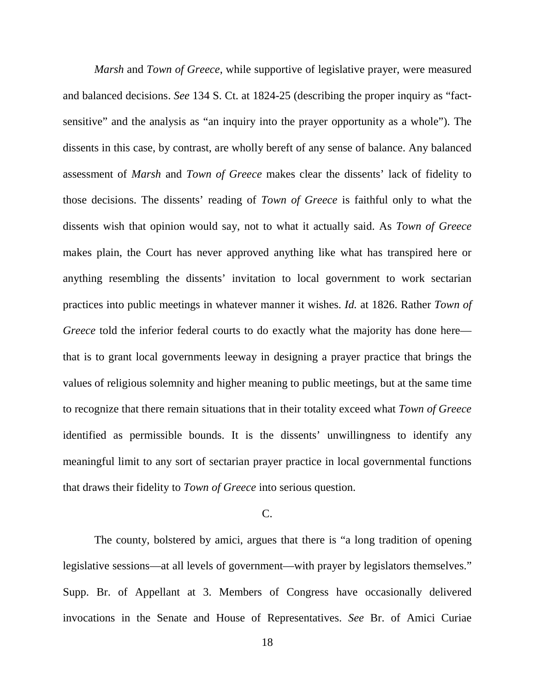*Marsh* and *Town of Greece*, while supportive of legislative prayer, were measured and balanced decisions. *See* 134 S. Ct. at 1824-25 (describing the proper inquiry as "factsensitive" and the analysis as "an inquiry into the prayer opportunity as a whole"). The dissents in this case, by contrast, are wholly bereft of any sense of balance. Any balanced assessment of *Marsh* and *Town of Greece* makes clear the dissents' lack of fidelity to those decisions. The dissents' reading of *Town of Greece* is faithful only to what the dissents wish that opinion would say, not to what it actually said. As *Town of Greece* makes plain, the Court has never approved anything like what has transpired here or anything resembling the dissents' invitation to local government to work sectarian practices into public meetings in whatever manner it wishes. *Id.* at 1826. Rather *Town of Greece* told the inferior federal courts to do exactly what the majority has done here that is to grant local governments leeway in designing a prayer practice that brings the values of religious solemnity and higher meaning to public meetings, but at the same time to recognize that there remain situations that in their totality exceed what *Town of Greece* identified as permissible bounds. It is the dissents' unwillingness to identify any meaningful limit to any sort of sectarian prayer practice in local governmental functions that draws their fidelity to *Town of Greece* into serious question.

## C.

The county, bolstered by amici, argues that there is "a long tradition of opening legislative sessions—at all levels of government—with prayer by legislators themselves." Supp. Br. of Appellant at 3. Members of Congress have occasionally delivered invocations in the Senate and House of Representatives. *See* Br. of Amici Curiae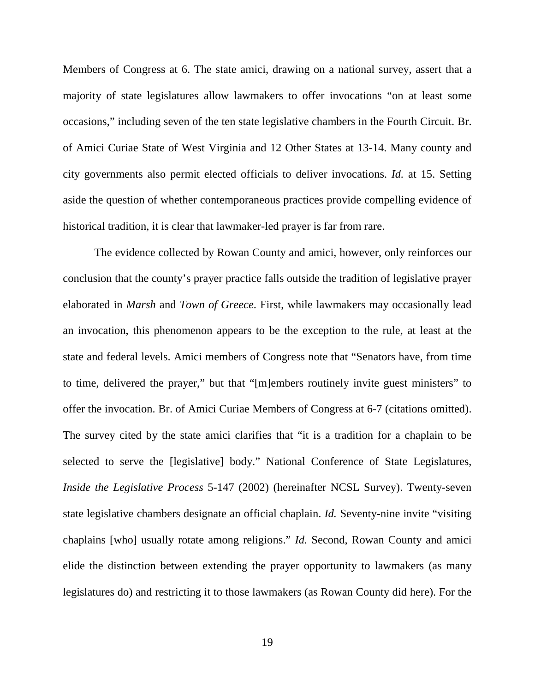Members of Congress at 6. The state amici, drawing on a national survey, assert that a majority of state legislatures allow lawmakers to offer invocations "on at least some occasions," including seven of the ten state legislative chambers in the Fourth Circuit. Br. of Amici Curiae State of West Virginia and 12 Other States at 13-14. Many county and city governments also permit elected officials to deliver invocations. *Id.* at 15. Setting aside the question of whether contemporaneous practices provide compelling evidence of historical tradition, it is clear that lawmaker-led prayer is far from rare.

The evidence collected by Rowan County and amici, however, only reinforces our conclusion that the county's prayer practice falls outside the tradition of legislative prayer elaborated in *Marsh* and *Town of Greece*. First, while lawmakers may occasionally lead an invocation, this phenomenon appears to be the exception to the rule, at least at the state and federal levels. Amici members of Congress note that "Senators have, from time to time, delivered the prayer," but that "[m]embers routinely invite guest ministers" to offer the invocation. Br. of Amici Curiae Members of Congress at 6-7 (citations omitted). The survey cited by the state amici clarifies that "it is a tradition for a chaplain to be selected to serve the [legislative] body." National Conference of State Legislatures, *Inside the Legislative Process* 5-147 (2002) (hereinafter NCSL Survey). Twenty-seven state legislative chambers designate an official chaplain. *Id.* Seventy-nine invite "visiting chaplains [who] usually rotate among religions." *Id.* Second, Rowan County and amici elide the distinction between extending the prayer opportunity to lawmakers (as many legislatures do) and restricting it to those lawmakers (as Rowan County did here). For the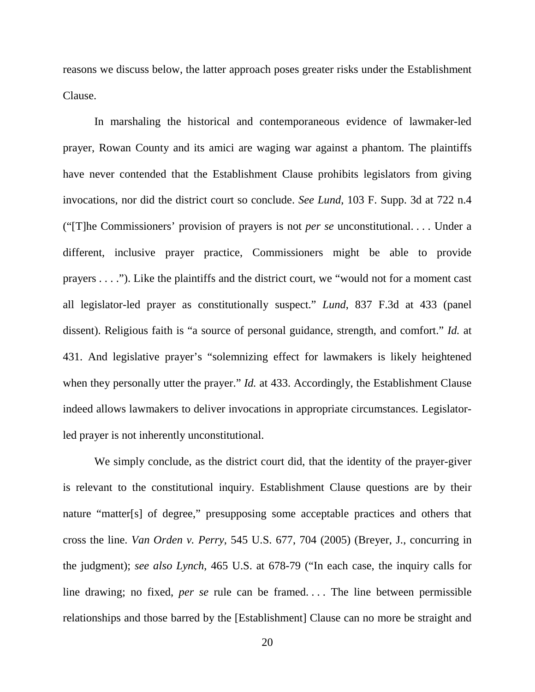reasons we discuss below, the latter approach poses greater risks under the Establishment Clause.

In marshaling the historical and contemporaneous evidence of lawmaker-led prayer, Rowan County and its amici are waging war against a phantom. The plaintiffs have never contended that the Establishment Clause prohibits legislators from giving invocations, nor did the district court so conclude. *See Lund*, 103 F. Supp. 3d at 722 n.4 ("[T]he Commissioners' provision of prayers is not *per se* unconstitutional. . . . Under a different, inclusive prayer practice, Commissioners might be able to provide prayers . . . ."). Like the plaintiffs and the district court, we "would not for a moment cast all legislator-led prayer as constitutionally suspect." *Lund*, 837 F.3d at 433 (panel dissent). Religious faith is "a source of personal guidance, strength, and comfort." *Id.* at 431. And legislative prayer's "solemnizing effect for lawmakers is likely heightened when they personally utter the prayer." *Id.* at 433. Accordingly, the Establishment Clause indeed allows lawmakers to deliver invocations in appropriate circumstances. Legislatorled prayer is not inherently unconstitutional.

We simply conclude, as the district court did, that the identity of the prayer-giver is relevant to the constitutional inquiry. Establishment Clause questions are by their nature "matter[s] of degree," presupposing some acceptable practices and others that cross the line. *Van Orden v. Perry*, 545 U.S. 677, 704 (2005) (Breyer, J., concurring in the judgment); *see also Lynch*, 465 U.S. at 678-79 ("In each case, the inquiry calls for line drawing; no fixed, *per se* rule can be framed. . . . The line between permissible relationships and those barred by the [Establishment] Clause can no more be straight and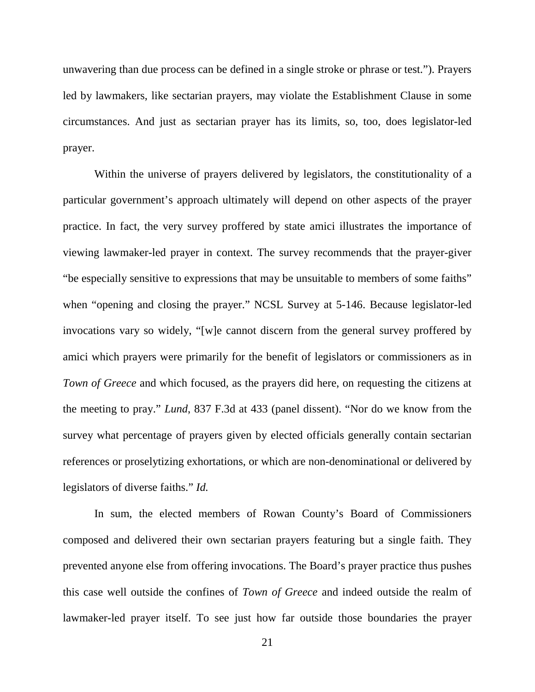unwavering than due process can be defined in a single stroke or phrase or test."). Prayers led by lawmakers, like sectarian prayers, may violate the Establishment Clause in some circumstances. And just as sectarian prayer has its limits, so, too, does legislator-led prayer.

Within the universe of prayers delivered by legislators, the constitutionality of a particular government's approach ultimately will depend on other aspects of the prayer practice. In fact, the very survey proffered by state amici illustrates the importance of viewing lawmaker-led prayer in context. The survey recommends that the prayer-giver "be especially sensitive to expressions that may be unsuitable to members of some faiths" when "opening and closing the prayer." NCSL Survey at 5-146. Because legislator-led invocations vary so widely, "[w]e cannot discern from the general survey proffered by amici which prayers were primarily for the benefit of legislators or commissioners as in *Town of Greece* and which focused, as the prayers did here, on requesting the citizens at the meeting to pray." *Lund*, 837 F.3d at 433 (panel dissent). "Nor do we know from the survey what percentage of prayers given by elected officials generally contain sectarian references or proselytizing exhortations, or which are non-denominational or delivered by legislators of diverse faiths." *Id.* 

In sum, the elected members of Rowan County's Board of Commissioners composed and delivered their own sectarian prayers featuring but a single faith. They prevented anyone else from offering invocations. The Board's prayer practice thus pushes this case well outside the confines of *Town of Greece* and indeed outside the realm of lawmaker-led prayer itself. To see just how far outside those boundaries the prayer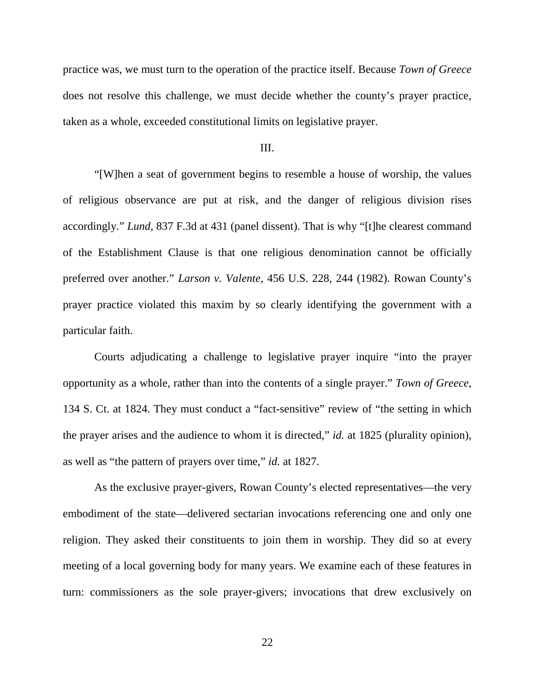practice was, we must turn to the operation of the practice itself. Because *Town of Greece*  does not resolve this challenge, we must decide whether the county's prayer practice, taken as a whole, exceeded constitutional limits on legislative prayer.

#### III.

"[W]hen a seat of government begins to resemble a house of worship, the values of religious observance are put at risk, and the danger of religious division rises accordingly." *Lund*, 837 F.3d at 431 (panel dissent). That is why "[t]he clearest command of the Establishment Clause is that one religious denomination cannot be officially preferred over another." *Larson v. Valente*, 456 U.S. 228, 244 (1982). Rowan County's prayer practice violated this maxim by so clearly identifying the government with a particular faith.

Courts adjudicating a challenge to legislative prayer inquire "into the prayer opportunity as a whole, rather than into the contents of a single prayer." *Town of Greece*, 134 S. Ct. at 1824. They must conduct a "fact-sensitive" review of "the setting in which the prayer arises and the audience to whom it is directed," *id.* at 1825 (plurality opinion), as well as "the pattern of prayers over time," *id.* at 1827.

As the exclusive prayer-givers, Rowan County's elected representatives—the very embodiment of the state—delivered sectarian invocations referencing one and only one religion. They asked their constituents to join them in worship. They did so at every meeting of a local governing body for many years. We examine each of these features in turn: commissioners as the sole prayer-givers; invocations that drew exclusively on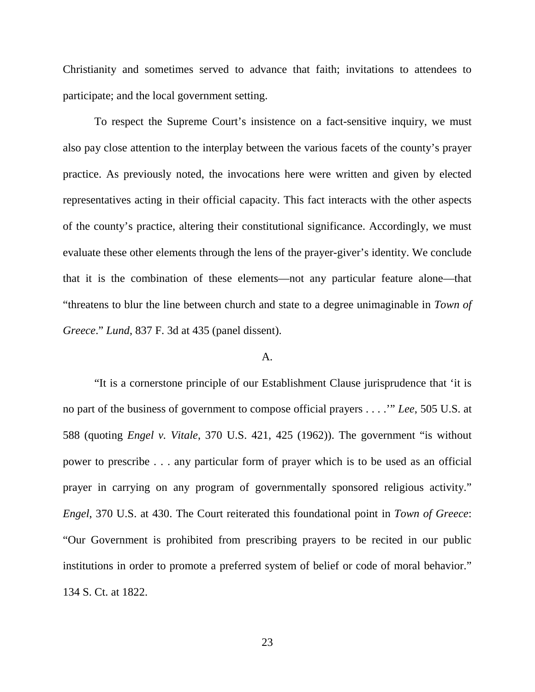Christianity and sometimes served to advance that faith; invitations to attendees to participate; and the local government setting.

To respect the Supreme Court's insistence on a fact-sensitive inquiry, we must also pay close attention to the interplay between the various facets of the county's prayer practice. As previously noted, the invocations here were written and given by elected representatives acting in their official capacity. This fact interacts with the other aspects of the county's practice, altering their constitutional significance. Accordingly, we must evaluate these other elements through the lens of the prayer-giver's identity. We conclude that it is the combination of these elements—not any particular feature alone—that "threatens to blur the line between church and state to a degree unimaginable in *Town of Greece*." *Lund*, 837 F. 3d at 435 (panel dissent).

### A.

"It is a cornerstone principle of our Establishment Clause jurisprudence that 'it is no part of the business of government to compose official prayers . . . .'" *Lee*, 505 U.S. at 588 (quoting *Engel v. Vitale*, 370 U.S. 421, 425 (1962)). The government "is without power to prescribe . . . any particular form of prayer which is to be used as an official prayer in carrying on any program of governmentally sponsored religious activity." *Engel*, 370 U.S. at 430. The Court reiterated this foundational point in *Town of Greece*: "Our Government is prohibited from prescribing prayers to be recited in our public institutions in order to promote a preferred system of belief or code of moral behavior." 134 S. Ct. at 1822.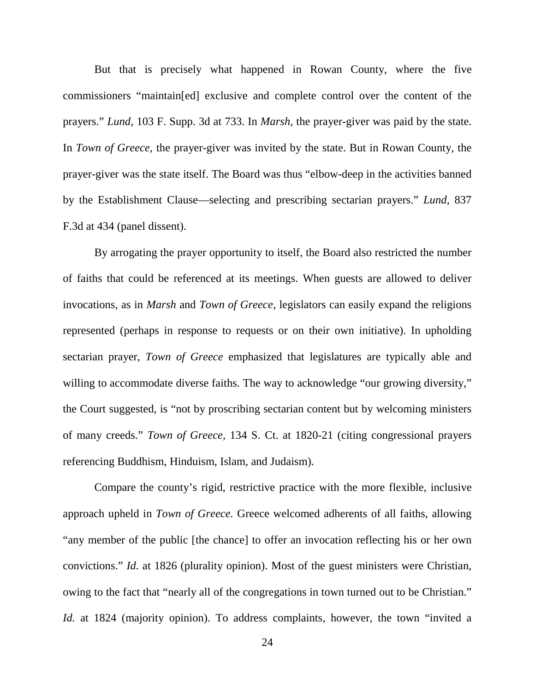But that is precisely what happened in Rowan County, where the five commissioners "maintain[ed] exclusive and complete control over the content of the prayers." *Lund*, 103 F. Supp. 3d at 733. In *Marsh*, the prayer-giver was paid by the state. In *Town of Greece*, the prayer-giver was invited by the state. But in Rowan County, the prayer-giver was the state itself. The Board was thus "elbow-deep in the activities banned by the Establishment Clause—selecting and prescribing sectarian prayers." *Lund*, 837 F.3d at 434 (panel dissent).

By arrogating the prayer opportunity to itself, the Board also restricted the number of faiths that could be referenced at its meetings. When guests are allowed to deliver invocations, as in *Marsh* and *Town of Greece*, legislators can easily expand the religions represented (perhaps in response to requests or on their own initiative). In upholding sectarian prayer, *Town of Greece* emphasized that legislatures are typically able and willing to accommodate diverse faiths. The way to acknowledge "our growing diversity," the Court suggested, is "not by proscribing sectarian content but by welcoming ministers of many creeds." *Town of Greece*, 134 S. Ct. at 1820-21 (citing congressional prayers referencing Buddhism, Hinduism, Islam, and Judaism).

Compare the county's rigid, restrictive practice with the more flexible, inclusive approach upheld in *Town of Greece.* Greece welcomed adherents of all faiths, allowing "any member of the public [the chance] to offer an invocation reflecting his or her own convictions." *Id.* at 1826 (plurality opinion). Most of the guest ministers were Christian, owing to the fact that "nearly all of the congregations in town turned out to be Christian." *Id.* at 1824 (majority opinion). To address complaints, however, the town "invited a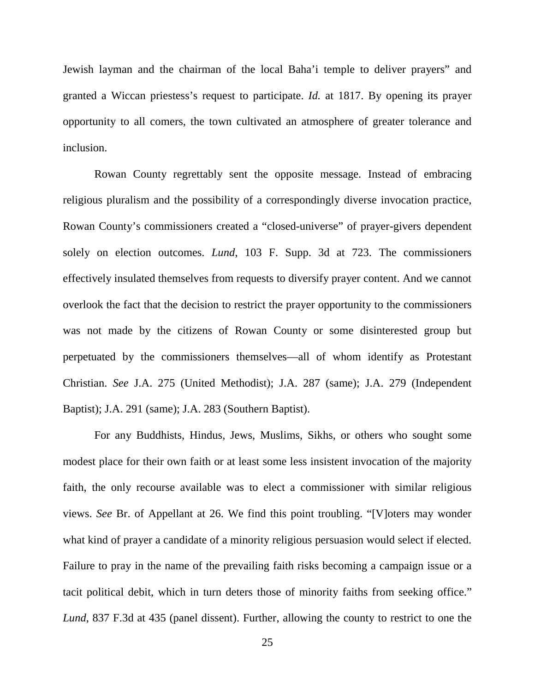Jewish layman and the chairman of the local Baha'i temple to deliver prayers" and granted a Wiccan priestess's request to participate. *Id.* at 1817. By opening its prayer opportunity to all comers, the town cultivated an atmosphere of greater tolerance and inclusion.

Rowan County regrettably sent the opposite message. Instead of embracing religious pluralism and the possibility of a correspondingly diverse invocation practice, Rowan County's commissioners created a "closed-universe" of prayer-givers dependent solely on election outcomes. *Lund*, 103 F. Supp. 3d at 723. The commissioners effectively insulated themselves from requests to diversify prayer content. And we cannot overlook the fact that the decision to restrict the prayer opportunity to the commissioners was not made by the citizens of Rowan County or some disinterested group but perpetuated by the commissioners themselves—all of whom identify as Protestant Christian. *See* J.A. 275 (United Methodist); J.A. 287 (same); J.A. 279 (Independent Baptist); J.A. 291 (same); J.A. 283 (Southern Baptist).

For any Buddhists, Hindus, Jews, Muslims, Sikhs, or others who sought some modest place for their own faith or at least some less insistent invocation of the majority faith, the only recourse available was to elect a commissioner with similar religious views. *See* Br. of Appellant at 26. We find this point troubling. "[V]oters may wonder what kind of prayer a candidate of a minority religious persuasion would select if elected. Failure to pray in the name of the prevailing faith risks becoming a campaign issue or a tacit political debit, which in turn deters those of minority faiths from seeking office." *Lund*, 837 F.3d at 435 (panel dissent). Further, allowing the county to restrict to one the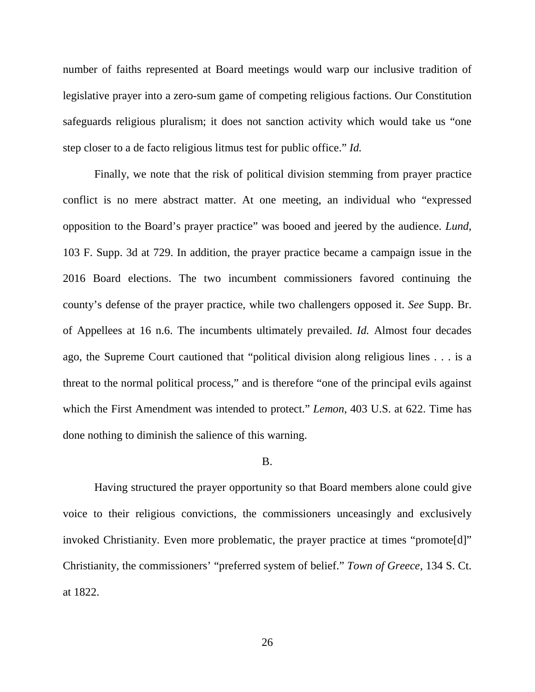number of faiths represented at Board meetings would warp our inclusive tradition of legislative prayer into a zero-sum game of competing religious factions. Our Constitution safeguards religious pluralism; it does not sanction activity which would take us "one step closer to a de facto religious litmus test for public office." *Id.*

Finally, we note that the risk of political division stemming from prayer practice conflict is no mere abstract matter. At one meeting, an individual who "expressed opposition to the Board's prayer practice" was booed and jeered by the audience. *Lund*, 103 F. Supp. 3d at 729. In addition, the prayer practice became a campaign issue in the 2016 Board elections. The two incumbent commissioners favored continuing the county's defense of the prayer practice, while two challengers opposed it. *See* Supp. Br. of Appellees at 16 n.6. The incumbents ultimately prevailed. *Id.* Almost four decades ago, the Supreme Court cautioned that "political division along religious lines . . . is a threat to the normal political process," and is therefore "one of the principal evils against which the First Amendment was intended to protect." *Lemon*, 403 U.S. at 622. Time has done nothing to diminish the salience of this warning.

### B.

Having structured the prayer opportunity so that Board members alone could give voice to their religious convictions, the commissioners unceasingly and exclusively invoked Christianity. Even more problematic, the prayer practice at times "promote[d]" Christianity, the commissioners' "preferred system of belief." *Town of Greece*, 134 S. Ct. at 1822.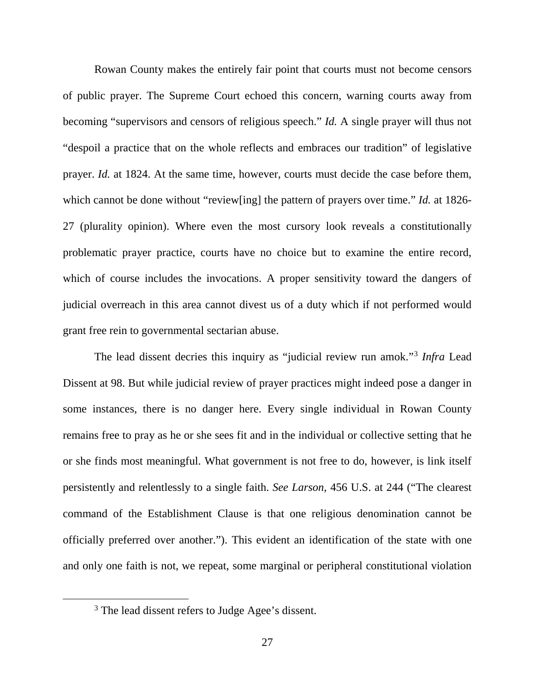Rowan County makes the entirely fair point that courts must not become censors of public prayer. The Supreme Court echoed this concern, warning courts away from becoming "supervisors and censors of religious speech." *Id.* A single prayer will thus not "despoil a practice that on the whole reflects and embraces our tradition" of legislative prayer. *Id.* at 1824. At the same time, however, courts must decide the case before them, which cannot be done without "review[ing] the pattern of prayers over time." *Id.* at 1826- 27 (plurality opinion). Where even the most cursory look reveals a constitutionally problematic prayer practice, courts have no choice but to examine the entire record, which of course includes the invocations. A proper sensitivity toward the dangers of judicial overreach in this area cannot divest us of a duty which if not performed would grant free rein to governmental sectarian abuse.

The lead dissent decries this inquiry as "judicial review run amok."[3](#page-26-0) *Infra* Lead Dissent at 98. But while judicial review of prayer practices might indeed pose a danger in some instances, there is no danger here. Every single individual in Rowan County remains free to pray as he or she sees fit and in the individual or collective setting that he or she finds most meaningful. What government is not free to do, however, is link itself persistently and relentlessly to a single faith. *See Larson*, 456 U.S. at 244 ("The clearest command of the Establishment Clause is that one religious denomination cannot be officially preferred over another."). This evident an identification of the state with one and only one faith is not, we repeat, some marginal or peripheral constitutional violation

<span id="page-26-0"></span><sup>&</sup>lt;sup>3</sup> The lead dissent refers to Judge Agee's dissent.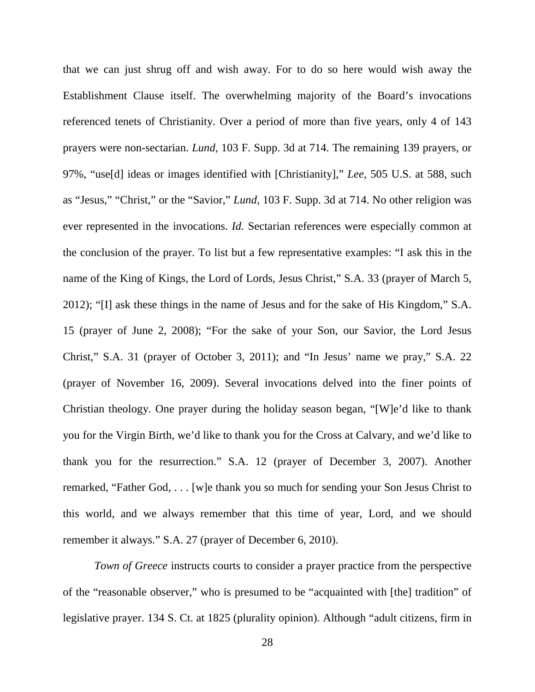that we can just shrug off and wish away. For to do so here would wish away the Establishment Clause itself. The overwhelming majority of the Board's invocations referenced tenets of Christianity. Over a period of more than five years, only 4 of 143 prayers were non-sectarian. *Lund*, 103 F. Supp. 3d at 714. The remaining 139 prayers, or 97%, "use[d] ideas or images identified with [Christianity]," *Lee*, 505 U.S. at 588, such as "Jesus," "Christ," or the "Savior," *Lund*, 103 F. Supp. 3d at 714. No other religion was ever represented in the invocations. *Id.* Sectarian references were especially common at the conclusion of the prayer. To list but a few representative examples: "I ask this in the name of the King of Kings, the Lord of Lords, Jesus Christ," S.A. 33 (prayer of March 5, 2012); "[I] ask these things in the name of Jesus and for the sake of His Kingdom," S.A. 15 (prayer of June 2, 2008); "For the sake of your Son, our Savior, the Lord Jesus Christ," S.A. 31 (prayer of October 3, 2011); and "In Jesus' name we pray," S.A. 22 (prayer of November 16, 2009). Several invocations delved into the finer points of Christian theology. One prayer during the holiday season began, "[W]e'd like to thank you for the Virgin Birth, we'd like to thank you for the Cross at Calvary, and we'd like to thank you for the resurrection." S.A. 12 (prayer of December 3, 2007). Another remarked, "Father God, . . . [w]e thank you so much for sending your Son Jesus Christ to this world, and we always remember that this time of year, Lord, and we should remember it always." S.A. 27 (prayer of December 6, 2010).

*Town of Greece* instructs courts to consider a prayer practice from the perspective of the "reasonable observer," who is presumed to be "acquainted with [the] tradition" of legislative prayer. 134 S. Ct. at 1825 (plurality opinion). Although "adult citizens, firm in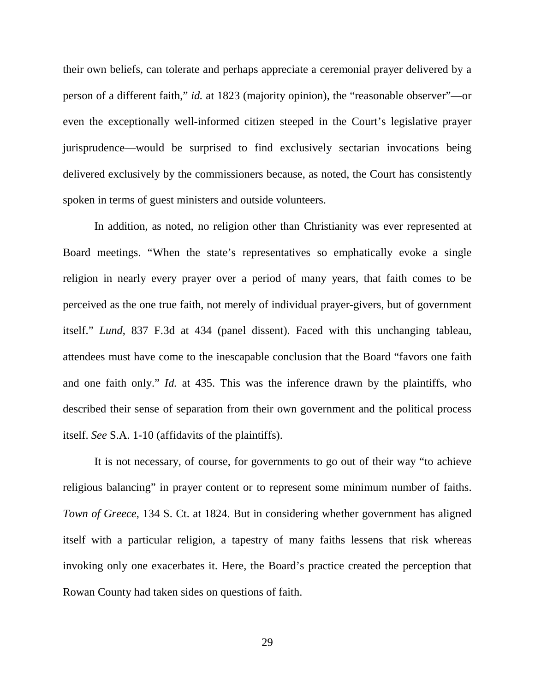their own beliefs, can tolerate and perhaps appreciate a ceremonial prayer delivered by a person of a different faith," *id.* at 1823 (majority opinion), the "reasonable observer"—or even the exceptionally well-informed citizen steeped in the Court's legislative prayer jurisprudence—would be surprised to find exclusively sectarian invocations being delivered exclusively by the commissioners because, as noted, the Court has consistently spoken in terms of guest ministers and outside volunteers.

In addition, as noted, no religion other than Christianity was ever represented at Board meetings. "When the state's representatives so emphatically evoke a single religion in nearly every prayer over a period of many years, that faith comes to be perceived as the one true faith, not merely of individual prayer-givers, but of government itself." *Lund*, 837 F.3d at 434 (panel dissent). Faced with this unchanging tableau, attendees must have come to the inescapable conclusion that the Board "favors one faith and one faith only." *Id.* at 435. This was the inference drawn by the plaintiffs, who described their sense of separation from their own government and the political process itself. *See* S.A. 1-10 (affidavits of the plaintiffs).

It is not necessary, of course, for governments to go out of their way "to achieve religious balancing" in prayer content or to represent some minimum number of faiths. *Town of Greece*, 134 S. Ct. at 1824. But in considering whether government has aligned itself with a particular religion, a tapestry of many faiths lessens that risk whereas invoking only one exacerbates it. Here, the Board's practice created the perception that Rowan County had taken sides on questions of faith.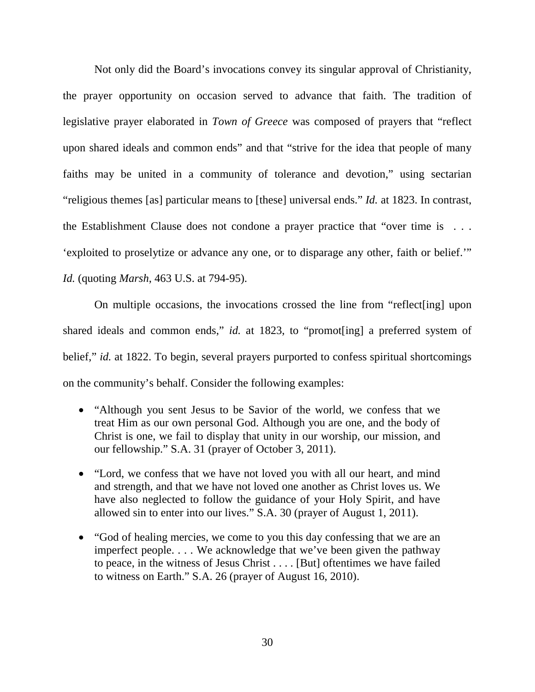Not only did the Board's invocations convey its singular approval of Christianity, the prayer opportunity on occasion served to advance that faith. The tradition of legislative prayer elaborated in *Town of Greece* was composed of prayers that "reflect upon shared ideals and common ends" and that "strive for the idea that people of many faiths may be united in a community of tolerance and devotion," using sectarian "religious themes [as] particular means to [these] universal ends." *Id.* at 1823. In contrast, the Establishment Clause does not condone a prayer practice that "over time is . . . 'exploited to proselytize or advance any one, or to disparage any other, faith or belief.'" *Id.* (quoting *Marsh*, 463 U.S. at 794-95).

On multiple occasions, the invocations crossed the line from "reflect[ing] upon shared ideals and common ends," *id.* at 1823, to "promot [ing] a preferred system of belief," *id.* at 1822. To begin, several prayers purported to confess spiritual shortcomings on the community's behalf. Consider the following examples:

- "Although you sent Jesus to be Savior of the world, we confess that we treat Him as our own personal God. Although you are one, and the body of Christ is one, we fail to display that unity in our worship, our mission, and our fellowship." S.A. 31 (prayer of October 3, 2011).
- "Lord, we confess that we have not loved you with all our heart, and mind and strength, and that we have not loved one another as Christ loves us. We have also neglected to follow the guidance of your Holy Spirit, and have allowed sin to enter into our lives." S.A. 30 (prayer of August 1, 2011).
- "God of healing mercies, we come to you this day confessing that we are an imperfect people. . . . We acknowledge that we've been given the pathway to peace, in the witness of Jesus Christ . . . . [But] oftentimes we have failed to witness on Earth." S.A. 26 (prayer of August 16, 2010).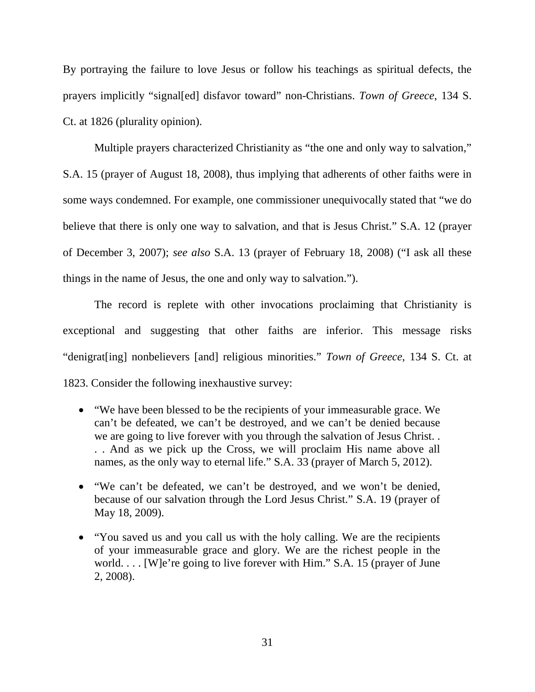By portraying the failure to love Jesus or follow his teachings as spiritual defects, the prayers implicitly "signal[ed] disfavor toward" non-Christians. *Town of Greece*, 134 S. Ct. at 1826 (plurality opinion).

Multiple prayers characterized Christianity as "the one and only way to salvation,"

S.A. 15 (prayer of August 18, 2008), thus implying that adherents of other faiths were in some ways condemned. For example, one commissioner unequivocally stated that "we do believe that there is only one way to salvation, and that is Jesus Christ." S.A. 12 (prayer of December 3, 2007); *see also* S.A. 13 (prayer of February 18, 2008) ("I ask all these things in the name of Jesus, the one and only way to salvation.").

The record is replete with other invocations proclaiming that Christianity is exceptional and suggesting that other faiths are inferior. This message risks "denigrat[ing] nonbelievers [and] religious minorities." *Town of Greece*, 134 S. Ct. at 1823. Consider the following inexhaustive survey:

- "We have been blessed to be the recipients of your immeasurable grace. We can't be defeated, we can't be destroyed, and we can't be denied because we are going to live forever with you through the salvation of Jesus Christ. . . . And as we pick up the Cross, we will proclaim His name above all names, as the only way to eternal life." S.A. 33 (prayer of March 5, 2012).
- "We can't be defeated, we can't be destroyed, and we won't be denied, because of our salvation through the Lord Jesus Christ." S.A. 19 (prayer of May 18, 2009).
- "You saved us and you call us with the holy calling. We are the recipients of your immeasurable grace and glory. We are the richest people in the world. . . . [W]e're going to live forever with Him." S.A. 15 (prayer of June 2, 2008).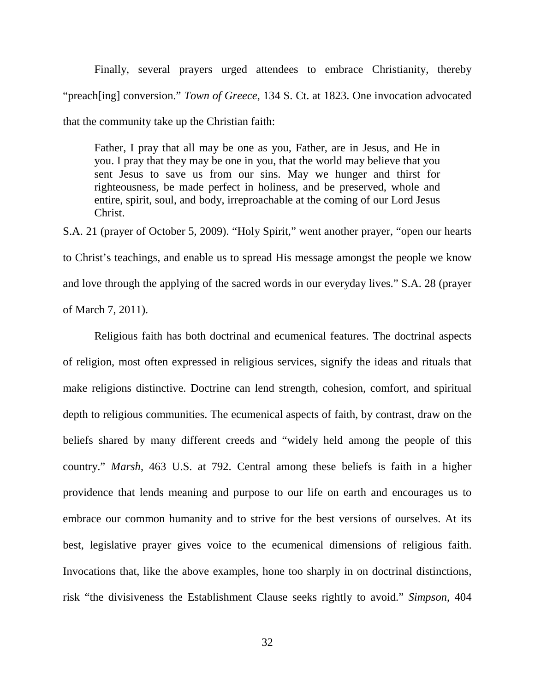Finally, several prayers urged attendees to embrace Christianity, thereby "preach[ing] conversion." *Town of Greece*, 134 S. Ct. at 1823. One invocation advocated that the community take up the Christian faith:

Father, I pray that all may be one as you, Father, are in Jesus, and He in you. I pray that they may be one in you, that the world may believe that you sent Jesus to save us from our sins. May we hunger and thirst for righteousness, be made perfect in holiness, and be preserved, whole and entire, spirit, soul, and body, irreproachable at the coming of our Lord Jesus Christ.

S.A. 21 (prayer of October 5, 2009). "Holy Spirit," went another prayer, "open our hearts to Christ's teachings, and enable us to spread His message amongst the people we know and love through the applying of the sacred words in our everyday lives." S.A. 28 (prayer of March 7, 2011).

Religious faith has both doctrinal and ecumenical features. The doctrinal aspects of religion, most often expressed in religious services, signify the ideas and rituals that make religions distinctive. Doctrine can lend strength, cohesion, comfort, and spiritual depth to religious communities. The ecumenical aspects of faith, by contrast, draw on the beliefs shared by many different creeds and "widely held among the people of this country." *Marsh*, 463 U.S. at 792. Central among these beliefs is faith in a higher providence that lends meaning and purpose to our life on earth and encourages us to embrace our common humanity and to strive for the best versions of ourselves. At its best, legislative prayer gives voice to the ecumenical dimensions of religious faith. Invocations that, like the above examples, hone too sharply in on doctrinal distinctions, risk "the divisiveness the Establishment Clause seeks rightly to avoid." *Simpson*, 404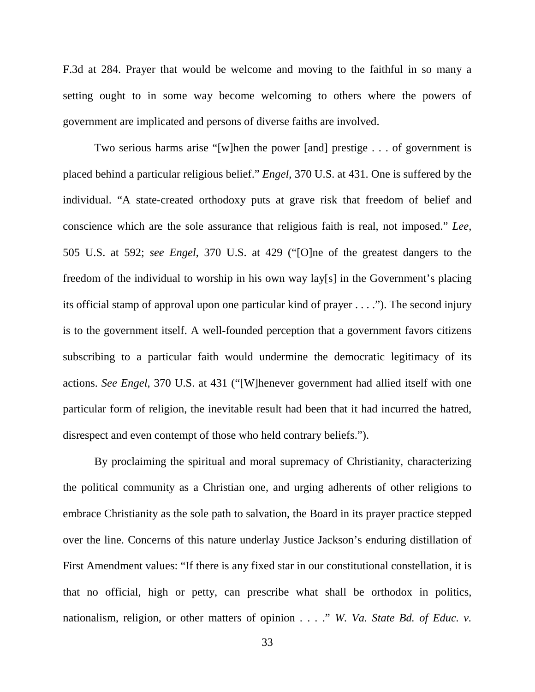F.3d at 284. Prayer that would be welcome and moving to the faithful in so many a setting ought to in some way become welcoming to others where the powers of government are implicated and persons of diverse faiths are involved.

Two serious harms arise "[w]hen the power [and] prestige . . . of government is placed behind a particular religious belief." *Engel*, 370 U.S. at 431. One is suffered by the individual. "A state-created orthodoxy puts at grave risk that freedom of belief and conscience which are the sole assurance that religious faith is real, not imposed." *Lee*, 505 U.S. at 592; *see Engel*, 370 U.S. at 429 ("[O]ne of the greatest dangers to the freedom of the individual to worship in his own way lay[s] in the Government's placing its official stamp of approval upon one particular kind of prayer . . . ."). The second injury is to the government itself. A well-founded perception that a government favors citizens subscribing to a particular faith would undermine the democratic legitimacy of its actions. *See Engel*, 370 U.S. at 431 ("[W]henever government had allied itself with one particular form of religion, the inevitable result had been that it had incurred the hatred, disrespect and even contempt of those who held contrary beliefs.").

By proclaiming the spiritual and moral supremacy of Christianity, characterizing the political community as a Christian one, and urging adherents of other religions to embrace Christianity as the sole path to salvation, the Board in its prayer practice stepped over the line. Concerns of this nature underlay Justice Jackson's enduring distillation of First Amendment values: "If there is any fixed star in our constitutional constellation, it is that no official, high or petty, can prescribe what shall be orthodox in politics, nationalism, religion, or other matters of opinion . . . ." *W. Va. State Bd. of Educ. v.*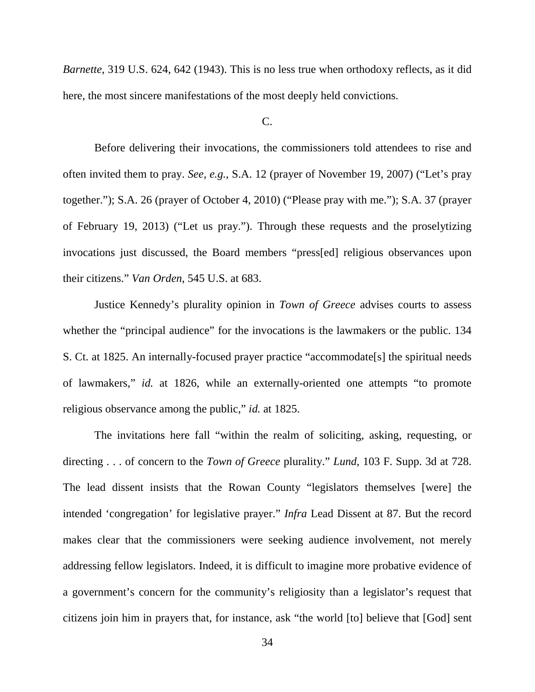*Barnette*, 319 U.S. 624, 642 (1943). This is no less true when orthodoxy reflects, as it did here, the most sincere manifestations of the most deeply held convictions.

## $C_{\cdot}$

Before delivering their invocations, the commissioners told attendees to rise and often invited them to pray. *See, e.g.*, S.A. 12 (prayer of November 19, 2007) ("Let's pray together."); S.A. 26 (prayer of October 4, 2010) ("Please pray with me."); S.A. 37 (prayer of February 19, 2013) ("Let us pray."). Through these requests and the proselytizing invocations just discussed, the Board members "press[ed] religious observances upon their citizens." *Van Orden*, 545 U.S. at 683.

Justice Kennedy's plurality opinion in *Town of Greece* advises courts to assess whether the "principal audience" for the invocations is the lawmakers or the public. 134 S. Ct. at 1825. An internally-focused prayer practice "accommodate[s] the spiritual needs of lawmakers," *id.* at 1826, while an externally-oriented one attempts "to promote religious observance among the public," *id.* at 1825.

The invitations here fall "within the realm of soliciting, asking, requesting, or directing . . . of concern to the *Town of Greece* plurality." *Lund*, 103 F. Supp. 3d at 728. The lead dissent insists that the Rowan County "legislators themselves [were] the intended 'congregation' for legislative prayer." *Infra* Lead Dissent at 87. But the record makes clear that the commissioners were seeking audience involvement, not merely addressing fellow legislators. Indeed, it is difficult to imagine more probative evidence of a government's concern for the community's religiosity than a legislator's request that citizens join him in prayers that, for instance, ask "the world [to] believe that [God] sent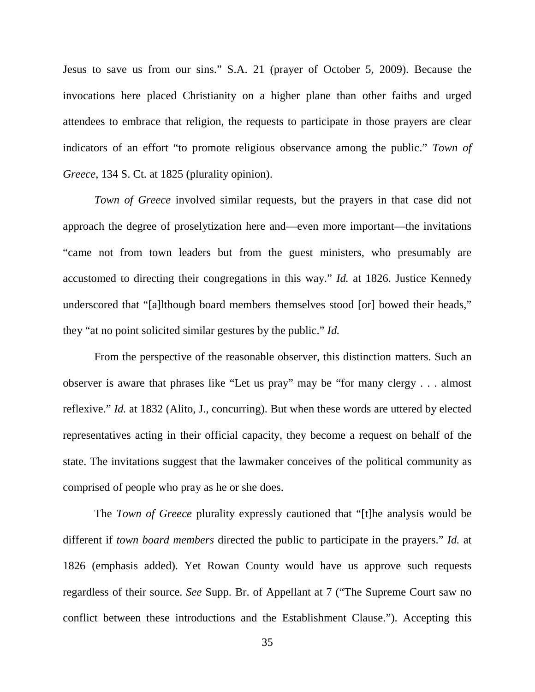Jesus to save us from our sins." S.A. 21 (prayer of October 5, 2009). Because the invocations here placed Christianity on a higher plane than other faiths and urged attendees to embrace that religion, the requests to participate in those prayers are clear indicators of an effort "to promote religious observance among the public." *Town of Greece*, 134 S. Ct. at 1825 (plurality opinion).

*Town of Greece* involved similar requests, but the prayers in that case did not approach the degree of proselytization here and—even more important—the invitations "came not from town leaders but from the guest ministers, who presumably are accustomed to directing their congregations in this way." *Id.* at 1826. Justice Kennedy underscored that "[a]lthough board members themselves stood [or] bowed their heads," they "at no point solicited similar gestures by the public." *Id.*

From the perspective of the reasonable observer, this distinction matters. Such an observer is aware that phrases like "Let us pray" may be "for many clergy . . . almost reflexive." *Id.* at 1832 (Alito, J., concurring). But when these words are uttered by elected representatives acting in their official capacity, they become a request on behalf of the state. The invitations suggest that the lawmaker conceives of the political community as comprised of people who pray as he or she does.

The *Town of Greece* plurality expressly cautioned that "[t]he analysis would be different if *town board members* directed the public to participate in the prayers." *Id.* at 1826 (emphasis added). Yet Rowan County would have us approve such requests regardless of their source. *See* Supp. Br. of Appellant at 7 ("The Supreme Court saw no conflict between these introductions and the Establishment Clause."). Accepting this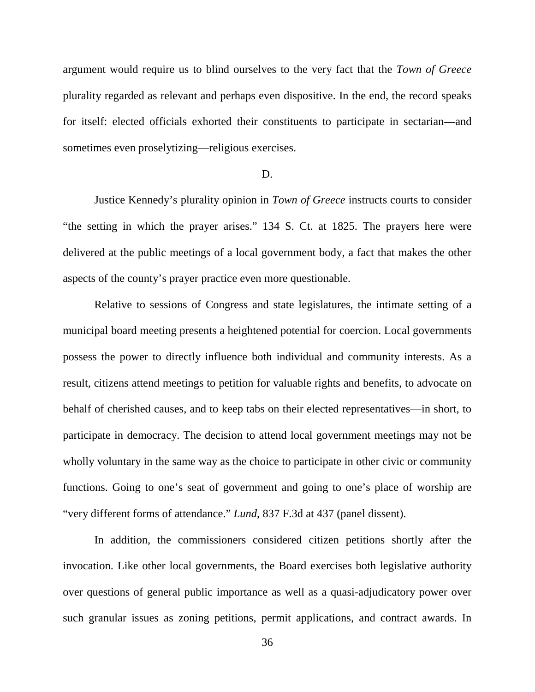argument would require us to blind ourselves to the very fact that the *Town of Greece*  plurality regarded as relevant and perhaps even dispositive. In the end, the record speaks for itself: elected officials exhorted their constituents to participate in sectarian—and sometimes even proselytizing—religious exercises.

#### D.

Justice Kennedy's plurality opinion in *Town of Greece* instructs courts to consider "the setting in which the prayer arises." 134 S. Ct. at 1825. The prayers here were delivered at the public meetings of a local government body, a fact that makes the other aspects of the county's prayer practice even more questionable.

Relative to sessions of Congress and state legislatures, the intimate setting of a municipal board meeting presents a heightened potential for coercion. Local governments possess the power to directly influence both individual and community interests. As a result, citizens attend meetings to petition for valuable rights and benefits, to advocate on behalf of cherished causes, and to keep tabs on their elected representatives—in short, to participate in democracy. The decision to attend local government meetings may not be wholly voluntary in the same way as the choice to participate in other civic or community functions. Going to one's seat of government and going to one's place of worship are "very different forms of attendance." *Lund*, 837 F.3d at 437 (panel dissent).

In addition, the commissioners considered citizen petitions shortly after the invocation. Like other local governments, the Board exercises both legislative authority over questions of general public importance as well as a quasi-adjudicatory power over such granular issues as zoning petitions, permit applications, and contract awards. In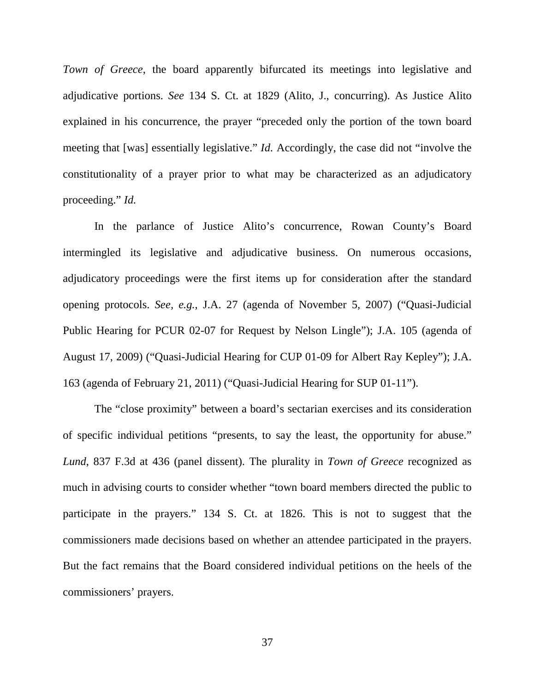*Town of Greece*, the board apparently bifurcated its meetings into legislative and adjudicative portions. *See* 134 S. Ct. at 1829 (Alito, J., concurring). As Justice Alito explained in his concurrence, the prayer "preceded only the portion of the town board meeting that [was] essentially legislative." *Id.* Accordingly, the case did not "involve the constitutionality of a prayer prior to what may be characterized as an adjudicatory proceeding." *Id.*

In the parlance of Justice Alito's concurrence, Rowan County's Board intermingled its legislative and adjudicative business. On numerous occasions, adjudicatory proceedings were the first items up for consideration after the standard opening protocols. *See, e.g.*, J.A. 27 (agenda of November 5, 2007) ("Quasi-Judicial Public Hearing for PCUR 02-07 for Request by Nelson Lingle"); J.A. 105 (agenda of August 17, 2009) ("Quasi-Judicial Hearing for CUP 01-09 for Albert Ray Kepley"); J.A. 163 (agenda of February 21, 2011) ("Quasi-Judicial Hearing for SUP 01-11").

The "close proximity" between a board's sectarian exercises and its consideration of specific individual petitions "presents, to say the least, the opportunity for abuse." *Lund*, 837 F.3d at 436 (panel dissent). The plurality in *Town of Greece* recognized as much in advising courts to consider whether "town board members directed the public to participate in the prayers." 134 S. Ct. at 1826. This is not to suggest that the commissioners made decisions based on whether an attendee participated in the prayers. But the fact remains that the Board considered individual petitions on the heels of the commissioners' prayers.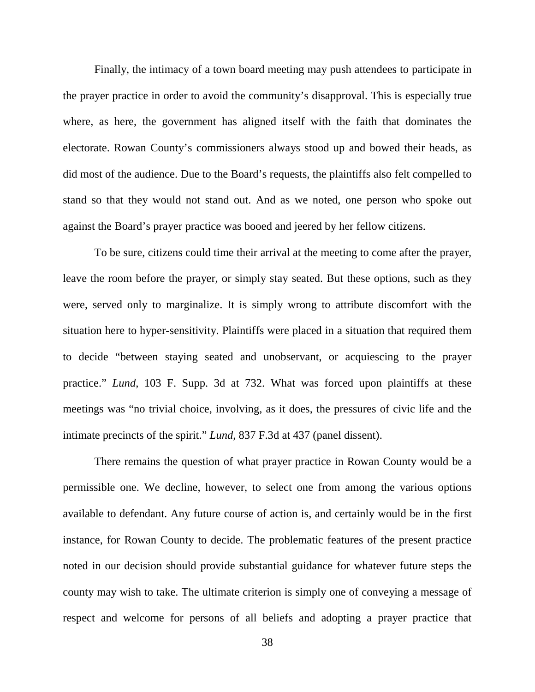Finally, the intimacy of a town board meeting may push attendees to participate in the prayer practice in order to avoid the community's disapproval. This is especially true where, as here, the government has aligned itself with the faith that dominates the electorate. Rowan County's commissioners always stood up and bowed their heads, as did most of the audience. Due to the Board's requests, the plaintiffs also felt compelled to stand so that they would not stand out. And as we noted, one person who spoke out against the Board's prayer practice was booed and jeered by her fellow citizens.

To be sure, citizens could time their arrival at the meeting to come after the prayer, leave the room before the prayer, or simply stay seated. But these options, such as they were, served only to marginalize. It is simply wrong to attribute discomfort with the situation here to hyper-sensitivity. Plaintiffs were placed in a situation that required them to decide "between staying seated and unobservant, or acquiescing to the prayer practice." *Lund*, 103 F. Supp. 3d at 732. What was forced upon plaintiffs at these meetings was "no trivial choice, involving, as it does, the pressures of civic life and the intimate precincts of the spirit." *Lund*, 837 F.3d at 437 (panel dissent).

There remains the question of what prayer practice in Rowan County would be a permissible one. We decline, however, to select one from among the various options available to defendant. Any future course of action is, and certainly would be in the first instance, for Rowan County to decide. The problematic features of the present practice noted in our decision should provide substantial guidance for whatever future steps the county may wish to take. The ultimate criterion is simply one of conveying a message of respect and welcome for persons of all beliefs and adopting a prayer practice that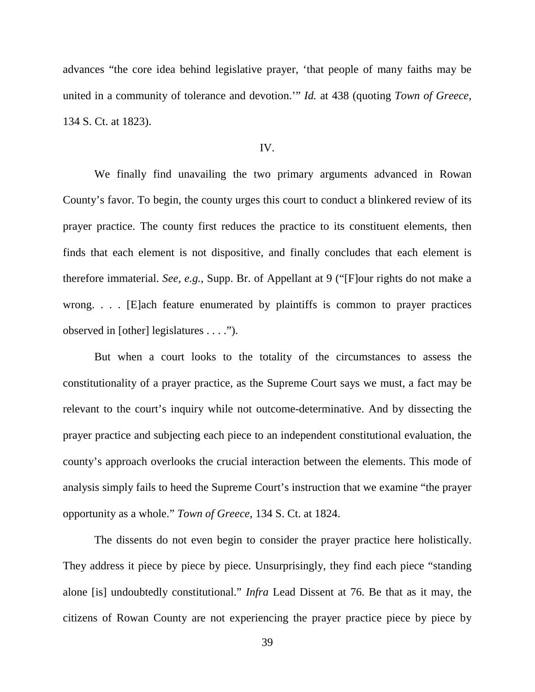advances "the core idea behind legislative prayer, 'that people of many faiths may be united in a community of tolerance and devotion.'" *Id.* at 438 (quoting *Town of Greece*, 134 S. Ct. at 1823).

### IV.

We finally find unavailing the two primary arguments advanced in Rowan County's favor. To begin, the county urges this court to conduct a blinkered review of its prayer practice. The county first reduces the practice to its constituent elements, then finds that each element is not dispositive, and finally concludes that each element is therefore immaterial. *See, e.g.*, Supp. Br. of Appellant at 9 ("[F]our rights do not make a wrong. . . . [E]ach feature enumerated by plaintiffs is common to prayer practices observed in [other] legislatures . . . .").

But when a court looks to the totality of the circumstances to assess the constitutionality of a prayer practice, as the Supreme Court says we must, a fact may be relevant to the court's inquiry while not outcome-determinative. And by dissecting the prayer practice and subjecting each piece to an independent constitutional evaluation, the county's approach overlooks the crucial interaction between the elements. This mode of analysis simply fails to heed the Supreme Court's instruction that we examine "the prayer opportunity as a whole." *Town of Greece*, 134 S. Ct. at 1824.

The dissents do not even begin to consider the prayer practice here holistically. They address it piece by piece by piece. Unsurprisingly, they find each piece "standing alone [is] undoubtedly constitutional." *Infra* Lead Dissent at 76. Be that as it may, the citizens of Rowan County are not experiencing the prayer practice piece by piece by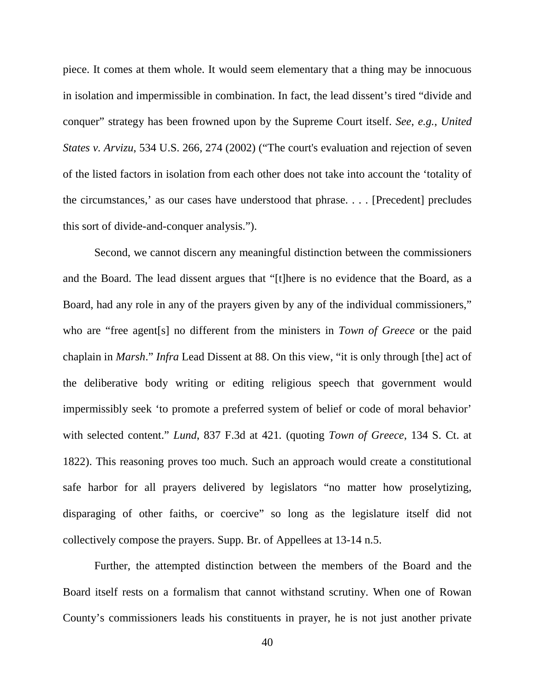piece. It comes at them whole. It would seem elementary that a thing may be innocuous in isolation and impermissible in combination. In fact, the lead dissent's tired "divide and conquer" strategy has been frowned upon by the Supreme Court itself. *See*, *e.g.*, *United States v. Arvizu*, 534 U.S. 266, 274 (2002) ("The court's evaluation and rejection of seven of the listed factors in isolation from each other does not take into account the 'totality of the circumstances,' as our cases have understood that phrase. . . . [Precedent] precludes this sort of divide-and-conquer analysis.").

Second, we cannot discern any meaningful distinction between the commissioners and the Board. The lead dissent argues that "[t]here is no evidence that the Board, as a Board, had any role in any of the prayers given by any of the individual commissioners," who are "free agent[s] no different from the ministers in *Town of Greece* or the paid chaplain in *Marsh*." *Infra* Lead Dissent at 88. On this view, "it is only through [the] act of the deliberative body writing or editing religious speech that government would impermissibly seek 'to promote a preferred system of belief or code of moral behavior' with selected content." *Lund*, 837 F.3d at 421*.* (quoting *Town of Greece*, 134 S. Ct. at 1822). This reasoning proves too much. Such an approach would create a constitutional safe harbor for all prayers delivered by legislators "no matter how proselytizing, disparaging of other faiths, or coercive" so long as the legislature itself did not collectively compose the prayers. Supp. Br. of Appellees at 13-14 n.5.

Further, the attempted distinction between the members of the Board and the Board itself rests on a formalism that cannot withstand scrutiny. When one of Rowan County's commissioners leads his constituents in prayer, he is not just another private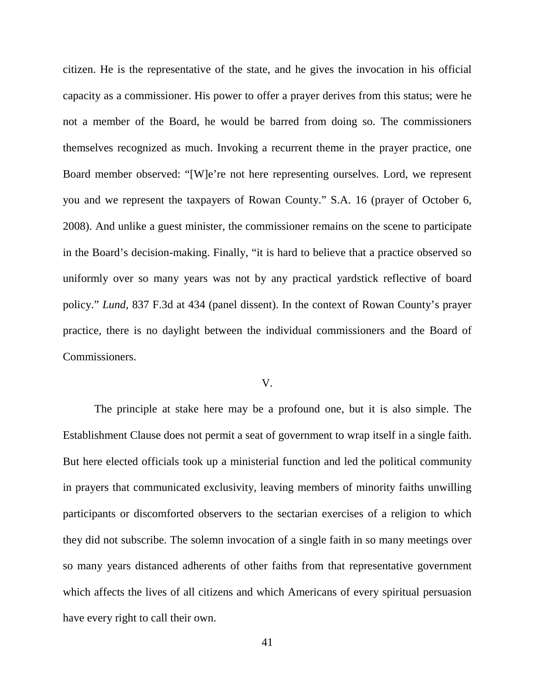citizen. He is the representative of the state, and he gives the invocation in his official capacity as a commissioner. His power to offer a prayer derives from this status; were he not a member of the Board, he would be barred from doing so. The commissioners themselves recognized as much. Invoking a recurrent theme in the prayer practice, one Board member observed: "[W]e're not here representing ourselves. Lord, we represent you and we represent the taxpayers of Rowan County." S.A. 16 (prayer of October 6, 2008). And unlike a guest minister, the commissioner remains on the scene to participate in the Board's decision-making. Finally, "it is hard to believe that a practice observed so uniformly over so many years was not by any practical yardstick reflective of board policy." *Lund*, 837 F.3d at 434 (panel dissent). In the context of Rowan County's prayer practice, there is no daylight between the individual commissioners and the Board of Commissioners.

## V.

The principle at stake here may be a profound one, but it is also simple. The Establishment Clause does not permit a seat of government to wrap itself in a single faith. But here elected officials took up a ministerial function and led the political community in prayers that communicated exclusivity, leaving members of minority faiths unwilling participants or discomforted observers to the sectarian exercises of a religion to which they did not subscribe. The solemn invocation of a single faith in so many meetings over so many years distanced adherents of other faiths from that representative government which affects the lives of all citizens and which Americans of every spiritual persuasion have every right to call their own.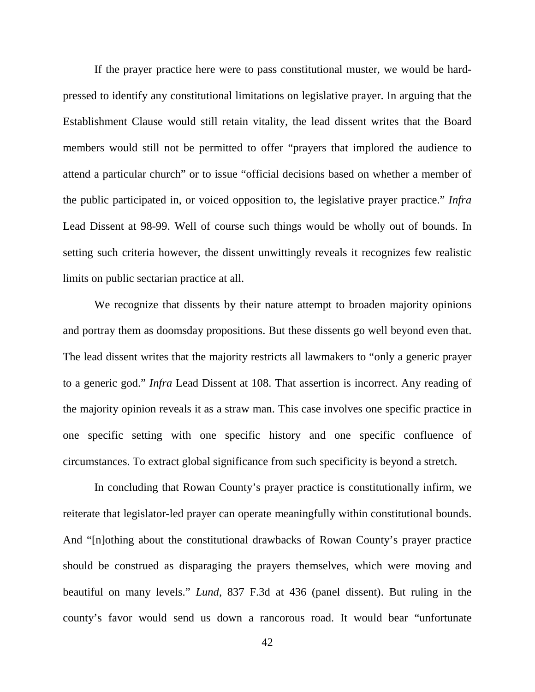If the prayer practice here were to pass constitutional muster, we would be hardpressed to identify any constitutional limitations on legislative prayer. In arguing that the Establishment Clause would still retain vitality, the lead dissent writes that the Board members would still not be permitted to offer "prayers that implored the audience to attend a particular church" or to issue "official decisions based on whether a member of the public participated in, or voiced opposition to, the legislative prayer practice." *Infra* Lead Dissent at 98-99. Well of course such things would be wholly out of bounds. In setting such criteria however, the dissent unwittingly reveals it recognizes few realistic limits on public sectarian practice at all.

We recognize that dissents by their nature attempt to broaden majority opinions and portray them as doomsday propositions. But these dissents go well beyond even that. The lead dissent writes that the majority restricts all lawmakers to "only a generic prayer to a generic god." *Infra* Lead Dissent at 108. That assertion is incorrect. Any reading of the majority opinion reveals it as a straw man. This case involves one specific practice in one specific setting with one specific history and one specific confluence of circumstances. To extract global significance from such specificity is beyond a stretch.

In concluding that Rowan County's prayer practice is constitutionally infirm, we reiterate that legislator-led prayer can operate meaningfully within constitutional bounds. And "[n]othing about the constitutional drawbacks of Rowan County's prayer practice should be construed as disparaging the prayers themselves, which were moving and beautiful on many levels." *Lund*, 837 F.3d at 436 (panel dissent). But ruling in the county's favor would send us down a rancorous road. It would bear "unfortunate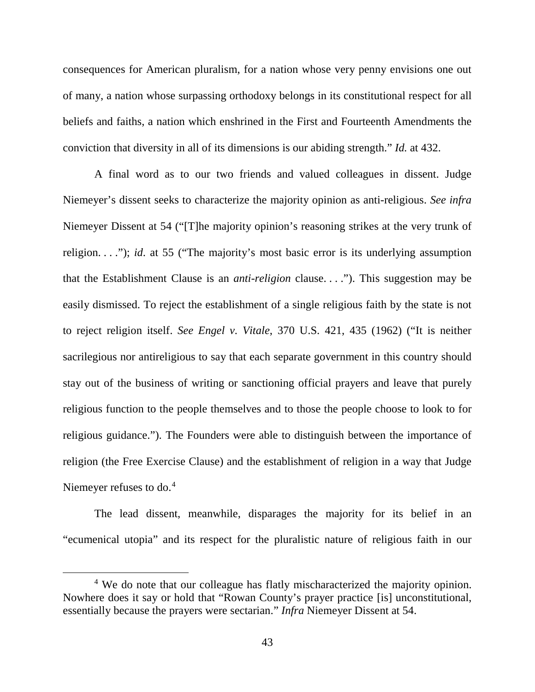consequences for American pluralism, for a nation whose very penny envisions one out of many, a nation whose surpassing orthodoxy belongs in its constitutional respect for all beliefs and faiths, a nation which enshrined in the First and Fourteenth Amendments the conviction that diversity in all of its dimensions is our abiding strength." *Id.* at 432.

A final word as to our two friends and valued colleagues in dissent. Judge Niemeyer's dissent seeks to characterize the majority opinion as anti-religious. *See infra* Niemeyer Dissent at 54 ("[T]he majority opinion's reasoning strikes at the very trunk of religion. . . ."); *id*. at 55 ("The majority's most basic error is its underlying assumption that the Establishment Clause is an *anti-religion* clause. . . ."). This suggestion may be easily dismissed. To reject the establishment of a single religious faith by the state is not to reject religion itself. *See Engel v. Vitale*, 370 U.S. 421, 435 (1962) ("It is neither sacrilegious nor antireligious to say that each separate government in this country should stay out of the business of writing or sanctioning official prayers and leave that purely religious function to the people themselves and to those the people choose to look to for religious guidance."). The Founders were able to distinguish between the importance of religion (the Free Exercise Clause) and the establishment of religion in a way that Judge Niemeyer refuses to do. [4](#page-42-0)

The lead dissent, meanwhile, disparages the majority for its belief in an "ecumenical utopia" and its respect for the pluralistic nature of religious faith in our

<span id="page-42-0"></span><sup>&</sup>lt;sup>4</sup> We do note that our colleague has flatly mischaracterized the majority opinion. Nowhere does it say or hold that "Rowan County's prayer practice [is] unconstitutional, essentially because the prayers were sectarian." *Infra* Niemeyer Dissent at 54.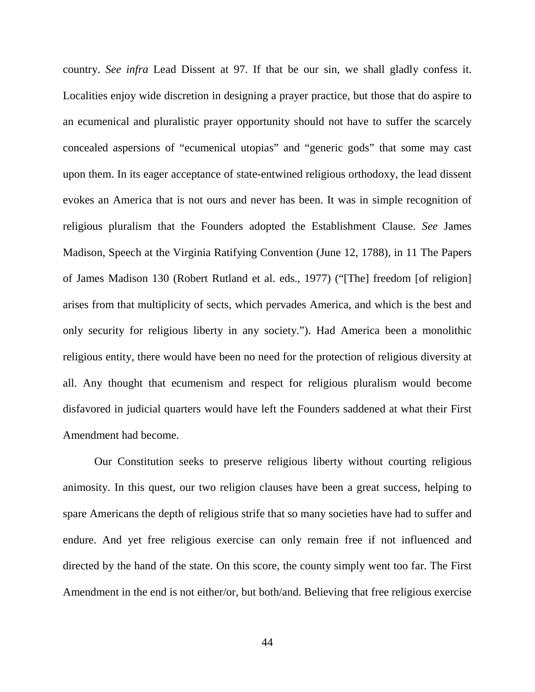country. *See infra* Lead Dissent at 97. If that be our sin, we shall gladly confess it. Localities enjoy wide discretion in designing a prayer practice, but those that do aspire to an ecumenical and pluralistic prayer opportunity should not have to suffer the scarcely concealed aspersions of "ecumenical utopias" and "generic gods" that some may cast upon them. In its eager acceptance of state-entwined religious orthodoxy, the lead dissent evokes an America that is not ours and never has been. It was in simple recognition of religious pluralism that the Founders adopted the Establishment Clause. *See* James Madison, Speech at the Virginia Ratifying Convention (June 12, 1788), in 11 The Papers of James Madison 130 (Robert Rutland et al. eds., 1977) ("[The] freedom [of religion] arises from that multiplicity of sects, which pervades America, and which is the best and only security for religious liberty in any society."). Had America been a monolithic religious entity, there would have been no need for the protection of religious diversity at all. Any thought that ecumenism and respect for religious pluralism would become disfavored in judicial quarters would have left the Founders saddened at what their First Amendment had become.

Our Constitution seeks to preserve religious liberty without courting religious animosity. In this quest, our two religion clauses have been a great success, helping to spare Americans the depth of religious strife that so many societies have had to suffer and endure. And yet free religious exercise can only remain free if not influenced and directed by the hand of the state. On this score, the county simply went too far. The First Amendment in the end is not either/or, but both/and. Believing that free religious exercise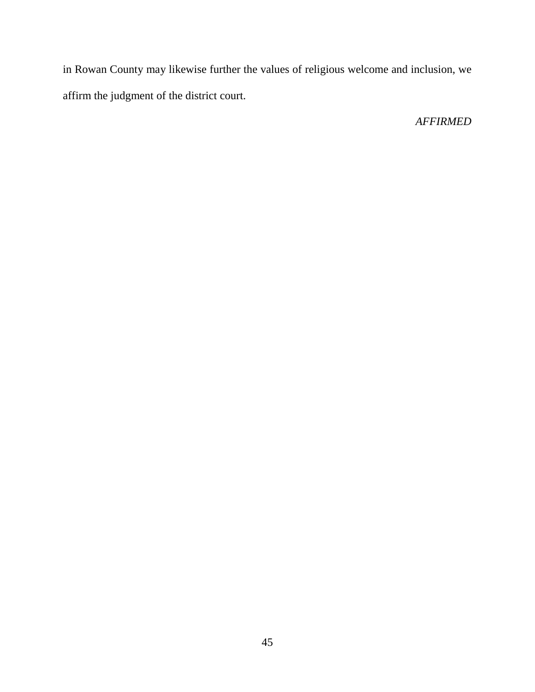in Rowan County may likewise further the values of religious welcome and inclusion, we affirm the judgment of the district court.

# *AFFIRMED*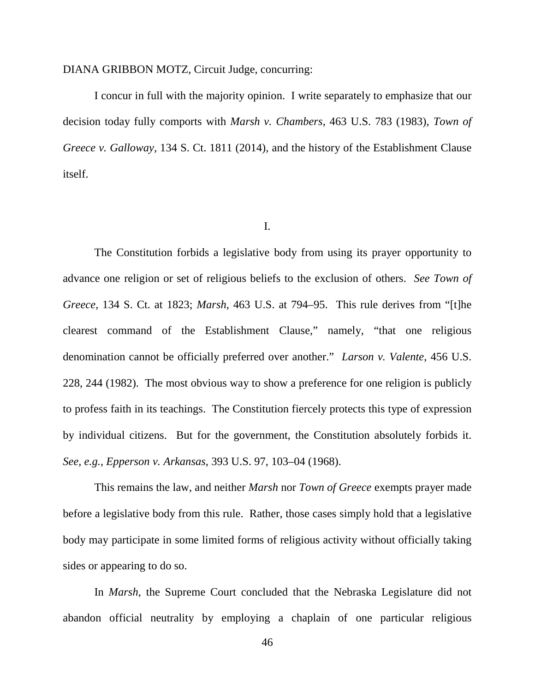### DIANA GRIBBON MOTZ, Circuit Judge, concurring:

I concur in full with the majority opinion. I write separately to emphasize that our decision today fully comports with *Marsh v. Chambers*, 463 U.S. 783 (1983), *Town of Greece v. Galloway*, 134 S. Ct. 1811 (2014), and the history of the Establishment Clause itself.

I.

The Constitution forbids a legislative body from using its prayer opportunity to advance one religion or set of religious beliefs to the exclusion of others. *See Town of Greece*, 134 S. Ct. at 1823; *Marsh*, 463 U.S. at 794–95. This rule derives from "[t]he clearest command of the Establishment Clause," namely, "that one religious denomination cannot be officially preferred over another." *Larson v. Valente*, 456 U.S. 228, 244 (1982). The most obvious way to show a preference for one religion is publicly to profess faith in its teachings. The Constitution fiercely protects this type of expression by individual citizens. But for the government, the Constitution absolutely forbids it. *See, e.g.*, *Epperson v. Arkansas*, 393 U.S. 97, 103–04 (1968).

This remains the law, and neither *Marsh* nor *Town of Greece* exempts prayer made before a legislative body from this rule. Rather, those cases simply hold that a legislative body may participate in some limited forms of religious activity without officially taking sides or appearing to do so.

In *Marsh*, the Supreme Court concluded that the Nebraska Legislature did not abandon official neutrality by employing a chaplain of one particular religious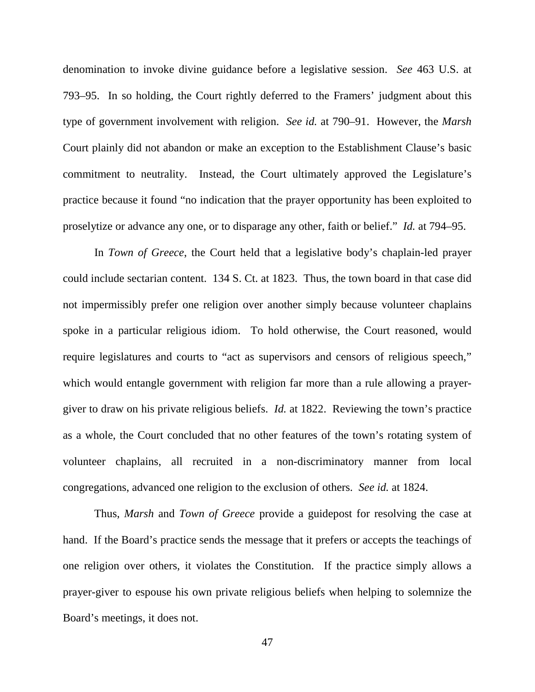denomination to invoke divine guidance before a legislative session. *See* 463 U.S. at 793–95. In so holding, the Court rightly deferred to the Framers' judgment about this type of government involvement with religion. *See id.* at 790–91. However, the *Marsh* Court plainly did not abandon or make an exception to the Establishment Clause's basic commitment to neutrality. Instead, the Court ultimately approved the Legislature's practice because it found "no indication that the prayer opportunity has been exploited to proselytize or advance any one, or to disparage any other, faith or belief." *Id.* at 794–95.

In *Town of Greece*, the Court held that a legislative body's chaplain-led prayer could include sectarian content. 134 S. Ct. at 1823. Thus, the town board in that case did not impermissibly prefer one religion over another simply because volunteer chaplains spoke in a particular religious idiom. To hold otherwise, the Court reasoned, would require legislatures and courts to "act as supervisors and censors of religious speech," which would entangle government with religion far more than a rule allowing a prayergiver to draw on his private religious beliefs. *Id.* at 1822. Reviewing the town's practice as a whole, the Court concluded that no other features of the town's rotating system of volunteer chaplains, all recruited in a non-discriminatory manner from local congregations, advanced one religion to the exclusion of others. *See id.* at 1824.

Thus, *Marsh* and *Town of Greece* provide a guidepost for resolving the case at hand. If the Board's practice sends the message that it prefers or accepts the teachings of one religion over others, it violates the Constitution. If the practice simply allows a prayer-giver to espouse his own private religious beliefs when helping to solemnize the Board's meetings, it does not.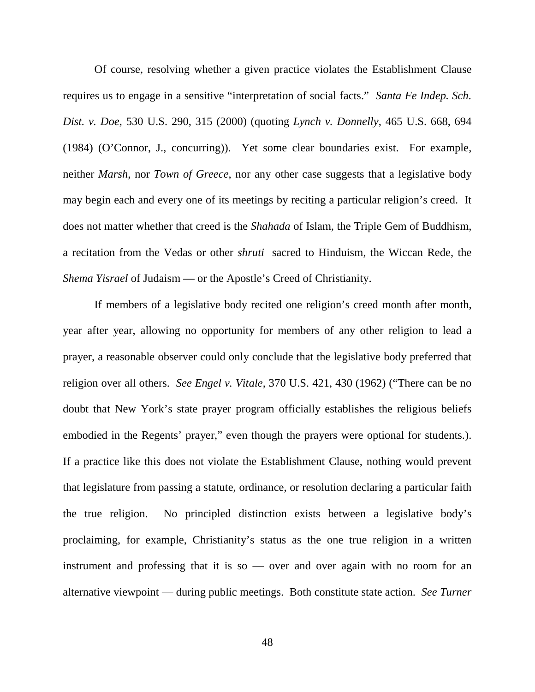Of course, resolving whether a given practice violates the Establishment Clause requires us to engage in a sensitive "interpretation of social facts." *Santa Fe Indep. Sch. Dist. v. Doe*, 530 U.S. 290, 315 (2000) (quoting *Lynch v. Donnelly*, 465 U.S. 668, 694 (1984) (O'Connor, J., concurring)). Yet some clear boundaries exist. For example, neither *Marsh*, nor *Town of Greece*, nor any other case suggests that a legislative body may begin each and every one of its meetings by reciting a particular religion's creed. It does not matter whether that creed is the *Shahada* of Islam, the Triple Gem of Buddhism, a recitation from the Vedas or other *shruti* sacred to Hinduism, the Wiccan Rede, the *Shema Yisrael* of Judaism — or the Apostle's Creed of Christianity.

If members of a legislative body recited one religion's creed month after month, year after year, allowing no opportunity for members of any other religion to lead a prayer, a reasonable observer could only conclude that the legislative body preferred that religion over all others. *See Engel v. Vitale*, 370 U.S. 421, 430 (1962) ("There can be no doubt that New York's state prayer program officially establishes the religious beliefs embodied in the Regents' prayer," even though the prayers were optional for students.). If a practice like this does not violate the Establishment Clause, nothing would prevent that legislature from passing a statute, ordinance, or resolution declaring a particular faith the true religion. No principled distinction exists between a legislative body's proclaiming, for example, Christianity's status as the one true religion in a written instrument and professing that it is so — over and over again with no room for an alternative viewpoint — during public meetings. Both constitute state action. *See Turner*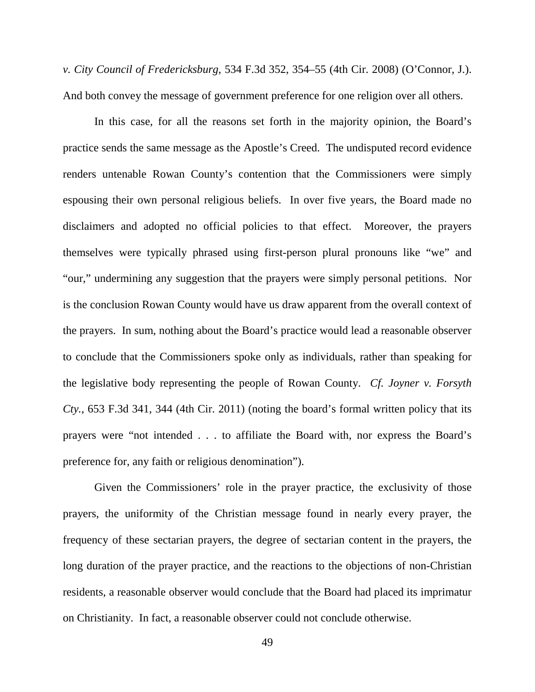*v. City Council of Fredericksburg*, 534 F.3d 352, 354–55 (4th Cir. 2008) (O'Connor, J.). And both convey the message of government preference for one religion over all others.

In this case, for all the reasons set forth in the majority opinion, the Board's practice sends the same message as the Apostle's Creed. The undisputed record evidence renders untenable Rowan County's contention that the Commissioners were simply espousing their own personal religious beliefs. In over five years, the Board made no disclaimers and adopted no official policies to that effect. Moreover, the prayers themselves were typically phrased using first-person plural pronouns like "we" and "our," undermining any suggestion that the prayers were simply personal petitions. Nor is the conclusion Rowan County would have us draw apparent from the overall context of the prayers. In sum, nothing about the Board's practice would lead a reasonable observer to conclude that the Commissioners spoke only as individuals, rather than speaking for the legislative body representing the people of Rowan County. *Cf. Joyner v. Forsyth Cty.*, 653 F.3d 341, 344 (4th Cir. 2011) (noting the board's formal written policy that its prayers were "not intended . . . to affiliate the Board with, nor express the Board's preference for, any faith or religious denomination").

Given the Commissioners' role in the prayer practice, the exclusivity of those prayers, the uniformity of the Christian message found in nearly every prayer, the frequency of these sectarian prayers, the degree of sectarian content in the prayers, the long duration of the prayer practice, and the reactions to the objections of non-Christian residents, a reasonable observer would conclude that the Board had placed its imprimatur on Christianity. In fact, a reasonable observer could not conclude otherwise.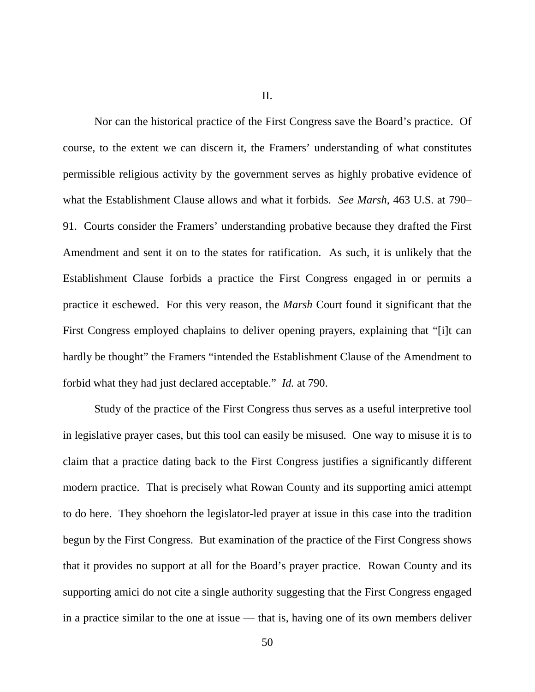II.

Nor can the historical practice of the First Congress save the Board's practice. Of course, to the extent we can discern it, the Framers' understanding of what constitutes permissible religious activity by the government serves as highly probative evidence of what the Establishment Clause allows and what it forbids. *See Marsh*, 463 U.S. at 790– 91. Courts consider the Framers' understanding probative because they drafted the First Amendment and sent it on to the states for ratification. As such, it is unlikely that the Establishment Clause forbids a practice the First Congress engaged in or permits a practice it eschewed. For this very reason, the *Marsh* Court found it significant that the First Congress employed chaplains to deliver opening prayers, explaining that "[i]t can hardly be thought" the Framers "intended the Establishment Clause of the Amendment to forbid what they had just declared acceptable." *Id.* at 790.

Study of the practice of the First Congress thus serves as a useful interpretive tool in legislative prayer cases, but this tool can easily be misused. One way to misuse it is to claim that a practice dating back to the First Congress justifies a significantly different modern practice. That is precisely what Rowan County and its supporting amici attempt to do here. They shoehorn the legislator-led prayer at issue in this case into the tradition begun by the First Congress. But examination of the practice of the First Congress shows that it provides no support at all for the Board's prayer practice. Rowan County and its supporting amici do not cite a single authority suggesting that the First Congress engaged in a practice similar to the one at issue — that is, having one of its own members deliver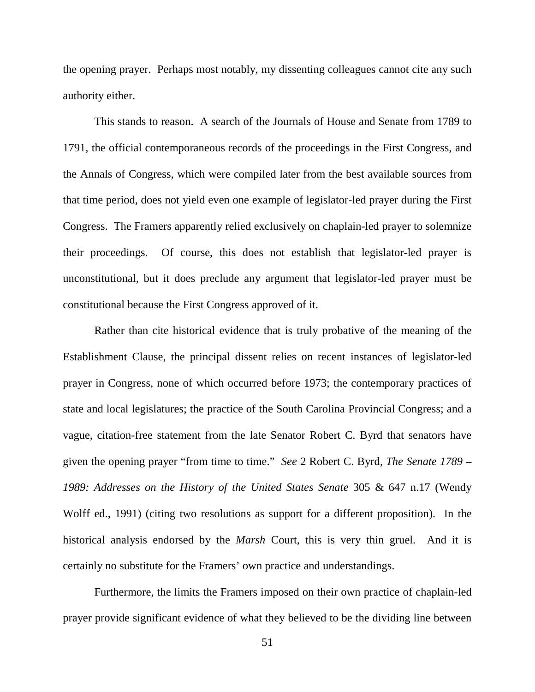the opening prayer. Perhaps most notably, my dissenting colleagues cannot cite any such authority either.

This stands to reason. A search of the Journals of House and Senate from 1789 to 1791, the official contemporaneous records of the proceedings in the First Congress, and the Annals of Congress, which were compiled later from the best available sources from that time period, does not yield even one example of legislator-led prayer during the First Congress. The Framers apparently relied exclusively on chaplain-led prayer to solemnize their proceedings. Of course, this does not establish that legislator-led prayer is unconstitutional, but it does preclude any argument that legislator-led prayer must be constitutional because the First Congress approved of it.

Rather than cite historical evidence that is truly probative of the meaning of the Establishment Clause, the principal dissent relies on recent instances of legislator-led prayer in Congress, none of which occurred before 1973; the contemporary practices of state and local legislatures; the practice of the South Carolina Provincial Congress; and a vague, citation-free statement from the late Senator Robert C. Byrd that senators have given the opening prayer "from time to time." *See* 2 Robert C. Byrd, *The Senate 1789 – 1989: Addresses on the History of the United States Senate* 305 & 647 n.17 (Wendy Wolff ed., 1991) (citing two resolutions as support for a different proposition). In the historical analysis endorsed by the *Marsh* Court, this is very thin gruel. And it is certainly no substitute for the Framers' own practice and understandings.

Furthermore, the limits the Framers imposed on their own practice of chaplain-led prayer provide significant evidence of what they believed to be the dividing line between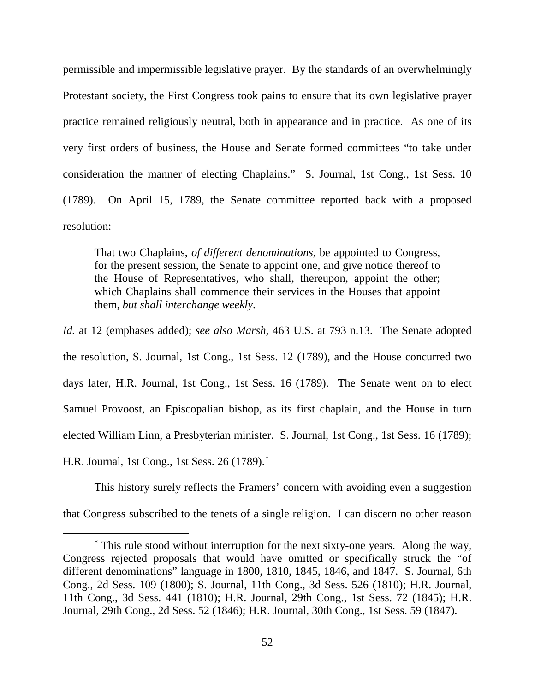permissible and impermissible legislative prayer. By the standards of an overwhelmingly Protestant society, the First Congress took pains to ensure that its own legislative prayer practice remained religiously neutral, both in appearance and in practice. As one of its very first orders of business, the House and Senate formed committees "to take under consideration the manner of electing Chaplains." S. Journal, 1st Cong., 1st Sess. 10 (1789). On April 15, 1789, the Senate committee reported back with a proposed resolution:

That two Chaplains, *of different denominations*, be appointed to Congress, for the present session, the Senate to appoint one, and give notice thereof to the House of Representatives, who shall, thereupon, appoint the other; which Chaplains shall commence their services in the Houses that appoint them, *but shall interchange weekly*.

*Id.* at 12 (emphases added); *see also Marsh*, 463 U.S. at 793 n.13. The Senate adopted the resolution, S. Journal, 1st Cong., 1st Sess. 12 (1789), and the House concurred two days later, H.R. Journal, 1st Cong., 1st Sess. 16 (1789). The Senate went on to elect Samuel Provoost, an Episcopalian bishop, as its first chaplain, and the House in turn elected William Linn, a Presbyterian minister. S. Journal, 1st Cong., 1st Sess. 16 (1789); H.R. Journal, 1st Cong., 1st Sess. 26 (1789).[\\*](#page-51-0)

This history surely reflects the Framers' concern with avoiding even a suggestion that Congress subscribed to the tenets of a single religion. I can discern no other reason

<span id="page-51-0"></span>\* This rule stood without interruption for the next sixty-one years. Along the way, Congress rejected proposals that would have omitted or specifically struck the "of different denominations" language in 1800, 1810, 1845, 1846, and 1847. S. Journal, 6th Cong., 2d Sess. 109 (1800); S. Journal, 11th Cong., 3d Sess. 526 (1810); H.R. Journal, 11th Cong., 3d Sess. 441 (1810); H.R. Journal, 29th Cong., 1st Sess. 72 (1845); H.R. Journal, 29th Cong., 2d Sess. 52 (1846); H.R. Journal, 30th Cong., 1st Sess. 59 (1847).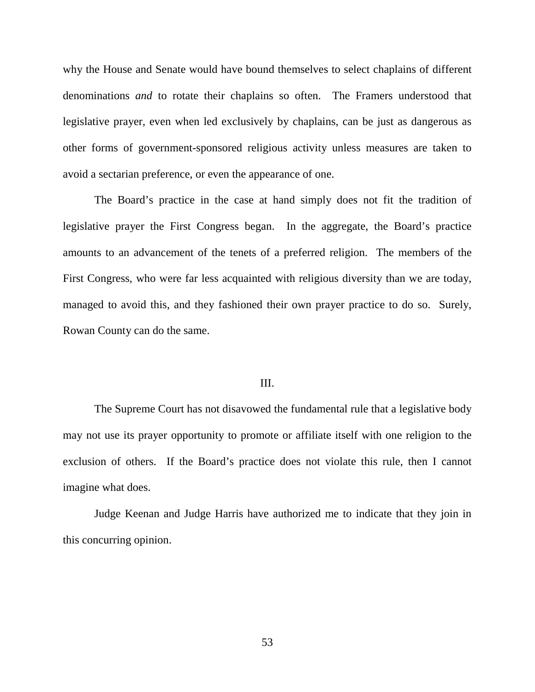why the House and Senate would have bound themselves to select chaplains of different denominations *and* to rotate their chaplains so often. The Framers understood that legislative prayer, even when led exclusively by chaplains, can be just as dangerous as other forms of government-sponsored religious activity unless measures are taken to avoid a sectarian preference, or even the appearance of one.

The Board's practice in the case at hand simply does not fit the tradition of legislative prayer the First Congress began. In the aggregate, the Board's practice amounts to an advancement of the tenets of a preferred religion. The members of the First Congress, who were far less acquainted with religious diversity than we are today, managed to avoid this, and they fashioned their own prayer practice to do so. Surely, Rowan County can do the same.

#### III.

The Supreme Court has not disavowed the fundamental rule that a legislative body may not use its prayer opportunity to promote or affiliate itself with one religion to the exclusion of others. If the Board's practice does not violate this rule, then I cannot imagine what does.

Judge Keenan and Judge Harris have authorized me to indicate that they join in this concurring opinion.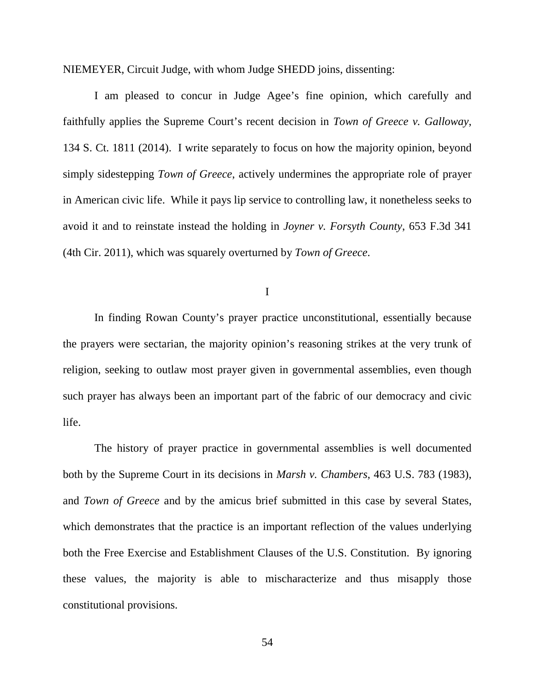NIEMEYER, Circuit Judge, with whom Judge SHEDD joins, dissenting:

I am pleased to concur in Judge Agee's fine opinion, which carefully and faithfully applies the Supreme Court's recent decision in *Town of Greece v. Galloway*, 134 S. Ct. 1811 (2014). I write separately to focus on how the majority opinion, beyond simply sidestepping *Town of Greece*, actively undermines the appropriate role of prayer in American civic life. While it pays lip service to controlling law, it nonetheless seeks to avoid it and to reinstate instead the holding in *Joyner v. Forsyth County*, 653 F.3d 341 (4th Cir. 2011), which was squarely overturned by *Town of Greece*.

I

In finding Rowan County's prayer practice unconstitutional, essentially because the prayers were sectarian, the majority opinion's reasoning strikes at the very trunk of religion, seeking to outlaw most prayer given in governmental assemblies, even though such prayer has always been an important part of the fabric of our democracy and civic life.

The history of prayer practice in governmental assemblies is well documented both by the Supreme Court in its decisions in *Marsh v. Chambers*, 463 U.S. 783 (1983), and *Town of Greece* and by the amicus brief submitted in this case by several States, which demonstrates that the practice is an important reflection of the values underlying both the Free Exercise and Establishment Clauses of the U.S. Constitution. By ignoring these values, the majority is able to mischaracterize and thus misapply those constitutional provisions.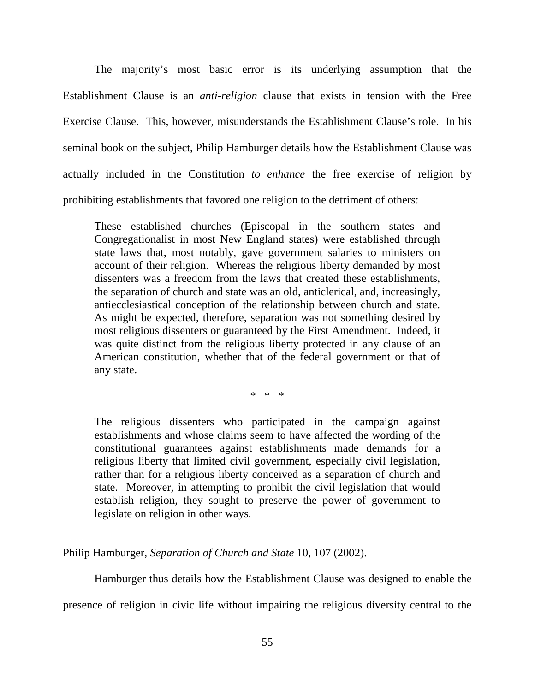The majority's most basic error is its underlying assumption that the Establishment Clause is an *anti-religion* clause that exists in tension with the Free Exercise Clause. This, however, misunderstands the Establishment Clause's role. In his seminal book on the subject, Philip Hamburger details how the Establishment Clause was actually included in the Constitution *to enhance* the free exercise of religion by prohibiting establishments that favored one religion to the detriment of others:

These established churches (Episcopal in the southern states and Congregationalist in most New England states) were established through state laws that, most notably, gave government salaries to ministers on account of their religion. Whereas the religious liberty demanded by most dissenters was a freedom from the laws that created these establishments, the separation of church and state was an old, anticlerical, and, increasingly, antiecclesiastical conception of the relationship between church and state. As might be expected, therefore, separation was not something desired by most religious dissenters or guaranteed by the First Amendment. Indeed, it was quite distinct from the religious liberty protected in any clause of an American constitution, whether that of the federal government or that of any state.

\* \* \*

The religious dissenters who participated in the campaign against establishments and whose claims seem to have affected the wording of the constitutional guarantees against establishments made demands for a religious liberty that limited civil government, especially civil legislation, rather than for a religious liberty conceived as a separation of church and state. Moreover, in attempting to prohibit the civil legislation that would establish religion, they sought to preserve the power of government to legislate on religion in other ways.

Philip Hamburger, *Separation of Church and State* 10, 107 (2002).

Hamburger thus details how the Establishment Clause was designed to enable the

presence of religion in civic life without impairing the religious diversity central to the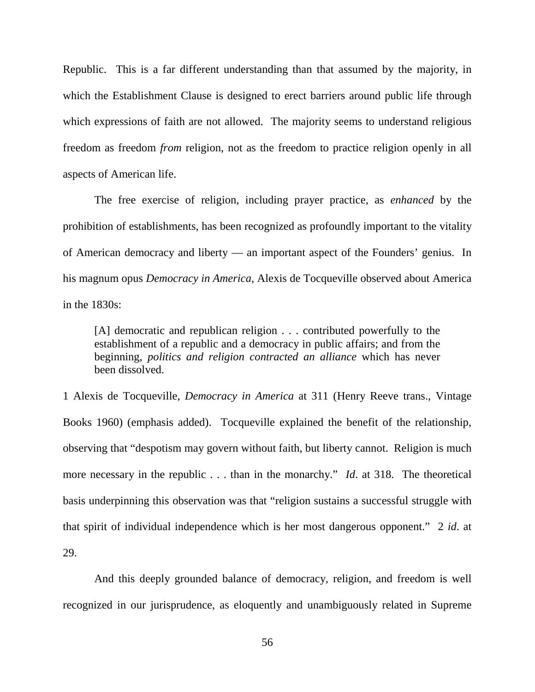Republic. This is a far different understanding than that assumed by the majority, in which the Establishment Clause is designed to erect barriers around public life through which expressions of faith are not allowed. The majority seems to understand religious freedom as freedom *from* religion, not as the freedom to practice religion openly in all aspects of American life.

The free exercise of religion, including prayer practice, as *enhanced* by the prohibition of establishments, has been recognized as profoundly important to the vitality of American democracy and liberty — an important aspect of the Founders' genius. In his magnum opus *Democracy in America*, Alexis de Tocqueville observed about America in the 1830s:

[A] democratic and republican religion . . . contributed powerfully to the establishment of a republic and a democracy in public affairs; and from the beginning, *politics and religion contracted an alliance* which has never been dissolved.

1 Alexis de Tocqueville, *Democracy in America* at 311 (Henry Reeve trans., Vintage Books 1960) (emphasis added). Tocqueville explained the benefit of the relationship, observing that "despotism may govern without faith, but liberty cannot. Religion is much more necessary in the republic . . . than in the monarchy." *Id*. at 318. The theoretical basis underpinning this observation was that "religion sustains a successful struggle with that spirit of individual independence which is her most dangerous opponent." 2 *id*. at 29.

And this deeply grounded balance of democracy, religion, and freedom is well recognized in our jurisprudence, as eloquently and unambiguously related in Supreme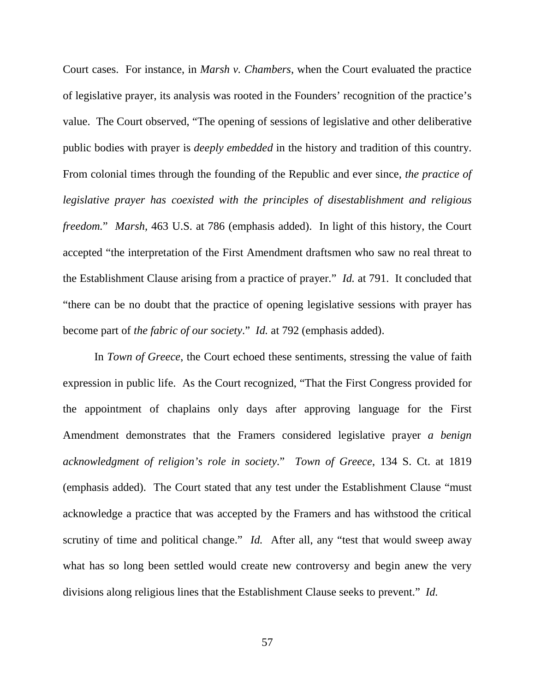Court cases. For instance, in *Marsh v. Chambers*, when the Court evaluated the practice of legislative prayer, its analysis was rooted in the Founders' recognition of the practice's value. The Court observed, "The opening of sessions of legislative and other deliberative public bodies with prayer is *deeply embedded* in the history and tradition of this country. From colonial times through the founding of the Republic and ever since, *the practice of legislative prayer has coexisted with the principles of disestablishment and religious freedom.*" *Marsh,* 463 U.S. at 786 (emphasis added). In light of this history, the Court accepted "the interpretation of the First Amendment draftsmen who saw no real threat to the Establishment Clause arising from a practice of prayer." *Id.* at 791. It concluded that "there can be no doubt that the practice of opening legislative sessions with prayer has become part of *the fabric of our society*." *Id.* at 792 (emphasis added).

In *Town of Greece*, the Court echoed these sentiments, stressing the value of faith expression in public life. As the Court recognized, "That the First Congress provided for the appointment of chaplains only days after approving language for the First Amendment demonstrates that the Framers considered legislative prayer *a benign acknowledgment of religion's role in society*." *Town of Greece*, 134 S. Ct. at 1819 (emphasis added). The Court stated that any test under the Establishment Clause "must acknowledge a practice that was accepted by the Framers and has withstood the critical scrutiny of time and political change." *Id.* After all, any "test that would sweep away what has so long been settled would create new controversy and begin anew the very divisions along religious lines that the Establishment Clause seeks to prevent." *Id.*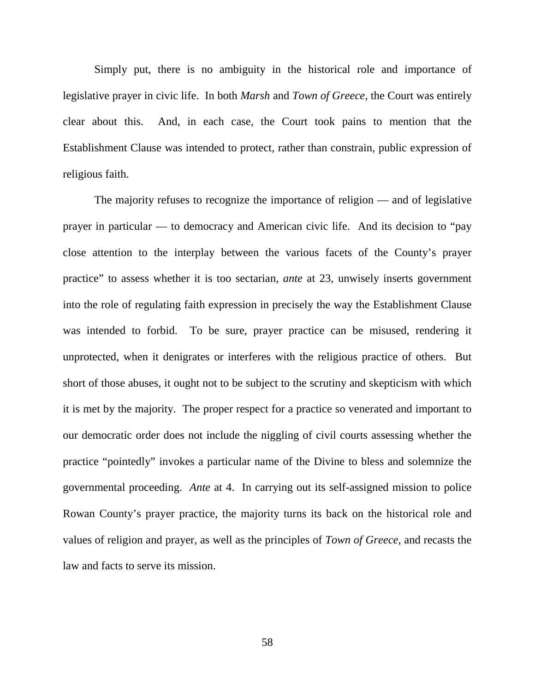Simply put, there is no ambiguity in the historical role and importance of legislative prayer in civic life. In both *Marsh* and *Town of Greece*, the Court was entirely clear about this. And, in each case, the Court took pains to mention that the Establishment Clause was intended to protect, rather than constrain, public expression of religious faith.

The majority refuses to recognize the importance of religion — and of legislative prayer in particular — to democracy and American civic life. And its decision to "pay close attention to the interplay between the various facets of the County's prayer practice" to assess whether it is too sectarian, *ante* at 23, unwisely inserts government into the role of regulating faith expression in precisely the way the Establishment Clause was intended to forbid. To be sure, prayer practice can be misused, rendering it unprotected, when it denigrates or interferes with the religious practice of others. But short of those abuses, it ought not to be subject to the scrutiny and skepticism with which it is met by the majority. The proper respect for a practice so venerated and important to our democratic order does not include the niggling of civil courts assessing whether the practice "pointedly" invokes a particular name of the Divine to bless and solemnize the governmental proceeding. *Ante* at 4. In carrying out its self-assigned mission to police Rowan County's prayer practice, the majority turns its back on the historical role and values of religion and prayer, as well as the principles of *Town of Greece*, and recasts the law and facts to serve its mission.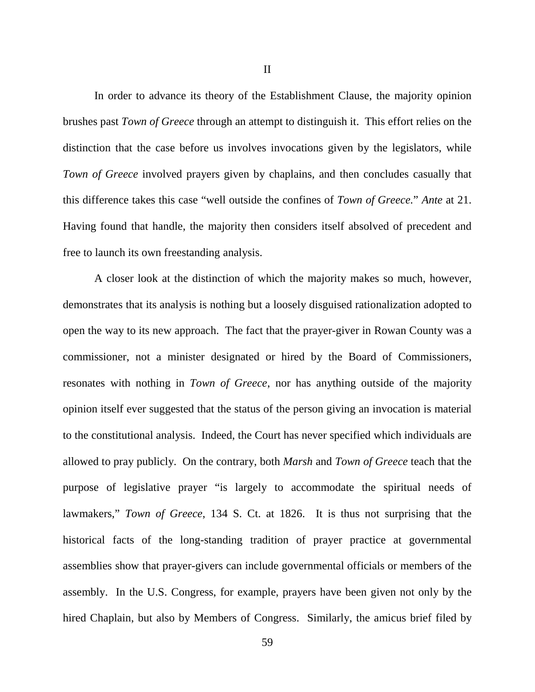In order to advance its theory of the Establishment Clause, the majority opinion brushes past *Town of Greece* through an attempt to distinguish it. This effort relies on the distinction that the case before us involves invocations given by the legislators, while *Town of Greece* involved prayers given by chaplains, and then concludes casually that this difference takes this case "well outside the confines of *Town of Greece.*" *Ante* at 21. Having found that handle, the majority then considers itself absolved of precedent and free to launch its own freestanding analysis.

A closer look at the distinction of which the majority makes so much, however, demonstrates that its analysis is nothing but a loosely disguised rationalization adopted to open the way to its new approach. The fact that the prayer-giver in Rowan County was a commissioner, not a minister designated or hired by the Board of Commissioners, resonates with nothing in *Town of Greece*, nor has anything outside of the majority opinion itself ever suggested that the status of the person giving an invocation is material to the constitutional analysis. Indeed, the Court has never specified which individuals are allowed to pray publicly. On the contrary, both *Marsh* and *Town of Greece* teach that the purpose of legislative prayer "is largely to accommodate the spiritual needs of lawmakers," *Town of Greece*, 134 S. Ct. at 1826. It is thus not surprising that the historical facts of the long-standing tradition of prayer practice at governmental assemblies show that prayer-givers can include governmental officials or members of the assembly. In the U.S. Congress, for example, prayers have been given not only by the hired Chaplain, but also by Members of Congress. Similarly, the amicus brief filed by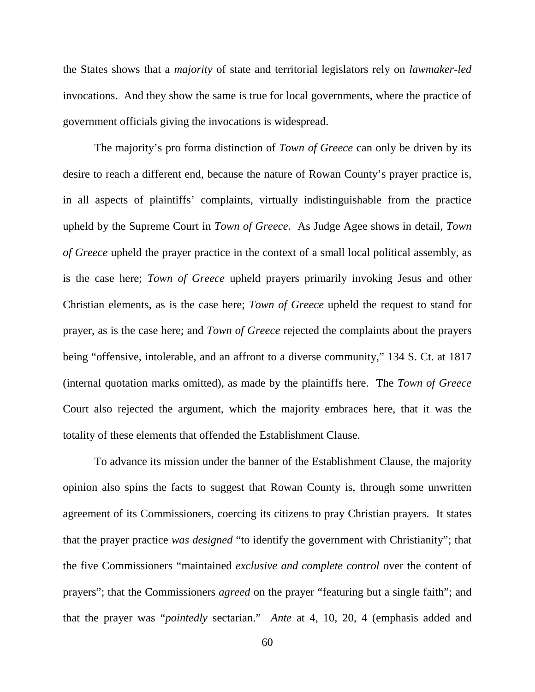the States shows that a *majority* of state and territorial legislators rely on *lawmaker-led* invocations. And they show the same is true for local governments, where the practice of government officials giving the invocations is widespread.

The majority's pro forma distinction of *Town of Greece* can only be driven by its desire to reach a different end, because the nature of Rowan County's prayer practice is, in all aspects of plaintiffs' complaints, virtually indistinguishable from the practice upheld by the Supreme Court in *Town of Greece*. As Judge Agee shows in detail, *Town of Greece* upheld the prayer practice in the context of a small local political assembly, as is the case here; *Town of Greece* upheld prayers primarily invoking Jesus and other Christian elements, as is the case here; *Town of Greece* upheld the request to stand for prayer, as is the case here; and *Town of Greece* rejected the complaints about the prayers being "offensive, intolerable, and an affront to a diverse community," 134 S. Ct. at 1817 (internal quotation marks omitted), as made by the plaintiffs here. The *Town of Greece* Court also rejected the argument, which the majority embraces here, that it was the totality of these elements that offended the Establishment Clause.

To advance its mission under the banner of the Establishment Clause, the majority opinion also spins the facts to suggest that Rowan County is, through some unwritten agreement of its Commissioners, coercing its citizens to pray Christian prayers. It states that the prayer practice *was designed* "to identify the government with Christianity"; that the five Commissioners "maintained *exclusive and complete control* over the content of prayers"; that the Commissioners *agreed* on the prayer "featuring but a single faith"; and that the prayer was "*pointedly* sectarian." *Ante* at 4, 10, 20, 4 (emphasis added and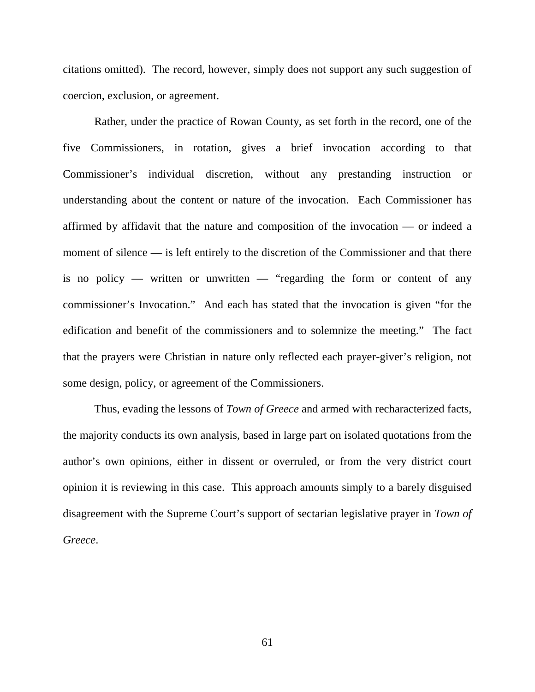citations omitted). The record, however, simply does not support any such suggestion of coercion, exclusion, or agreement.

Rather, under the practice of Rowan County, as set forth in the record, one of the five Commissioners, in rotation, gives a brief invocation according to that Commissioner's individual discretion, without any prestanding instruction or understanding about the content or nature of the invocation. Each Commissioner has affirmed by affidavit that the nature and composition of the invocation — or indeed a moment of silence — is left entirely to the discretion of the Commissioner and that there is no policy — written or unwritten — "regarding the form or content of any commissioner's Invocation." And each has stated that the invocation is given "for the edification and benefit of the commissioners and to solemnize the meeting." The fact that the prayers were Christian in nature only reflected each prayer-giver's religion, not some design, policy, or agreement of the Commissioners.

Thus, evading the lessons of *Town of Greece* and armed with recharacterized facts, the majority conducts its own analysis, based in large part on isolated quotations from the author's own opinions, either in dissent or overruled, or from the very district court opinion it is reviewing in this case. This approach amounts simply to a barely disguised disagreement with the Supreme Court's support of sectarian legislative prayer in *Town of Greece*.

61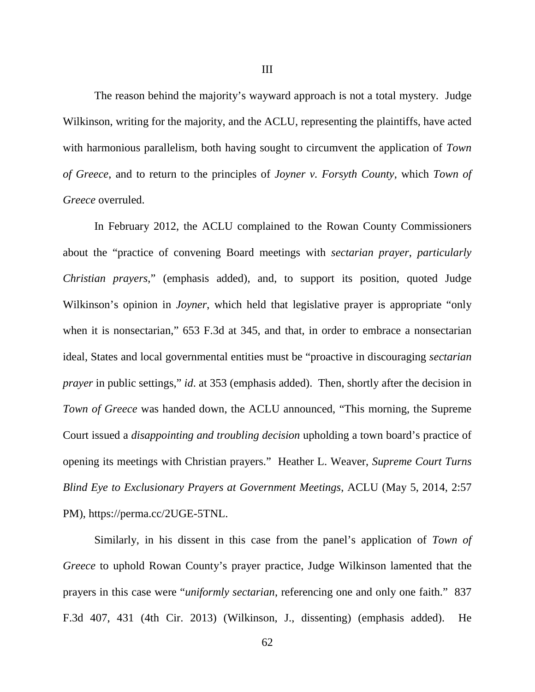The reason behind the majority's wayward approach is not a total mystery. Judge Wilkinson, writing for the majority, and the ACLU, representing the plaintiffs, have acted with harmonious parallelism, both having sought to circumvent the application of *Town of Greece*, and to return to the principles of *Joyner v. Forsyth County*, which *Town of Greece* overruled.

In February 2012, the ACLU complained to the Rowan County Commissioners about the "practice of convening Board meetings with *sectarian prayer*, *particularly Christian prayers*," (emphasis added), and, to support its position, quoted Judge Wilkinson's opinion in *Joyner*, which held that legislative prayer is appropriate "only when it is nonsectarian," 653 F.3d at 345, and that, in order to embrace a nonsectarian ideal, States and local governmental entities must be "proactive in discouraging *sectarian prayer* in public settings," *id*. at 353 (emphasis added). Then, shortly after the decision in *Town of Greece* was handed down, the ACLU announced, "This morning, the Supreme" Court issued a *disappointing and troubling decision* upholding a town board's practice of opening its meetings with Christian prayers." Heather L. Weaver, *Supreme Court Turns Blind Eye to Exclusionary Prayers at Government Meetings*, ACLU (May 5, 2014, 2:57 PM), https://perma.cc/2UGE-5TNL.

Similarly, in his dissent in this case from the panel's application of *Town of Greece* to uphold Rowan County's prayer practice, Judge Wilkinson lamented that the prayers in this case were "*uniformly sectarian*, referencing one and only one faith." 837 F.3d 407, 431 (4th Cir. 2013) (Wilkinson, J., dissenting) (emphasis added). He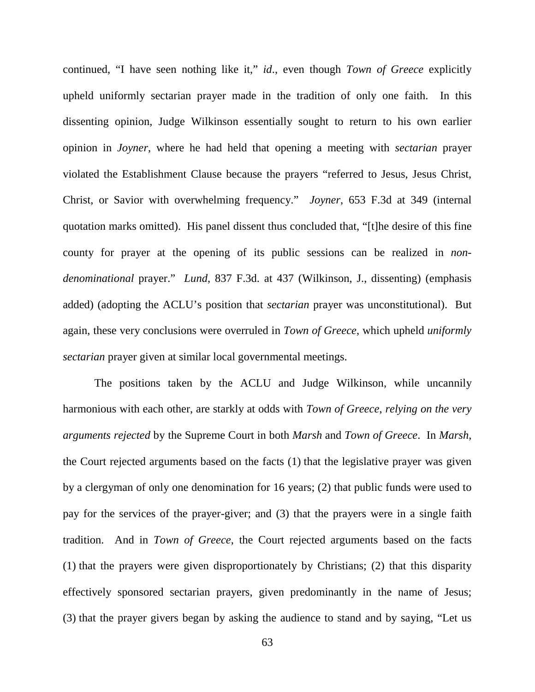continued, "I have seen nothing like it," *id*., even though *Town of Greece* explicitly upheld uniformly sectarian prayer made in the tradition of only one faith. In this dissenting opinion, Judge Wilkinson essentially sought to return to his own earlier opinion in *Joyner*, where he had held that opening a meeting with *sectarian* prayer violated the Establishment Clause because the prayers "referred to Jesus, Jesus Christ, Christ, or Savior with overwhelming frequency." *Joyner*, 653 F.3d at 349 (internal quotation marks omitted). His panel dissent thus concluded that, "[t]he desire of this fine county for prayer at the opening of its public sessions can be realized in *nondenominational* prayer." *Lund*, 837 F.3d. at 437 (Wilkinson, J., dissenting) (emphasis added) (adopting the ACLU's position that *sectarian* prayer was unconstitutional). But again, these very conclusions were overruled in *Town of Greece*, which upheld *uniformly sectarian* prayer given at similar local governmental meetings.

The positions taken by the ACLU and Judge Wilkinson, while uncannily harmonious with each other, are starkly at odds with *Town of Greece*, *relying on the very arguments rejected* by the Supreme Court in both *Marsh* and *Town of Greece*. In *Marsh*, the Court rejected arguments based on the facts (1) that the legislative prayer was given by a clergyman of only one denomination for 16 years; (2) that public funds were used to pay for the services of the prayer-giver; and (3) that the prayers were in a single faith tradition. And in *Town of Greece*, the Court rejected arguments based on the facts (1) that the prayers were given disproportionately by Christians; (2) that this disparity effectively sponsored sectarian prayers, given predominantly in the name of Jesus; (3) that the prayer givers began by asking the audience to stand and by saying, "Let us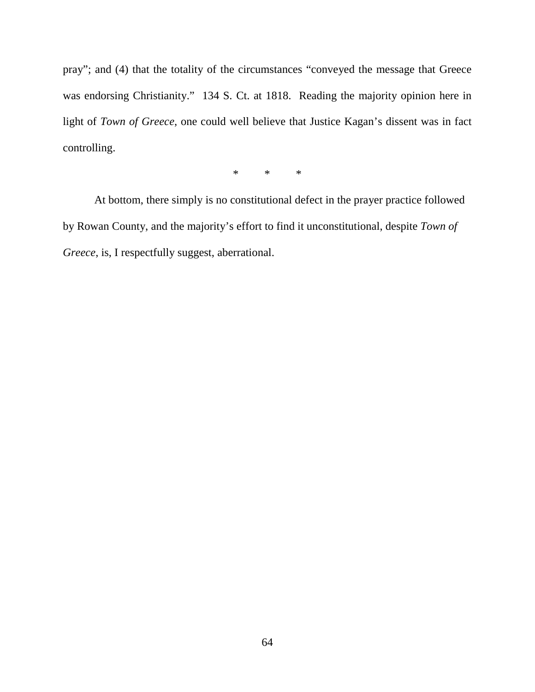pray"; and (4) that the totality of the circumstances "conveyed the message that Greece was endorsing Christianity." 134 S. Ct. at 1818. Reading the majority opinion here in light of *Town of Greece*, one could well believe that Justice Kagan's dissent was in fact controlling.

\* \* \*

At bottom, there simply is no constitutional defect in the prayer practice followed by Rowan County, and the majority's effort to find it unconstitutional, despite *Town of Greece*, is, I respectfully suggest, aberrational.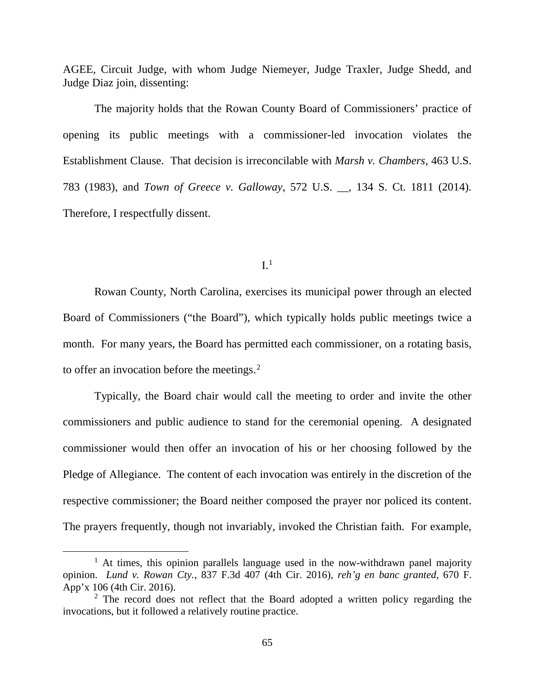AGEE, Circuit Judge, with whom Judge Niemeyer, Judge Traxler, Judge Shedd, and Judge Diaz join, dissenting:

The majority holds that the Rowan County Board of Commissioners' practice of opening its public meetings with a commissioner-led invocation violates the Establishment Clause. That decision is irreconcilable with *Marsh v. Chambers*, 463 U.S. 783 (1983), and *Town of Greece v. Galloway*, 572 U.S. \_\_, 134 S. Ct. 1811 (2014). Therefore, I respectfully dissent.

 $I<sup>1</sup>$  $I<sup>1</sup>$  $I<sup>1</sup>$ 

Rowan County, North Carolina, exercises its municipal power through an elected Board of Commissioners ("the Board"), which typically holds public meetings twice a month. For many years, the Board has permitted each commissioner, on a rotating basis, to offer an invocation before the meetings. [2](#page-64-1)

Typically, the Board chair would call the meeting to order and invite the other commissioners and public audience to stand for the ceremonial opening. A designated commissioner would then offer an invocation of his or her choosing followed by the Pledge of Allegiance. The content of each invocation was entirely in the discretion of the respective commissioner; the Board neither composed the prayer nor policed its content. The prayers frequently, though not invariably, invoked the Christian faith. For example,

<span id="page-64-0"></span> $<sup>1</sup>$  At times, this opinion parallels language used in the now-withdrawn panel majority</sup> opinion. *Lund v. Rowan Cty.*, 837 F.3d 407 (4th Cir. 2016), *reh'g en banc granted*, 670 F. App'x 106 (4th Cir. 2016).

<span id="page-64-1"></span> $2$  The record does not reflect that the Board adopted a written policy regarding the invocations, but it followed a relatively routine practice.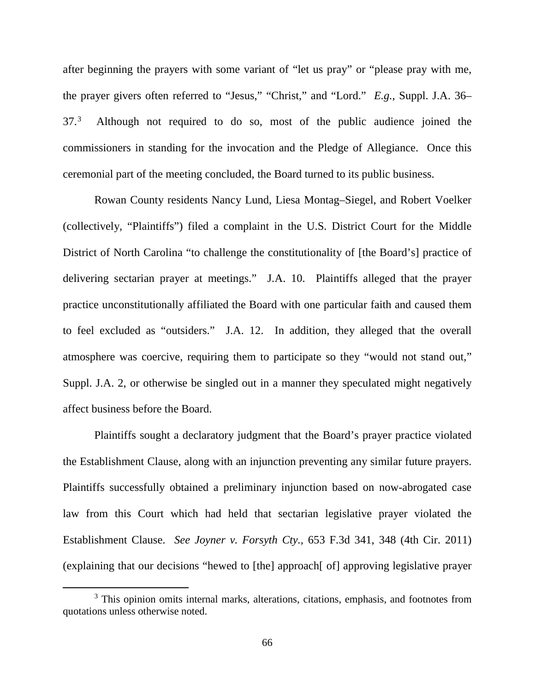after beginning the prayers with some variant of "let us pray" or "please pray with me, the prayer givers often referred to "Jesus," "Christ," and "Lord." *E.g.*, Suppl. J.A. 36– 37.[3](#page-65-0) Although not required to do so, most of the public audience joined the commissioners in standing for the invocation and the Pledge of Allegiance. Once this ceremonial part of the meeting concluded, the Board turned to its public business.

Rowan County residents Nancy Lund, Liesa Montag–Siegel, and Robert Voelker (collectively, "Plaintiffs") filed a complaint in the U.S. District Court for the Middle District of North Carolina "to challenge the constitutionality of [the Board's] practice of delivering sectarian prayer at meetings." J.A. 10. Plaintiffs alleged that the prayer practice unconstitutionally affiliated the Board with one particular faith and caused them to feel excluded as "outsiders." J.A. 12. In addition, they alleged that the overall atmosphere was coercive, requiring them to participate so they "would not stand out," Suppl. J.A. 2, or otherwise be singled out in a manner they speculated might negatively affect business before the Board.

Plaintiffs sought a declaratory judgment that the Board's prayer practice violated the Establishment Clause, along with an injunction preventing any similar future prayers. Plaintiffs successfully obtained a preliminary injunction based on now-abrogated case law from this Court which had held that sectarian legislative prayer violated the Establishment Clause. *See Joyner v. Forsyth Cty.,* 653 F.3d 341, 348 (4th Cir. 2011) (explaining that our decisions "hewed to [the] approach[ of] approving legislative prayer

<span id="page-65-0"></span><sup>&</sup>lt;sup>3</sup> This opinion omits internal marks, alterations, citations, emphasis, and footnotes from quotations unless otherwise noted.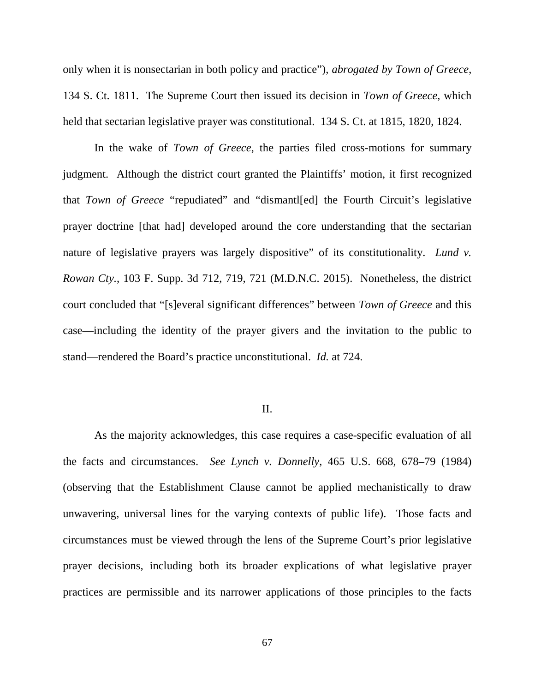only when it is nonsectarian in both policy and practice"), *abrogated by Town of Greece*, 134 S. Ct. 1811. The Supreme Court then issued its decision in *Town of Greece*, which held that sectarian legislative prayer was constitutional. 134 S. Ct. at 1815, 1820, 1824.

In the wake of *Town of Greece*, the parties filed cross-motions for summary judgment. Although the district court granted the Plaintiffs' motion, it first recognized that *Town of Greece* "repudiated" and "dismantl[ed] the Fourth Circuit's legislative prayer doctrine [that had] developed around the core understanding that the sectarian nature of legislative prayers was largely dispositive" of its constitutionality. *Lund v. Rowan Cty.*, 103 F. Supp. 3d 712, 719, 721 (M.D.N.C. 2015). Nonetheless, the district court concluded that "[s]everal significant differences" between *Town of Greece* and this case—including the identity of the prayer givers and the invitation to the public to stand—rendered the Board's practice unconstitutional. *Id.* at 724.

## II.

As the majority acknowledges, this case requires a case-specific evaluation of all the facts and circumstances. *See Lynch v. Donnelly*, 465 U.S. 668, 678–79 (1984) (observing that the Establishment Clause cannot be applied mechanistically to draw unwavering, universal lines for the varying contexts of public life). Those facts and circumstances must be viewed through the lens of the Supreme Court's prior legislative prayer decisions, including both its broader explications of what legislative prayer practices are permissible and its narrower applications of those principles to the facts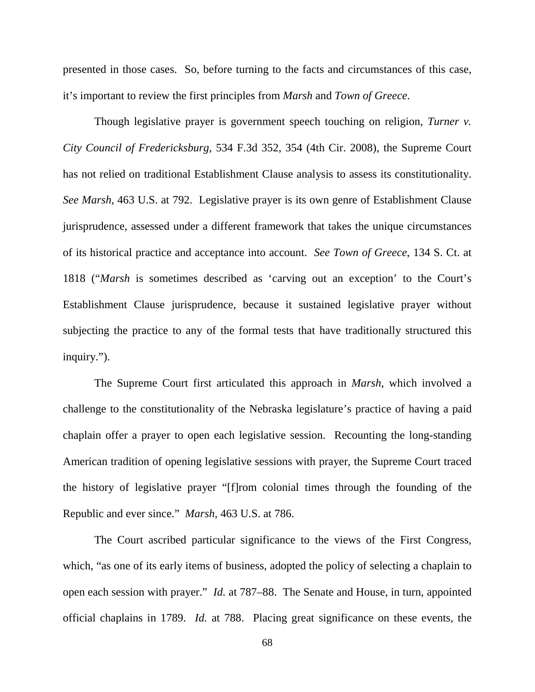presented in those cases. So, before turning to the facts and circumstances of this case, it's important to review the first principles from *Marsh* and *Town of Greece*.

Though legislative prayer is government speech touching on religion, *Turner v. City Council of Fredericksburg*, 534 F.3d 352, 354 (4th Cir. 2008), the Supreme Court has not relied on traditional Establishment Clause analysis to assess its constitutionality. *See Marsh*, 463 U.S. at 792. Legislative prayer is its own genre of Establishment Clause jurisprudence, assessed under a different framework that takes the unique circumstances of its historical practice and acceptance into account. *See Town of Greece*, 134 S. Ct. at 1818 ("*Marsh* is sometimes described as 'carving out an exception' to the Court's Establishment Clause jurisprudence, because it sustained legislative prayer without subjecting the practice to any of the formal tests that have traditionally structured this inquiry.").

The Supreme Court first articulated this approach in *Marsh*, which involved a challenge to the constitutionality of the Nebraska legislature's practice of having a paid chaplain offer a prayer to open each legislative session. Recounting the long-standing American tradition of opening legislative sessions with prayer, the Supreme Court traced the history of legislative prayer "[f]rom colonial times through the founding of the Republic and ever since." *Marsh*, 463 U.S. at 786.

The Court ascribed particular significance to the views of the First Congress, which, "as one of its early items of business, adopted the policy of selecting a chaplain to open each session with prayer." *Id.* at 787–88. The Senate and House, in turn, appointed official chaplains in 1789. *Id.* at 788. Placing great significance on these events, the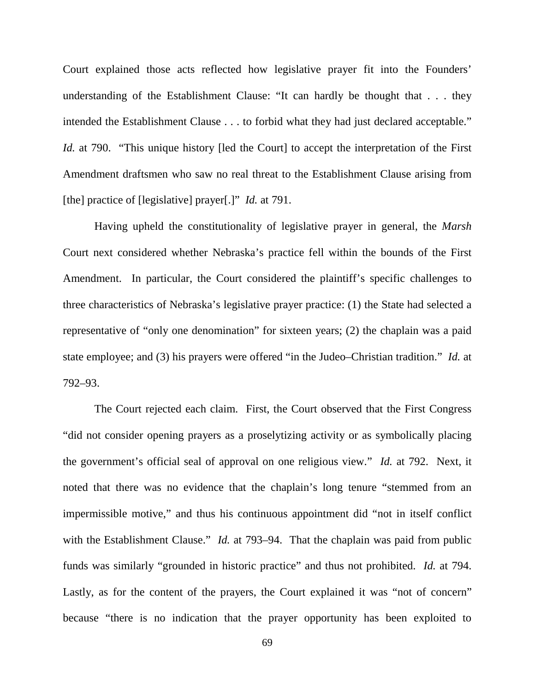Court explained those acts reflected how legislative prayer fit into the Founders' understanding of the Establishment Clause: "It can hardly be thought that . . . they intended the Establishment Clause . . . to forbid what they had just declared acceptable." *Id.* at 790. "This unique history [led the Court] to accept the interpretation of the First Amendment draftsmen who saw no real threat to the Establishment Clause arising from [the] practice of [legislative] prayer[.]" *Id.* at 791.

Having upheld the constitutionality of legislative prayer in general, the *Marsh* Court next considered whether Nebraska's practice fell within the bounds of the First Amendment. In particular, the Court considered the plaintiff's specific challenges to three characteristics of Nebraska's legislative prayer practice: (1) the State had selected a representative of "only one denomination" for sixteen years; (2) the chaplain was a paid state employee; and (3) his prayers were offered "in the Judeo–Christian tradition." *Id.* at 792–93.

The Court rejected each claim. First, the Court observed that the First Congress "did not consider opening prayers as a proselytizing activity or as symbolically placing the government's official seal of approval on one religious view." *Id.* at 792. Next, it noted that there was no evidence that the chaplain's long tenure "stemmed from an impermissible motive," and thus his continuous appointment did "not in itself conflict with the Establishment Clause." *Id.* at 793–94. That the chaplain was paid from public funds was similarly "grounded in historic practice" and thus not prohibited. *Id.* at 794. Lastly, as for the content of the prayers, the Court explained it was "not of concern" because "there is no indication that the prayer opportunity has been exploited to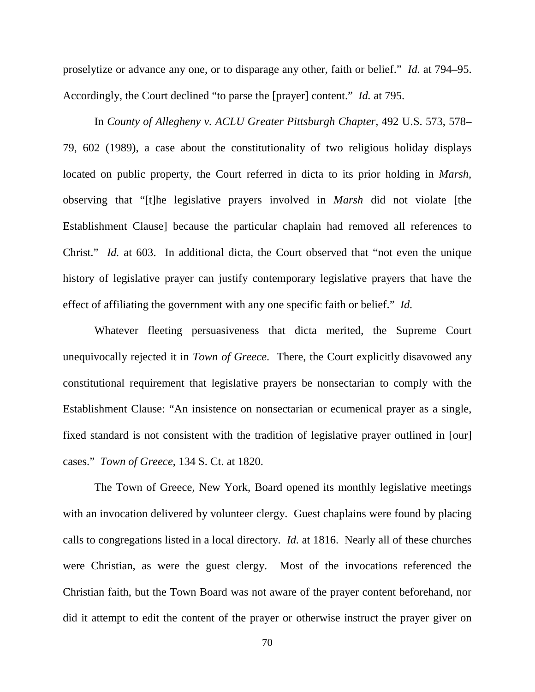proselytize or advance any one, or to disparage any other, faith or belief." *Id.* at 794–95. Accordingly, the Court declined "to parse the [prayer] content." *Id.* at 795.

In *County of Allegheny v. ACLU Greater Pittsburgh Chapter*, 492 U.S. 573, 578– 79, 602 (1989), a case about the constitutionality of two religious holiday displays located on public property, the Court referred in dicta to its prior holding in *Marsh,*  observing that "[t]he legislative prayers involved in *Marsh* did not violate [the Establishment Clause] because the particular chaplain had removed all references to Christ." *Id.* at 603. In additional dicta, the Court observed that "not even the unique history of legislative prayer can justify contemporary legislative prayers that have the effect of affiliating the government with any one specific faith or belief." *Id.* 

Whatever fleeting persuasiveness that dicta merited, the Supreme Court unequivocally rejected it in *Town of Greece*. There, the Court explicitly disavowed any constitutional requirement that legislative prayers be nonsectarian to comply with the Establishment Clause: "An insistence on nonsectarian or ecumenical prayer as a single, fixed standard is not consistent with the tradition of legislative prayer outlined in [our] cases." *Town of Greece*, 134 S. Ct. at 1820.

The Town of Greece, New York, Board opened its monthly legislative meetings with an invocation delivered by volunteer clergy. Guest chaplains were found by placing calls to congregations listed in a local directory. *Id.* at 1816. Nearly all of these churches were Christian, as were the guest clergy. Most of the invocations referenced the Christian faith, but the Town Board was not aware of the prayer content beforehand, nor did it attempt to edit the content of the prayer or otherwise instruct the prayer giver on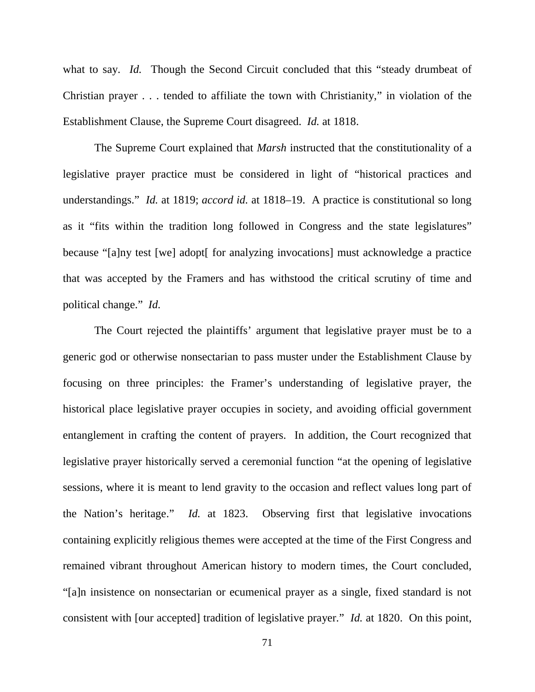what to say. *Id.* Though the Second Circuit concluded that this "steady drumbeat of Christian prayer . . . tended to affiliate the town with Christianity," in violation of the Establishment Clause, the Supreme Court disagreed. *Id.* at 1818.

The Supreme Court explained that *Marsh* instructed that the constitutionality of a legislative prayer practice must be considered in light of "historical practices and understandings." *Id.* at 1819; *accord id.* at 1818–19. A practice is constitutional so long as it "fits within the tradition long followed in Congress and the state legislatures" because "[a]ny test [we] adopt[ for analyzing invocations] must acknowledge a practice that was accepted by the Framers and has withstood the critical scrutiny of time and political change." *Id.*

The Court rejected the plaintiffs' argument that legislative prayer must be to a generic god or otherwise nonsectarian to pass muster under the Establishment Clause by focusing on three principles: the Framer's understanding of legislative prayer, the historical place legislative prayer occupies in society, and avoiding official government entanglement in crafting the content of prayers. In addition, the Court recognized that legislative prayer historically served a ceremonial function "at the opening of legislative sessions, where it is meant to lend gravity to the occasion and reflect values long part of the Nation's heritage." *Id.* at 1823. Observing first that legislative invocations containing explicitly religious themes were accepted at the time of the First Congress and remained vibrant throughout American history to modern times, the Court concluded, "[a]n insistence on nonsectarian or ecumenical prayer as a single, fixed standard is not consistent with [our accepted] tradition of legislative prayer." *Id.* at 1820. On this point,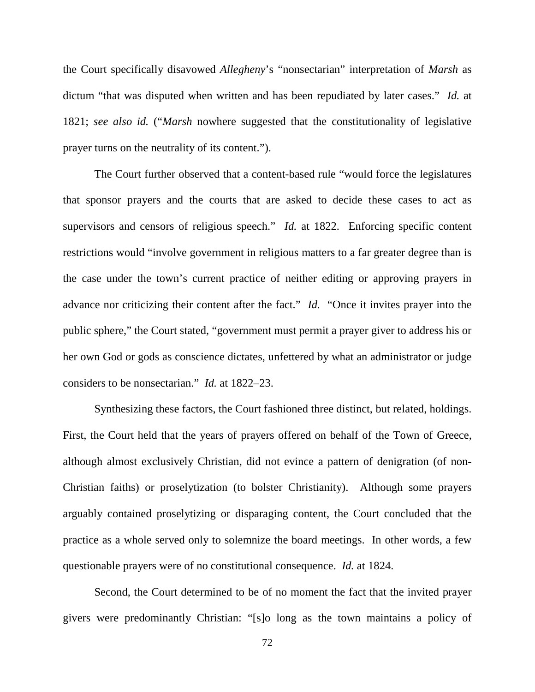the Court specifically disavowed *Allegheny*'s "nonsectarian" interpretation of *Marsh* as dictum "that was disputed when written and has been repudiated by later cases." *Id.* at 1821; *see also id.* ("*Marsh* nowhere suggested that the constitutionality of legislative prayer turns on the neutrality of its content.").

The Court further observed that a content-based rule "would force the legislatures that sponsor prayers and the courts that are asked to decide these cases to act as supervisors and censors of religious speech." *Id.* at 1822. Enforcing specific content restrictions would "involve government in religious matters to a far greater degree than is the case under the town's current practice of neither editing or approving prayers in advance nor criticizing their content after the fact." *Id.* "Once it invites prayer into the public sphere," the Court stated, "government must permit a prayer giver to address his or her own God or gods as conscience dictates, unfettered by what an administrator or judge considers to be nonsectarian." *Id.* at 1822–23.

Synthesizing these factors, the Court fashioned three distinct, but related, holdings. First, the Court held that the years of prayers offered on behalf of the Town of Greece, although almost exclusively Christian, did not evince a pattern of denigration (of non-Christian faiths) or proselytization (to bolster Christianity). Although some prayers arguably contained proselytizing or disparaging content, the Court concluded that the practice as a whole served only to solemnize the board meetings. In other words, a few questionable prayers were of no constitutional consequence. *Id.* at 1824.

Second, the Court determined to be of no moment the fact that the invited prayer givers were predominantly Christian: "[s]o long as the town maintains a policy of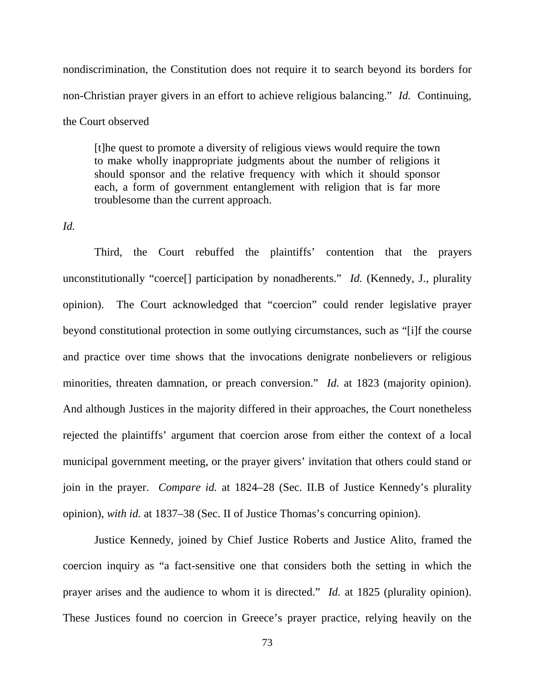nondiscrimination, the Constitution does not require it to search beyond its borders for non-Christian prayer givers in an effort to achieve religious balancing." *Id.* Continuing, the Court observed

[t]he quest to promote a diversity of religious views would require the town to make wholly inappropriate judgments about the number of religions it should sponsor and the relative frequency with which it should sponsor each, a form of government entanglement with religion that is far more troublesome than the current approach.

## *Id.*

Third, the Court rebuffed the plaintiffs' contention that the prayers unconstitutionally "coerce[] participation by nonadherents." *Id.* (Kennedy, J., plurality opinion). The Court acknowledged that "coercion" could render legislative prayer beyond constitutional protection in some outlying circumstances, such as "[i]f the course and practice over time shows that the invocations denigrate nonbelievers or religious minorities, threaten damnation, or preach conversion." *Id.* at 1823 (majority opinion). And although Justices in the majority differed in their approaches, the Court nonetheless rejected the plaintiffs' argument that coercion arose from either the context of a local municipal government meeting, or the prayer givers' invitation that others could stand or join in the prayer. *Compare id.* at 1824–28 (Sec. II.B of Justice Kennedy's plurality opinion), *with id.* at 1837–38 (Sec. II of Justice Thomas's concurring opinion).

Justice Kennedy, joined by Chief Justice Roberts and Justice Alito, framed the coercion inquiry as "a fact-sensitive one that considers both the setting in which the prayer arises and the audience to whom it is directed." *Id.* at 1825 (plurality opinion). These Justices found no coercion in Greece's prayer practice, relying heavily on the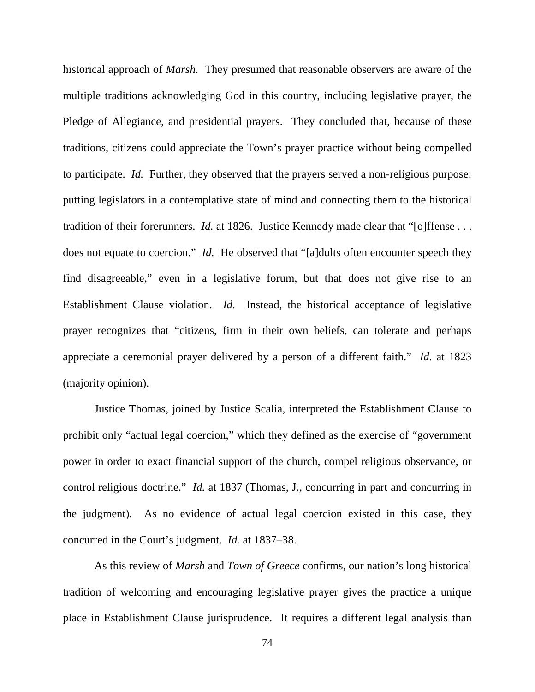historical approach of *Marsh*. They presumed that reasonable observers are aware of the multiple traditions acknowledging God in this country, including legislative prayer, the Pledge of Allegiance, and presidential prayers. They concluded that, because of these traditions, citizens could appreciate the Town's prayer practice without being compelled to participate. *Id.* Further, they observed that the prayers served a non-religious purpose: putting legislators in a contemplative state of mind and connecting them to the historical tradition of their forerunners. *Id.* at 1826. Justice Kennedy made clear that "[o]ffense . . . does not equate to coercion." *Id.* He observed that "[a]dults often encounter speech they find disagreeable," even in a legislative forum, but that does not give rise to an Establishment Clause violation. *Id.* Instead, the historical acceptance of legislative prayer recognizes that "citizens, firm in their own beliefs, can tolerate and perhaps appreciate a ceremonial prayer delivered by a person of a different faith." *Id.* at 1823 (majority opinion).

Justice Thomas, joined by Justice Scalia, interpreted the Establishment Clause to prohibit only "actual legal coercion," which they defined as the exercise of "government power in order to exact financial support of the church, compel religious observance, or control religious doctrine." *Id.* at 1837 (Thomas, J., concurring in part and concurring in the judgment). As no evidence of actual legal coercion existed in this case, they concurred in the Court's judgment. *Id.* at 1837–38.

As this review of *Marsh* and *Town of Greece* confirms, our nation's long historical tradition of welcoming and encouraging legislative prayer gives the practice a unique place in Establishment Clause jurisprudence. It requires a different legal analysis than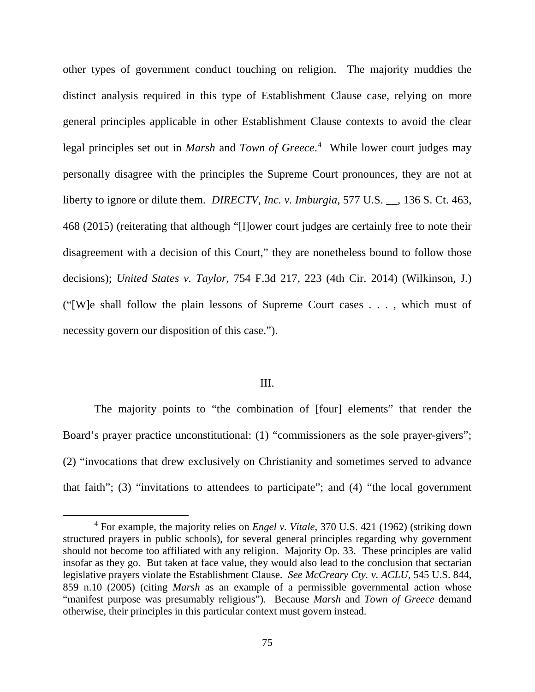other types of government conduct touching on religion. The majority muddies the distinct analysis required in this type of Establishment Clause case, relying on more general principles applicable in other Establishment Clause contexts to avoid the clear legal principles set out in *Marsh* and *Town of Greece*. [4](#page-74-0) While lower court judges may personally disagree with the principles the Supreme Court pronounces, they are not at liberty to ignore or dilute them. *DIRECTV, Inc. v. Imburgia*, 577 U.S. \_\_, 136 S. Ct. 463, 468 (2015) (reiterating that although "[l]ower court judges are certainly free to note their disagreement with a decision of this Court," they are nonetheless bound to follow those decisions); *United States v. Taylor*, 754 F.3d 217, 223 (4th Cir. 2014) (Wilkinson, J.) ("[W]e shall follow the plain lessons of Supreme Court cases . . . , which must of necessity govern our disposition of this case.").

## III.

The majority points to "the combination of [four] elements" that render the Board's prayer practice unconstitutional: (1) "commissioners as the sole prayer-givers"; (2) "invocations that drew exclusively on Christianity and sometimes served to advance that faith"; (3) "invitations to attendees to participate"; and (4) "the local government

<span id="page-74-0"></span><sup>4</sup> For example, the majority relies on *Engel v. Vitale*, 370 U.S. 421 (1962) (striking down structured prayers in public schools), for several general principles regarding why government should not become too affiliated with any religion. Majority Op. 33. These principles are valid insofar as they go. But taken at face value, they would also lead to the conclusion that sectarian legislative prayers violate the Establishment Clause. *See McCreary Cty. v. ACLU*, 545 U.S. 844, 859 n.10 (2005) (citing *Marsh* as an example of a permissible governmental action whose "manifest purpose was presumably religious"). Because *Marsh* and *Town of Greece* demand otherwise, their principles in this particular context must govern instead.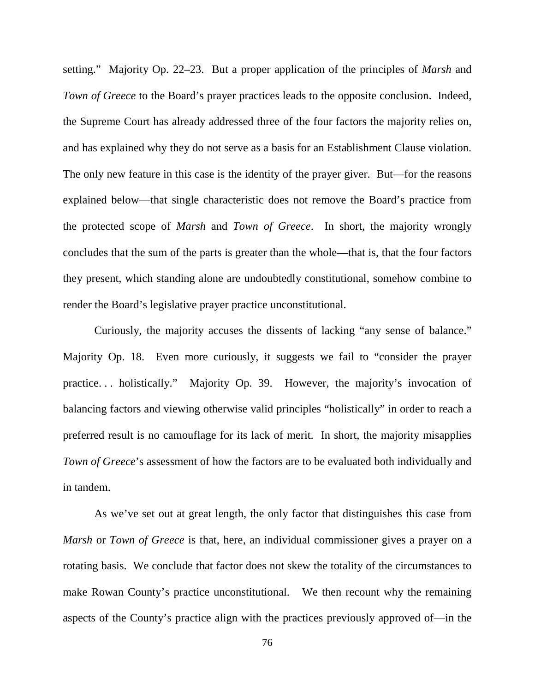setting." Majority Op. 22–23. But a proper application of the principles of *Marsh* and *Town of Greece* to the Board's prayer practices leads to the opposite conclusion. Indeed, the Supreme Court has already addressed three of the four factors the majority relies on, and has explained why they do not serve as a basis for an Establishment Clause violation. The only new feature in this case is the identity of the prayer giver. But—for the reasons explained below—that single characteristic does not remove the Board's practice from the protected scope of *Marsh* and *Town of Greece*. In short, the majority wrongly concludes that the sum of the parts is greater than the whole—that is, that the four factors they present, which standing alone are undoubtedly constitutional, somehow combine to render the Board's legislative prayer practice unconstitutional.

Curiously, the majority accuses the dissents of lacking "any sense of balance." Majority Op. 18. Even more curiously, it suggests we fail to "consider the prayer practice. . . holistically." Majority Op. 39. However, the majority's invocation of balancing factors and viewing otherwise valid principles "holistically" in order to reach a preferred result is no camouflage for its lack of merit. In short, the majority misapplies *Town of Greece*'s assessment of how the factors are to be evaluated both individually and in tandem.

As we've set out at great length, the only factor that distinguishes this case from *Marsh* or *Town of Greece* is that, here, an individual commissioner gives a prayer on a rotating basis. We conclude that factor does not skew the totality of the circumstances to make Rowan County's practice unconstitutional. We then recount why the remaining aspects of the County's practice align with the practices previously approved of—in the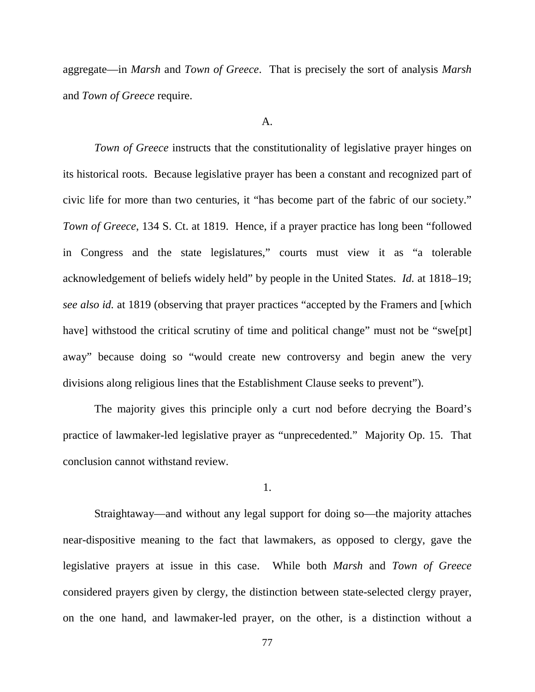aggregate—in *Marsh* and *Town of Greece*. That is precisely the sort of analysis *Marsh* and *Town of Greece* require.

## A.

*Town of Greece* instructs that the constitutionality of legislative prayer hinges on its historical roots. Because legislative prayer has been a constant and recognized part of civic life for more than two centuries, it "has become part of the fabric of our society." *Town of Greece*, 134 S. Ct. at 1819. Hence, if a prayer practice has long been "followed" in Congress and the state legislatures," courts must view it as "a tolerable acknowledgement of beliefs widely held" by people in the United States. *Id.* at 1818–19; *see also id.* at 1819 (observing that prayer practices "accepted by the Framers and [which have] withstood the critical scrutiny of time and political change" must not be "swe[pt] away" because doing so "would create new controversy and begin anew the very divisions along religious lines that the Establishment Clause seeks to prevent").

The majority gives this principle only a curt nod before decrying the Board's practice of lawmaker-led legislative prayer as "unprecedented." Majority Op. 15. That conclusion cannot withstand review.

1.

Straightaway—and without any legal support for doing so—the majority attaches near-dispositive meaning to the fact that lawmakers, as opposed to clergy, gave the legislative prayers at issue in this case. While both *Marsh* and *Town of Greece* considered prayers given by clergy, the distinction between state-selected clergy prayer, on the one hand, and lawmaker-led prayer, on the other, is a distinction without a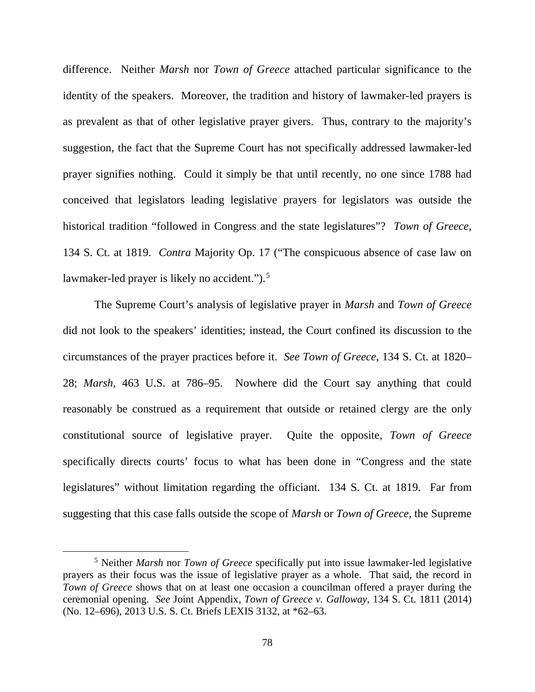difference. Neither *Marsh* nor *Town of Greece* attached particular significance to the identity of the speakers. Moreover, the tradition and history of lawmaker-led prayers is as prevalent as that of other legislative prayer givers. Thus, contrary to the majority's suggestion, the fact that the Supreme Court has not specifically addressed lawmaker-led prayer signifies nothing. Could it simply be that until recently, no one since 1788 had conceived that legislators leading legislative prayers for legislators was outside the historical tradition "followed in Congress and the state legislatures"? *Town of Greece*, 134 S. Ct. at 1819. *Contra* Majority Op. 17 ("The conspicuous absence of case law on lawmaker-led prayer is likely no accident.").<sup>[5](#page-77-0)</sup>

The Supreme Court's analysis of legislative prayer in *Marsh* and *Town of Greece* did not look to the speakers' identities; instead, the Court confined its discussion to the circumstances of the prayer practices before it. *See Town of Greece*, 134 S. Ct. at 1820– 28; *Marsh*, 463 U.S. at 786–95. Nowhere did the Court say anything that could reasonably be construed as a requirement that outside or retained clergy are the only constitutional source of legislative prayer. Quite the opposite, *Town of Greece* specifically directs courts' focus to what has been done in "Congress and the state legislatures" without limitation regarding the officiant. 134 S. Ct. at 1819. Far from suggesting that this case falls outside the scope of *Marsh* or *Town of Greece*, the Supreme

<span id="page-77-0"></span><sup>5</sup> Neither *Marsh* nor *Town of Greece* specifically put into issue lawmaker-led legislative prayers as their focus was the issue of legislative prayer as a whole. That said, the record in *Town of Greece* shows that on at least one occasion a councilman offered a prayer during the ceremonial opening. *See* Joint Appendix, *Town of Greece v. Galloway*, 134 S. Ct. 1811 (2014) (No. 12–696), 2013 U.S. S. Ct. Briefs LEXIS 3132, at \*62–63.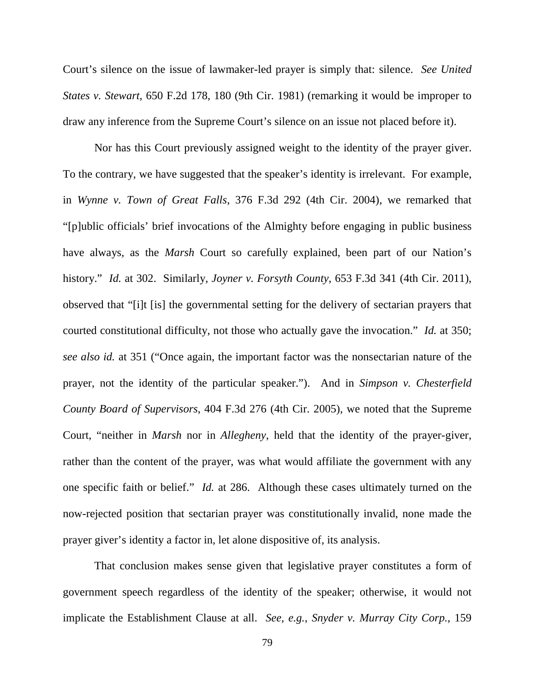Court's silence on the issue of lawmaker-led prayer is simply that: silence. *See United States v. Stewart*, 650 F.2d 178, 180 (9th Cir. 1981) (remarking it would be improper to draw any inference from the Supreme Court's silence on an issue not placed before it).

Nor has this Court previously assigned weight to the identity of the prayer giver. To the contrary, we have suggested that the speaker's identity is irrelevant. For example, in *Wynne v. Town of Great Falls*, 376 F.3d 292 (4th Cir. 2004), we remarked that "[p]ublic officials' brief invocations of the Almighty before engaging in public business have always, as the *Marsh* Court so carefully explained, been part of our Nation's history." *Id.* at 302. Similarly, *Joyner v. Forsyth County*, 653 F.3d 341 (4th Cir. 2011), observed that "[i]t [is] the governmental setting for the delivery of sectarian prayers that courted constitutional difficulty, not those who actually gave the invocation." *Id.* at 350; *see also id.* at 351 ("Once again, the important factor was the nonsectarian nature of the prayer, not the identity of the particular speaker."). And in *Simpson v. Chesterfield County Board of Supervisors*, 404 F.3d 276 (4th Cir. 2005), we noted that the Supreme Court, "neither in *Marsh* nor in *Allegheny*, held that the identity of the prayer-giver, rather than the content of the prayer, was what would affiliate the government with any one specific faith or belief." *Id.* at 286. Although these cases ultimately turned on the now-rejected position that sectarian prayer was constitutionally invalid, none made the prayer giver's identity a factor in, let alone dispositive of, its analysis.

That conclusion makes sense given that legislative prayer constitutes a form of government speech regardless of the identity of the speaker; otherwise, it would not implicate the Establishment Clause at all. *See, e.g.*, *Snyder v. Murray City Corp.*, 159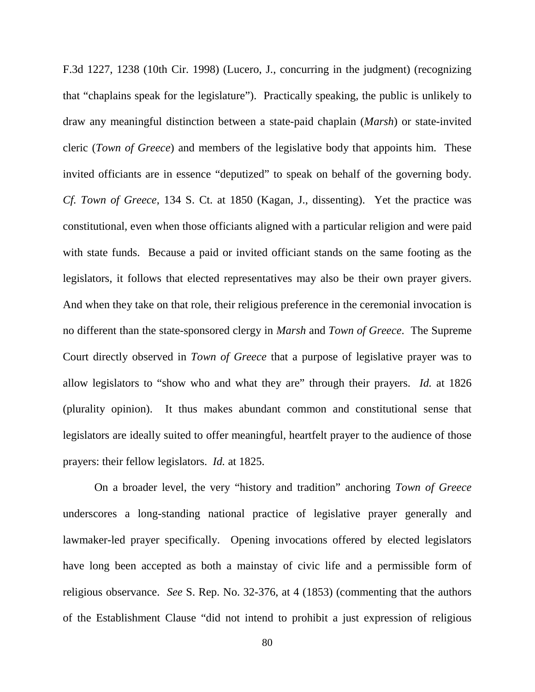F.3d 1227, 1238 (10th Cir. 1998) (Lucero, J., concurring in the judgment) (recognizing that "chaplains speak for the legislature"). Practically speaking, the public is unlikely to draw any meaningful distinction between a state-paid chaplain (*Marsh*) or state-invited cleric (*Town of Greece*) and members of the legislative body that appoints him. These invited officiants are in essence "deputized" to speak on behalf of the governing body. *Cf. Town of Greece*, 134 S. Ct. at 1850 (Kagan, J., dissenting). Yet the practice was constitutional, even when those officiants aligned with a particular religion and were paid with state funds. Because a paid or invited officiant stands on the same footing as the legislators, it follows that elected representatives may also be their own prayer givers. And when they take on that role, their religious preference in the ceremonial invocation is no different than the state-sponsored clergy in *Marsh* and *Town of Greece*. The Supreme Court directly observed in *Town of Greece* that a purpose of legislative prayer was to allow legislators to "show who and what they are" through their prayers. *Id.* at 1826 (plurality opinion). It thus makes abundant common and constitutional sense that legislators are ideally suited to offer meaningful, heartfelt prayer to the audience of those prayers: their fellow legislators. *Id.* at 1825.

On a broader level, the very "history and tradition" anchoring *Town of Greece* underscores a long-standing national practice of legislative prayer generally and lawmaker-led prayer specifically. Opening invocations offered by elected legislators have long been accepted as both a mainstay of civic life and a permissible form of religious observance. *See* S. Rep. No. 32-376, at 4 (1853) (commenting that the authors of the Establishment Clause "did not intend to prohibit a just expression of religious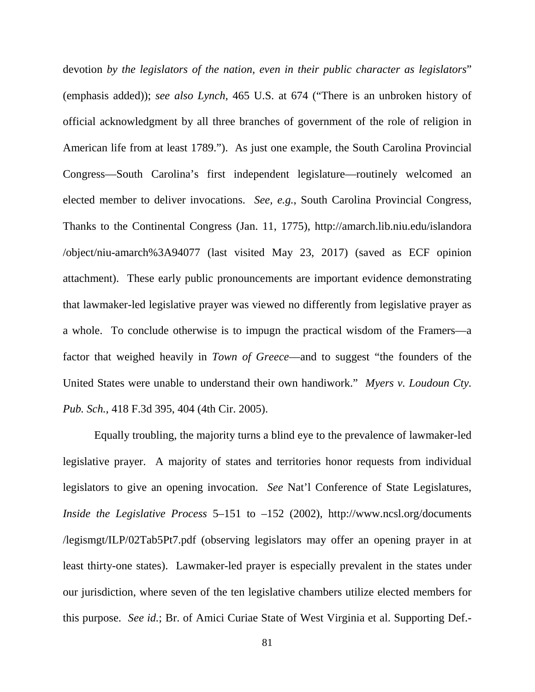devotion *by the legislators of the nation, even in their public character as legislators*" (emphasis added)); *see also Lynch*, 465 U.S. at 674 ("There is an unbroken history of official acknowledgment by all three branches of government of the role of religion in American life from at least 1789."). As just one example, the South Carolina Provincial Congress—South Carolina's first independent legislature—routinely welcomed an elected member to deliver invocations. *See, e.g.*, South Carolina Provincial Congress, Thanks to the Continental Congress (Jan. 11, 1775), http://amarch.lib.niu.edu/islandora /object/niu-amarch%3A94077 (last visited May 23, 2017) (saved as ECF opinion attachment). These early public pronouncements are important evidence demonstrating that lawmaker-led legislative prayer was viewed no differently from legislative prayer as a whole. To conclude otherwise is to impugn the practical wisdom of the Framers—a factor that weighed heavily in *Town of Greece*—and to suggest "the founders of the United States were unable to understand their own handiwork." *Myers v. Loudoun Cty. Pub. Sch.*, 418 F.3d 395, 404 (4th Cir. 2005).

Equally troubling, the majority turns a blind eye to the prevalence of lawmaker-led legislative prayer. A majority of states and territories honor requests from individual legislators to give an opening invocation. *See* Nat'l Conference of State Legislatures, *Inside the Legislative Process* 5–151 to –152 (2002), http://www.ncsl.org/documents /legismgt/ILP/02Tab5Pt7.pdf (observing legislators may offer an opening prayer in at least thirty-one states). Lawmaker-led prayer is especially prevalent in the states under our jurisdiction, where seven of the ten legislative chambers utilize elected members for this purpose. *See id.*; Br. of Amici Curiae State of West Virginia et al. Supporting Def.-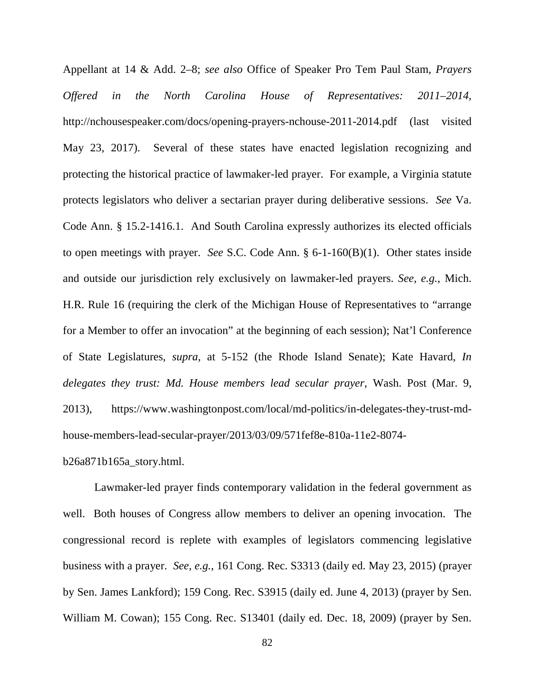Appellant at 14 & Add. 2–8; *see also* Office of Speaker Pro Tem Paul Stam, *Prayers Offered in the North Carolina House of Representatives: 2011–2014*, http://nchousespeaker.com/docs/opening-prayers-nchouse-2011-2014.pdf (last visited May 23, 2017). Several of these states have enacted legislation recognizing and protecting the historical practice of lawmaker-led prayer. For example, a Virginia statute protects legislators who deliver a sectarian prayer during deliberative sessions. *See* Va. Code Ann. § 15.2-1416.1. And South Carolina expressly authorizes its elected officials to open meetings with prayer. *See* S.C. Code Ann. § 6-1-160(B)(1). Other states inside and outside our jurisdiction rely exclusively on lawmaker-led prayers. *See, e.g.*, Mich. H.R. Rule 16 (requiring the clerk of the Michigan House of Representatives to "arrange for a Member to offer an invocation" at the beginning of each session); Nat'l Conference of State Legislatures, *supra*, at 5-152 (the Rhode Island Senate); Kate Havard, *In delegates they trust: Md. House members lead secular prayer*, Wash. Post (Mar. 9, 2013), https://www.washingtonpost.com/local/md-politics/in-delegates-they-trust-mdhouse-members-lead-secular-prayer/2013/03/09/571fef8e-810a-11e2-8074 b26a871b165a\_story.html.

Lawmaker-led prayer finds contemporary validation in the federal government as well. Both houses of Congress allow members to deliver an opening invocation. The congressional record is replete with examples of legislators commencing legislative business with a prayer. *See, e.g.*, 161 Cong. Rec. S3313 (daily ed. May 23, 2015) (prayer by Sen. James Lankford); 159 Cong. Rec. S3915 (daily ed. June 4, 2013) (prayer by Sen. William M. Cowan); 155 Cong. Rec. S13401 (daily ed. Dec. 18, 2009) (prayer by Sen.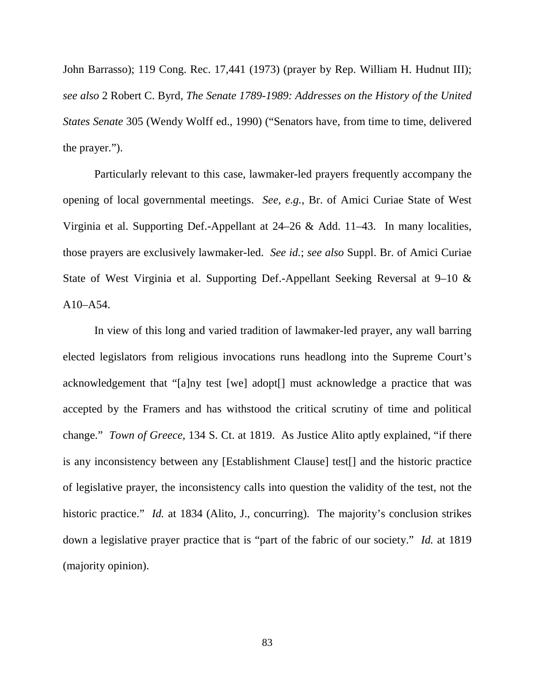John Barrasso); 119 Cong. Rec. 17,441 (1973) (prayer by Rep. William H. Hudnut III); *see also* 2 Robert C. Byrd, *The Senate 1789-1989: Addresses on the History of the United States Senate* 305 (Wendy Wolff ed., 1990) ("Senators have, from time to time, delivered the prayer.").

Particularly relevant to this case, lawmaker-led prayers frequently accompany the opening of local governmental meetings. *See, e.g.*, Br. of Amici Curiae State of West Virginia et al. Supporting Def.-Appellant at 24–26 & Add. 11–43. In many localities, those prayers are exclusively lawmaker-led. *See id.*; *see also* Suppl. Br. of Amici Curiae State of West Virginia et al. Supporting Def.-Appellant Seeking Reversal at 9–10 & A10–A54.

In view of this long and varied tradition of lawmaker-led prayer, any wall barring elected legislators from religious invocations runs headlong into the Supreme Court's acknowledgement that "[a]ny test [we] adopt[] must acknowledge a practice that was accepted by the Framers and has withstood the critical scrutiny of time and political change." *Town of Greece*, 134 S. Ct. at 1819. As Justice Alito aptly explained, "if there is any inconsistency between any [Establishment Clause] test[] and the historic practice of legislative prayer, the inconsistency calls into question the validity of the test, not the historic practice." *Id.* at 1834 (Alito, J., concurring). The majority's conclusion strikes down a legislative prayer practice that is "part of the fabric of our society." *Id.* at 1819 (majority opinion).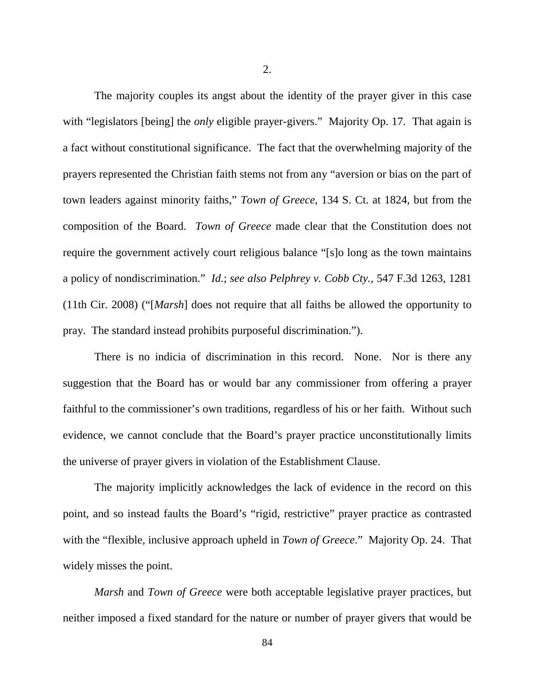The majority couples its angst about the identity of the prayer giver in this case with "legislators [being] the *only* eligible prayer-givers." Majority Op. 17. That again is a fact without constitutional significance. The fact that the overwhelming majority of the prayers represented the Christian faith stems not from any "aversion or bias on the part of town leaders against minority faiths," *Town of Greece*, 134 S. Ct. at 1824, but from the composition of the Board. *Town of Greece* made clear that the Constitution does not require the government actively court religious balance "[s]o long as the town maintains a policy of nondiscrimination." *Id.*; *see also Pelphrey v. Cobb Cty.*, 547 F.3d 1263, 1281 (11th Cir. 2008) ("[*Marsh*] does not require that all faiths be allowed the opportunity to pray. The standard instead prohibits purposeful discrimination.").

There is no indicia of discrimination in this record. None. Nor is there any suggestion that the Board has or would bar any commissioner from offering a prayer faithful to the commissioner's own traditions, regardless of his or her faith. Without such evidence, we cannot conclude that the Board's prayer practice unconstitutionally limits the universe of prayer givers in violation of the Establishment Clause.

The majority implicitly acknowledges the lack of evidence in the record on this point, and so instead faults the Board's "rigid, restrictive" prayer practice as contrasted with the "flexible, inclusive approach upheld in *Town of Greece*." Majority Op. 24. That widely misses the point.

*Marsh* and *Town of Greece* were both acceptable legislative prayer practices, but neither imposed a fixed standard for the nature or number of prayer givers that would be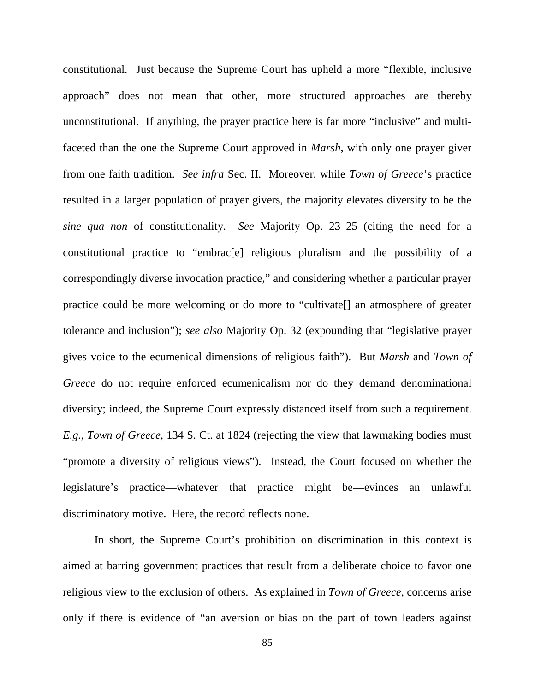constitutional. Just because the Supreme Court has upheld a more "flexible, inclusive approach" does not mean that other, more structured approaches are thereby unconstitutional. If anything, the prayer practice here is far more "inclusive" and multifaceted than the one the Supreme Court approved in *Marsh*, with only one prayer giver from one faith tradition. *See infra* Sec. II. Moreover, while *Town of Greece*'s practice resulted in a larger population of prayer givers, the majority elevates diversity to be the *sine qua non* of constitutionality. *See* Majority Op. 23–25 (citing the need for a constitutional practice to "embrac[e] religious pluralism and the possibility of a correspondingly diverse invocation practice," and considering whether a particular prayer practice could be more welcoming or do more to "cultivate[] an atmosphere of greater tolerance and inclusion"); *see also* Majority Op. 32 (expounding that "legislative prayer gives voice to the ecumenical dimensions of religious faith"). But *Marsh* and *Town of Greece* do not require enforced ecumenicalism nor do they demand denominational diversity; indeed, the Supreme Court expressly distanced itself from such a requirement. *E.g.*, *Town of Greece*, 134 S. Ct. at 1824 (rejecting the view that lawmaking bodies must "promote a diversity of religious views"). Instead, the Court focused on whether the legislature's practice—whatever that practice might be—evinces an unlawful discriminatory motive. Here, the record reflects none.

In short, the Supreme Court's prohibition on discrimination in this context is aimed at barring government practices that result from a deliberate choice to favor one religious view to the exclusion of others. As explained in *Town of Greece*, concerns arise only if there is evidence of "an aversion or bias on the part of town leaders against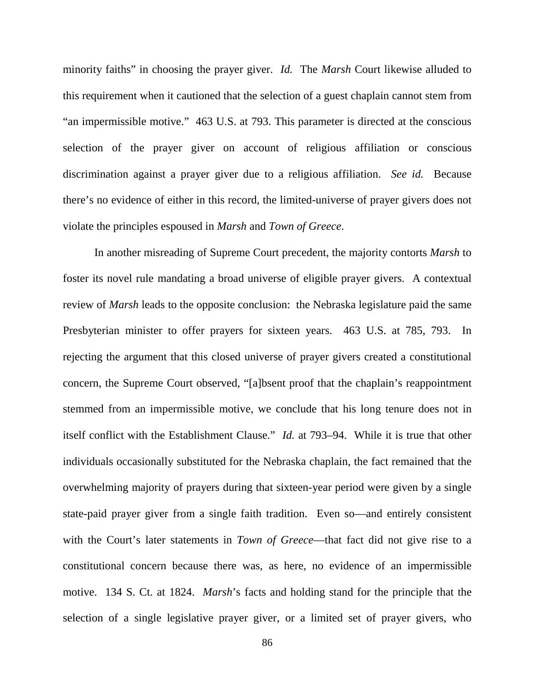minority faiths" in choosing the prayer giver. *Id.* The *Marsh* Court likewise alluded to this requirement when it cautioned that the selection of a guest chaplain cannot stem from "an impermissible motive." 463 U.S. at 793. This parameter is directed at the conscious selection of the prayer giver on account of religious affiliation or conscious discrimination against a prayer giver due to a religious affiliation. *See id.* Because there's no evidence of either in this record, the limited-universe of prayer givers does not violate the principles espoused in *Marsh* and *Town of Greece*.

In another misreading of Supreme Court precedent, the majority contorts *Marsh* to foster its novel rule mandating a broad universe of eligible prayer givers. A contextual review of *Marsh* leads to the opposite conclusion: the Nebraska legislature paid the same Presbyterian minister to offer prayers for sixteen years. 463 U.S. at 785, 793. In rejecting the argument that this closed universe of prayer givers created a constitutional concern, the Supreme Court observed, "[a]bsent proof that the chaplain's reappointment stemmed from an impermissible motive, we conclude that his long tenure does not in itself conflict with the Establishment Clause." *Id.* at 793–94. While it is true that other individuals occasionally substituted for the Nebraska chaplain, the fact remained that the overwhelming majority of prayers during that sixteen-year period were given by a single state-paid prayer giver from a single faith tradition. Even so—and entirely consistent with the Court's later statements in *Town of Greece*—that fact did not give rise to a constitutional concern because there was, as here, no evidence of an impermissible motive. 134 S. Ct. at 1824. *Marsh*'s facts and holding stand for the principle that the selection of a single legislative prayer giver, or a limited set of prayer givers, who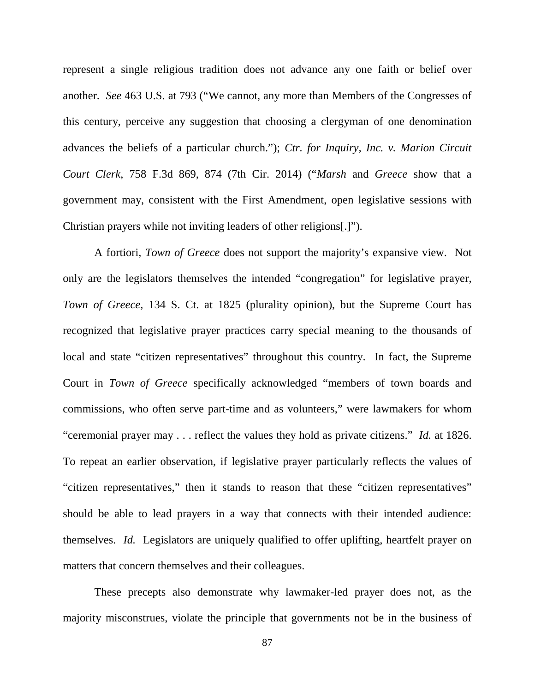represent a single religious tradition does not advance any one faith or belief over another. *See* 463 U.S. at 793 ("We cannot, any more than Members of the Congresses of this century, perceive any suggestion that choosing a clergyman of one denomination advances the beliefs of a particular church."); *Ctr. for Inquiry, Inc. v. Marion Circuit Court Clerk*, 758 F.3d 869, 874 (7th Cir. 2014) ("*Marsh* and *Greece* show that a government may, consistent with the First Amendment, open legislative sessions with Christian prayers while not inviting leaders of other religions[.]").

A fortiori, *Town of Greece* does not support the majority's expansive view. Not only are the legislators themselves the intended "congregation" for legislative prayer, *Town of Greece*, 134 S. Ct. at 1825 (plurality opinion), but the Supreme Court has recognized that legislative prayer practices carry special meaning to the thousands of local and state "citizen representatives" throughout this country. In fact, the Supreme Court in *Town of Greece* specifically acknowledged "members of town boards and commissions, who often serve part-time and as volunteers," were lawmakers for whom "ceremonial prayer may . . . reflect the values they hold as private citizens." *Id.* at 1826. To repeat an earlier observation, if legislative prayer particularly reflects the values of "citizen representatives," then it stands to reason that these "citizen representatives" should be able to lead prayers in a way that connects with their intended audience: themselves. *Id.* Legislators are uniquely qualified to offer uplifting, heartfelt prayer on matters that concern themselves and their colleagues.

These precepts also demonstrate why lawmaker-led prayer does not, as the majority misconstrues, violate the principle that governments not be in the business of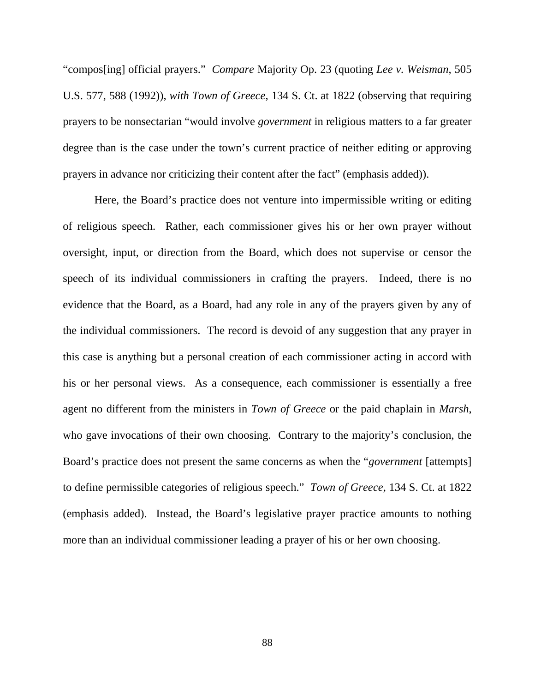"compos[ing] official prayers." *Compare* Majority Op. 23 (quoting *Lee v. Weisman*, 505 U.S. 577, 588 (1992)), *with Town of Greece*, 134 S. Ct. at 1822 (observing that requiring prayers to be nonsectarian "would involve *government* in religious matters to a far greater degree than is the case under the town's current practice of neither editing or approving prayers in advance nor criticizing their content after the fact" (emphasis added)).

Here, the Board's practice does not venture into impermissible writing or editing of religious speech. Rather, each commissioner gives his or her own prayer without oversight, input, or direction from the Board, which does not supervise or censor the speech of its individual commissioners in crafting the prayers. Indeed, there is no evidence that the Board, as a Board, had any role in any of the prayers given by any of the individual commissioners. The record is devoid of any suggestion that any prayer in this case is anything but a personal creation of each commissioner acting in accord with his or her personal views. As a consequence, each commissioner is essentially a free agent no different from the ministers in *Town of Greece* or the paid chaplain in *Marsh*, who gave invocations of their own choosing. Contrary to the majority's conclusion, the Board's practice does not present the same concerns as when the "*government* [attempts] to define permissible categories of religious speech." *Town of Greece*, 134 S. Ct. at 1822 (emphasis added). Instead, the Board's legislative prayer practice amounts to nothing more than an individual commissioner leading a prayer of his or her own choosing.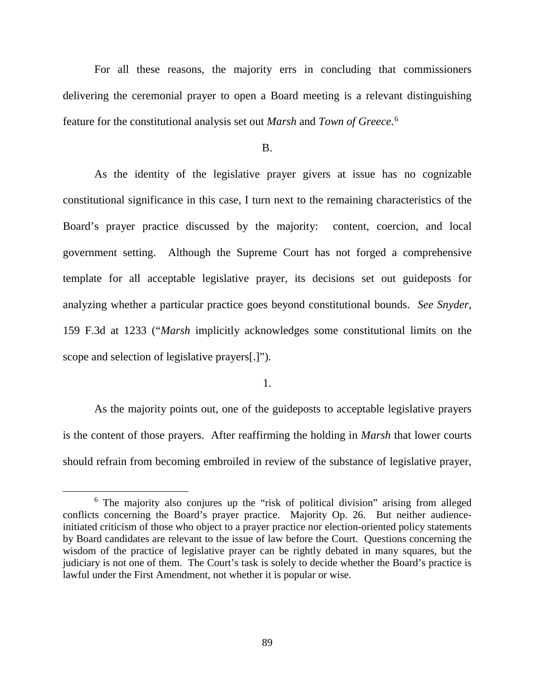For all these reasons, the majority errs in concluding that commissioners delivering the ceremonial prayer to open a Board meeting is a relevant distinguishing feature for the constitutional analysis set out *Marsh* and *Town of Greece*. [6](#page-88-0)

B.

As the identity of the legislative prayer givers at issue has no cognizable constitutional significance in this case, I turn next to the remaining characteristics of the Board's prayer practice discussed by the majority: content, coercion, and local government setting. Although the Supreme Court has not forged a comprehensive template for all acceptable legislative prayer, its decisions set out guideposts for analyzing whether a particular practice goes beyond constitutional bounds. *See Snyder*, 159 F.3d at 1233 ("*Marsh* implicitly acknowledges some constitutional limits on the scope and selection of legislative prayers[.]").

1.

As the majority points out, one of the guideposts to acceptable legislative prayers is the content of those prayers. After reaffirming the holding in *Marsh* that lower courts should refrain from becoming embroiled in review of the substance of legislative prayer,

<span id="page-88-0"></span><sup>6</sup> The majority also conjures up the "risk of political division" arising from alleged conflicts concerning the Board's prayer practice. Majority Op. 26. But neither audienceinitiated criticism of those who object to a prayer practice nor election-oriented policy statements by Board candidates are relevant to the issue of law before the Court. Questions concerning the wisdom of the practice of legislative prayer can be rightly debated in many squares, but the judiciary is not one of them. The Court's task is solely to decide whether the Board's practice is lawful under the First Amendment, not whether it is popular or wise.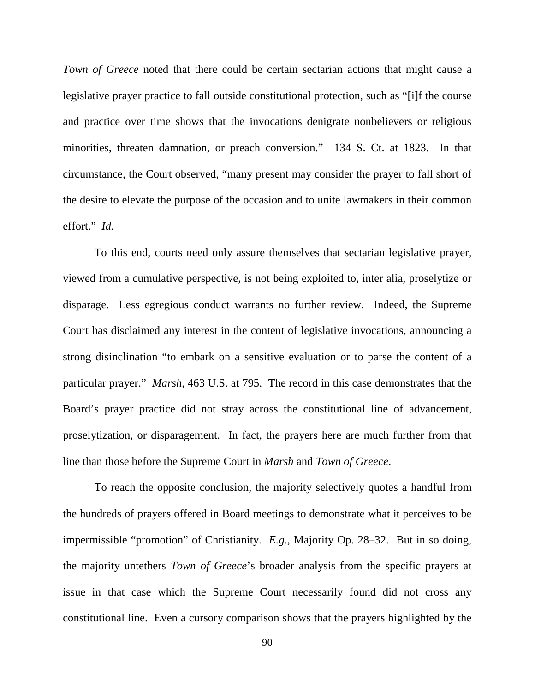*Town of Greece* noted that there could be certain sectarian actions that might cause a legislative prayer practice to fall outside constitutional protection, such as "[i]f the course and practice over time shows that the invocations denigrate nonbelievers or religious minorities, threaten damnation, or preach conversion." 134 S. Ct. at 1823. In that circumstance, the Court observed, "many present may consider the prayer to fall short of the desire to elevate the purpose of the occasion and to unite lawmakers in their common effort." *Id.*

To this end, courts need only assure themselves that sectarian legislative prayer, viewed from a cumulative perspective, is not being exploited to, inter alia, proselytize or disparage. Less egregious conduct warrants no further review. Indeed, the Supreme Court has disclaimed any interest in the content of legislative invocations, announcing a strong disinclination "to embark on a sensitive evaluation or to parse the content of a particular prayer." *Marsh*, 463 U.S. at 795. The record in this case demonstrates that the Board's prayer practice did not stray across the constitutional line of advancement, proselytization, or disparagement. In fact, the prayers here are much further from that line than those before the Supreme Court in *Marsh* and *Town of Greece*.

To reach the opposite conclusion, the majority selectively quotes a handful from the hundreds of prayers offered in Board meetings to demonstrate what it perceives to be impermissible "promotion" of Christianity. *E.g.*, Majority Op. 28–32. But in so doing, the majority untethers *Town of Greece*'s broader analysis from the specific prayers at issue in that case which the Supreme Court necessarily found did not cross any constitutional line. Even a cursory comparison shows that the prayers highlighted by the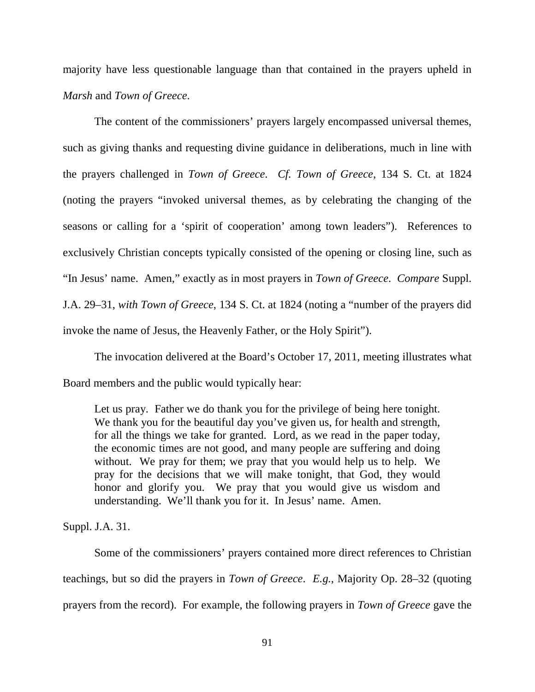majority have less questionable language than that contained in the prayers upheld in *Marsh* and *Town of Greece*.

The content of the commissioners' prayers largely encompassed universal themes, such as giving thanks and requesting divine guidance in deliberations, much in line with the prayers challenged in *Town of Greece*. *Cf. Town of Greece*, 134 S. Ct. at 1824 (noting the prayers "invoked universal themes, as by celebrating the changing of the seasons or calling for a 'spirit of cooperation' among town leaders"). References to exclusively Christian concepts typically consisted of the opening or closing line, such as "In Jesus' name. Amen," exactly as in most prayers in *Town of Greece*. *Compare* Suppl. J.A. 29–31, *with Town of Greece*, 134 S. Ct. at 1824 (noting a "number of the prayers did invoke the name of Jesus, the Heavenly Father, or the Holy Spirit").

The invocation delivered at the Board's October 17, 2011, meeting illustrates what Board members and the public would typically hear:

Let us pray. Father we do thank you for the privilege of being here tonight. We thank you for the beautiful day you've given us, for health and strength, for all the things we take for granted. Lord, as we read in the paper today, the economic times are not good, and many people are suffering and doing without. We pray for them; we pray that you would help us to help. We pray for the decisions that we will make tonight, that God, they would honor and glorify you. We pray that you would give us wisdom and understanding. We'll thank you for it. In Jesus' name. Amen.

Suppl. J.A. 31.

Some of the commissioners' prayers contained more direct references to Christian teachings, but so did the prayers in *Town of Greece*. *E.g.*, Majority Op. 28–32 (quoting prayers from the record). For example, the following prayers in *Town of Greece* gave the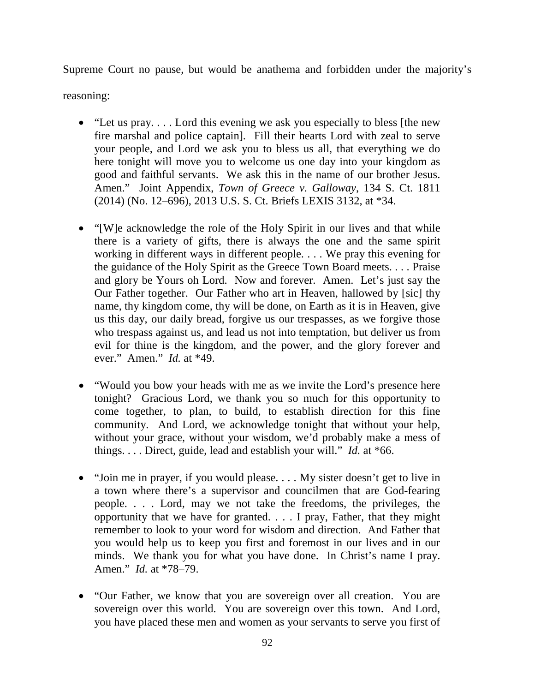Supreme Court no pause, but would be anathema and forbidden under the majority's

reasoning:

- "Let us pray.... Lord this evening we ask you especially to bless [the new fire marshal and police captain]. Fill their hearts Lord with zeal to serve your people, and Lord we ask you to bless us all, that everything we do here tonight will move you to welcome us one day into your kingdom as good and faithful servants. We ask this in the name of our brother Jesus. Amen." Joint Appendix, *Town of Greece v. Galloway*, 134 S. Ct. 1811 (2014) (No. 12–696), 2013 U.S. S. Ct. Briefs LEXIS 3132, at \*34.
- "[W]e acknowledge the role of the Holy Spirit in our lives and that while there is a variety of gifts, there is always the one and the same spirit working in different ways in different people. . . . We pray this evening for the guidance of the Holy Spirit as the Greece Town Board meets. . . . Praise and glory be Yours oh Lord. Now and forever. Amen. Let's just say the Our Father together. Our Father who art in Heaven, hallowed by [sic] thy name, thy kingdom come, thy will be done, on Earth as it is in Heaven, give us this day, our daily bread, forgive us our trespasses, as we forgive those who trespass against us, and lead us not into temptation, but deliver us from evil for thine is the kingdom, and the power, and the glory forever and ever." Amen." *Id.* at \*49.
- "Would you bow your heads with me as we invite the Lord's presence here tonight? Gracious Lord, we thank you so much for this opportunity to come together, to plan, to build, to establish direction for this fine community. And Lord, we acknowledge tonight that without your help, without your grace, without your wisdom, we'd probably make a mess of things. . . . Direct, guide, lead and establish your will." *Id.* at \*66.
- "Join me in prayer, if you would please.... My sister doesn't get to live in a town where there's a supervisor and councilmen that are God-fearing people. . . . Lord, may we not take the freedoms, the privileges, the opportunity that we have for granted. . . . I pray, Father, that they might remember to look to your word for wisdom and direction. And Father that you would help us to keep you first and foremost in our lives and in our minds. We thank you for what you have done. In Christ's name I pray. Amen." *Id.* at \*78–79.
- "Our Father, we know that you are sovereign over all creation. You are sovereign over this world. You are sovereign over this town. And Lord, you have placed these men and women as your servants to serve you first of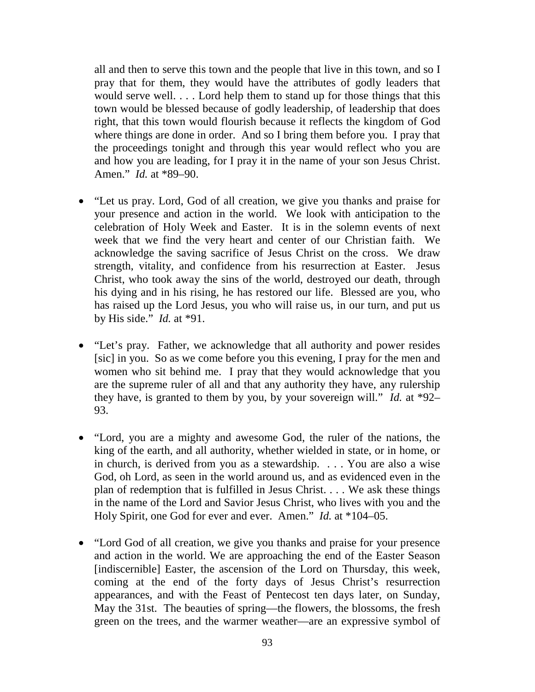all and then to serve this town and the people that live in this town, and so I pray that for them, they would have the attributes of godly leaders that would serve well. . . . Lord help them to stand up for those things that this town would be blessed because of godly leadership, of leadership that does right, that this town would flourish because it reflects the kingdom of God where things are done in order. And so I bring them before you. I pray that the proceedings tonight and through this year would reflect who you are and how you are leading, for I pray it in the name of your son Jesus Christ. Amen." *Id.* at \*89–90.

- "Let us pray. Lord, God of all creation, we give you thanks and praise for your presence and action in the world. We look with anticipation to the celebration of Holy Week and Easter. It is in the solemn events of next week that we find the very heart and center of our Christian faith. We acknowledge the saving sacrifice of Jesus Christ on the cross. We draw strength, vitality, and confidence from his resurrection at Easter. Jesus Christ, who took away the sins of the world, destroyed our death, through his dying and in his rising, he has restored our life. Blessed are you, who has raised up the Lord Jesus, you who will raise us, in our turn, and put us by His side." *Id.* at \*91.
- "Let's pray. Father, we acknowledge that all authority and power resides [sic] in you. So as we come before you this evening, I pray for the men and women who sit behind me. I pray that they would acknowledge that you are the supreme ruler of all and that any authority they have, any rulership they have, is granted to them by you, by your sovereign will." *Id.* at \*92– 93.
- "Lord, you are a mighty and awesome God, the ruler of the nations, the king of the earth, and all authority, whether wielded in state, or in home, or in church, is derived from you as a stewardship. . . . You are also a wise God, oh Lord, as seen in the world around us, and as evidenced even in the plan of redemption that is fulfilled in Jesus Christ. . . . We ask these things in the name of the Lord and Savior Jesus Christ, who lives with you and the Holy Spirit, one God for ever and ever. Amen." *Id.* at \*104–05.
- "Lord God of all creation, we give you thanks and praise for your presence and action in the world. We are approaching the end of the Easter Season [indiscernible] Easter, the ascension of the Lord on Thursday, this week, coming at the end of the forty days of Jesus Christ's resurrection appearances, and with the Feast of Pentecost ten days later, on Sunday, May the 31st. The beauties of spring—the flowers, the blossoms, the fresh green on the trees, and the warmer weather—are an expressive symbol of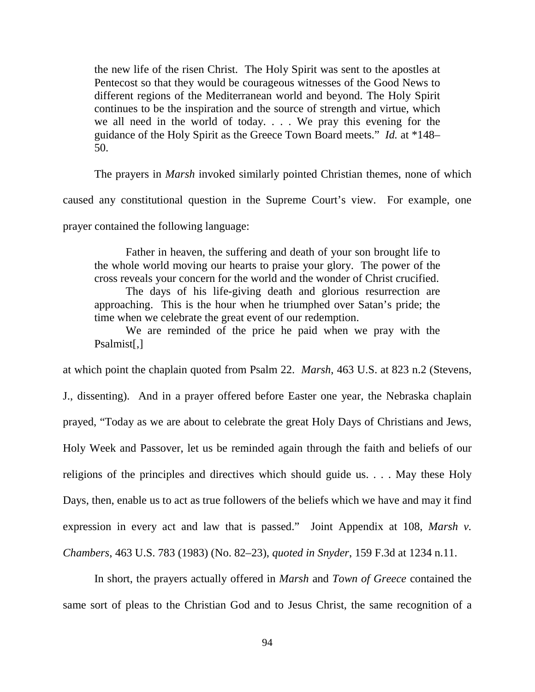the new life of the risen Christ. The Holy Spirit was sent to the apostles at Pentecost so that they would be courageous witnesses of the Good News to different regions of the Mediterranean world and beyond. The Holy Spirit continues to be the inspiration and the source of strength and virtue, which we all need in the world of today. . . . We pray this evening for the guidance of the Holy Spirit as the Greece Town Board meets." *Id.* at \*148– 50.

The prayers in *Marsh* invoked similarly pointed Christian themes, none of which caused any constitutional question in the Supreme Court's view. For example, one prayer contained the following language:

Father in heaven, the suffering and death of your son brought life to the whole world moving our hearts to praise your glory. The power of the cross reveals your concern for the world and the wonder of Christ crucified. The days of his life-giving death and glorious resurrection are approaching. This is the hour when he triumphed over Satan's pride; the time when we celebrate the great event of our redemption.

We are reminded of the price he paid when we pray with the Psalmist[,]

at which point the chaplain quoted from Psalm 22. *Marsh*, 463 U.S. at 823 n.2 (Stevens,

J., dissenting). And in a prayer offered before Easter one year, the Nebraska chaplain prayed, "Today as we are about to celebrate the great Holy Days of Christians and Jews, Holy Week and Passover, let us be reminded again through the faith and beliefs of our religions of the principles and directives which should guide us. . . . May these Holy Days, then, enable us to act as true followers of the beliefs which we have and may it find expression in every act and law that is passed." Joint Appendix at 108, *Marsh v. Chambers*, 463 U.S. 783 (1983) (No. 82–23), *quoted in Snyder*, 159 F.3d at 1234 n.11.

In short, the prayers actually offered in *Marsh* and *Town of Greece* contained the same sort of pleas to the Christian God and to Jesus Christ, the same recognition of a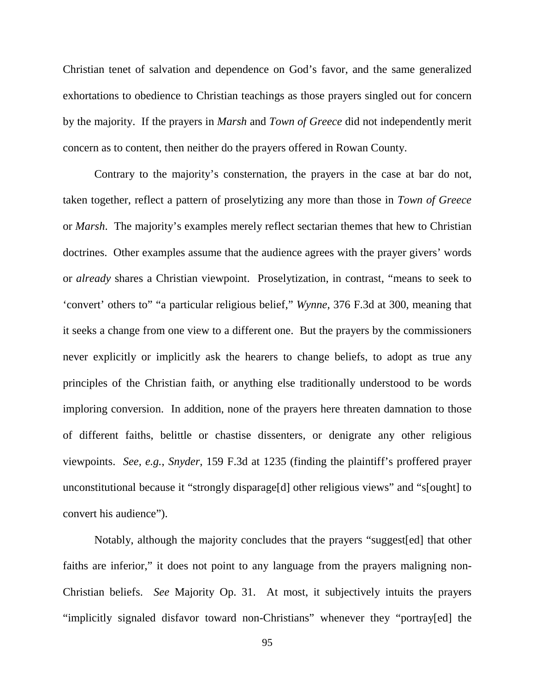Christian tenet of salvation and dependence on God's favor, and the same generalized exhortations to obedience to Christian teachings as those prayers singled out for concern by the majority. If the prayers in *Marsh* and *Town of Greece* did not independently merit concern as to content, then neither do the prayers offered in Rowan County.

Contrary to the majority's consternation, the prayers in the case at bar do not, taken together, reflect a pattern of proselytizing any more than those in *Town of Greece* or *Marsh*. The majority's examples merely reflect sectarian themes that hew to Christian doctrines. Other examples assume that the audience agrees with the prayer givers' words or *already* shares a Christian viewpoint. Proselytization, in contrast, "means to seek to 'convert' others to" "a particular religious belief," *Wynne*, 376 F.3d at 300, meaning that it seeks a change from one view to a different one. But the prayers by the commissioners never explicitly or implicitly ask the hearers to change beliefs, to adopt as true any principles of the Christian faith, or anything else traditionally understood to be words imploring conversion. In addition, none of the prayers here threaten damnation to those of different faiths, belittle or chastise dissenters, or denigrate any other religious viewpoints. *See, e.g.*, *Snyder*, 159 F.3d at 1235 (finding the plaintiff's proffered prayer unconstitutional because it "strongly disparage[d] other religious views" and "s[ought] to convert his audience").

Notably, although the majority concludes that the prayers "suggest[ed] that other faiths are inferior," it does not point to any language from the prayers maligning non-Christian beliefs. *See* Majority Op. 31. At most, it subjectively intuits the prayers "implicitly signaled disfavor toward non-Christians" whenever they "portray[ed] the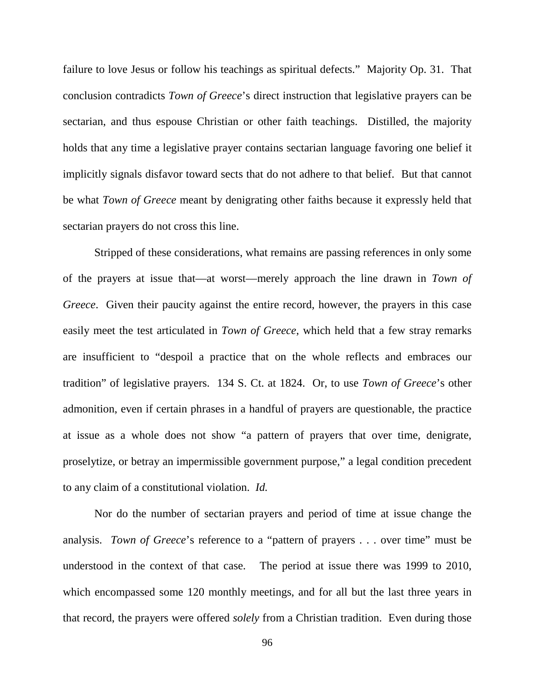failure to love Jesus or follow his teachings as spiritual defects." Majority Op. 31. That conclusion contradicts *Town of Greece*'s direct instruction that legislative prayers can be sectarian, and thus espouse Christian or other faith teachings. Distilled, the majority holds that any time a legislative prayer contains sectarian language favoring one belief it implicitly signals disfavor toward sects that do not adhere to that belief. But that cannot be what *Town of Greece* meant by denigrating other faiths because it expressly held that sectarian prayers do not cross this line.

Stripped of these considerations, what remains are passing references in only some of the prayers at issue that—at worst—merely approach the line drawn in *Town of Greece*. Given their paucity against the entire record, however, the prayers in this case easily meet the test articulated in *Town of Greece*, which held that a few stray remarks are insufficient to "despoil a practice that on the whole reflects and embraces our tradition" of legislative prayers. 134 S. Ct. at 1824. Or, to use *Town of Greece*'s other admonition, even if certain phrases in a handful of prayers are questionable, the practice at issue as a whole does not show "a pattern of prayers that over time, denigrate, proselytize, or betray an impermissible government purpose," a legal condition precedent to any claim of a constitutional violation. *Id.*

Nor do the number of sectarian prayers and period of time at issue change the analysis. *Town of Greece*'s reference to a "pattern of prayers . . . over time" must be understood in the context of that case. The period at issue there was 1999 to 2010, which encompassed some 120 monthly meetings, and for all but the last three years in that record, the prayers were offered *solely* from a Christian tradition. Even during those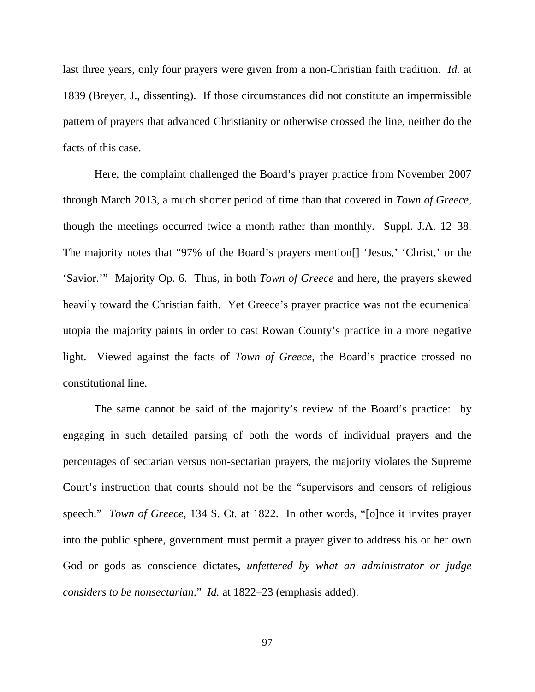last three years, only four prayers were given from a non-Christian faith tradition. *Id.* at 1839 (Breyer, J., dissenting). If those circumstances did not constitute an impermissible pattern of prayers that advanced Christianity or otherwise crossed the line, neither do the facts of this case.

Here, the complaint challenged the Board's prayer practice from November 2007 through March 2013, a much shorter period of time than that covered in *Town of Greece*, though the meetings occurred twice a month rather than monthly. Suppl. J.A. 12–38. The majority notes that "97% of the Board's prayers mention[] 'Jesus,' 'Christ,' or the 'Savior.'" Majority Op. 6. Thus, in both *Town of Greece* and here, the prayers skewed heavily toward the Christian faith. Yet Greece's prayer practice was not the ecumenical utopia the majority paints in order to cast Rowan County's practice in a more negative light. Viewed against the facts of *Town of Greece*, the Board's practice crossed no constitutional line.

The same cannot be said of the majority's review of the Board's practice: by engaging in such detailed parsing of both the words of individual prayers and the percentages of sectarian versus non-sectarian prayers, the majority violates the Supreme Court's instruction that courts should not be the "supervisors and censors of religious speech." *Town of Greece*, 134 S. Ct*.* at 1822. In other words, "[o]nce it invites prayer into the public sphere, government must permit a prayer giver to address his or her own God or gods as conscience dictates, *unfettered by what an administrator or judge considers to be nonsectarian*." *Id.* at 1822–23 (emphasis added).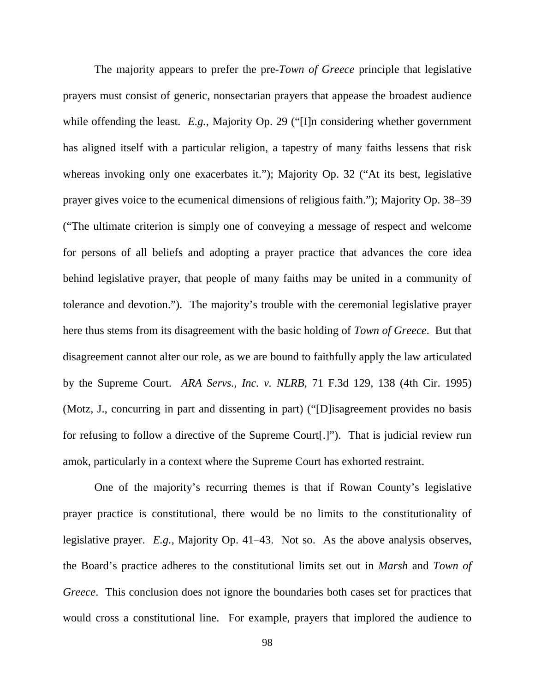The majority appears to prefer the pre-*Town of Greece* principle that legislative prayers must consist of generic, nonsectarian prayers that appease the broadest audience while offending the least. *E.g.*, Majority Op. 29 ("[I]n considering whether government has aligned itself with a particular religion, a tapestry of many faiths lessens that risk whereas invoking only one exacerbates it."); Majority Op. 32 ("At its best, legislative prayer gives voice to the ecumenical dimensions of religious faith."); Majority Op. 38–39 ("The ultimate criterion is simply one of conveying a message of respect and welcome for persons of all beliefs and adopting a prayer practice that advances the core idea behind legislative prayer, that people of many faiths may be united in a community of tolerance and devotion."). The majority's trouble with the ceremonial legislative prayer here thus stems from its disagreement with the basic holding of *Town of Greece*. But that disagreement cannot alter our role, as we are bound to faithfully apply the law articulated by the Supreme Court. *ARA Servs., Inc. v. NLRB*, 71 F.3d 129, 138 (4th Cir. 1995) (Motz, J., concurring in part and dissenting in part) ("[D]isagreement provides no basis for refusing to follow a directive of the Supreme Court[.]"). That is judicial review run amok, particularly in a context where the Supreme Court has exhorted restraint.

One of the majority's recurring themes is that if Rowan County's legislative prayer practice is constitutional, there would be no limits to the constitutionality of legislative prayer. *E.g.*, Majority Op. 41–43. Not so. As the above analysis observes, the Board's practice adheres to the constitutional limits set out in *Marsh* and *Town of Greece*. This conclusion does not ignore the boundaries both cases set for practices that would cross a constitutional line. For example, prayers that implored the audience to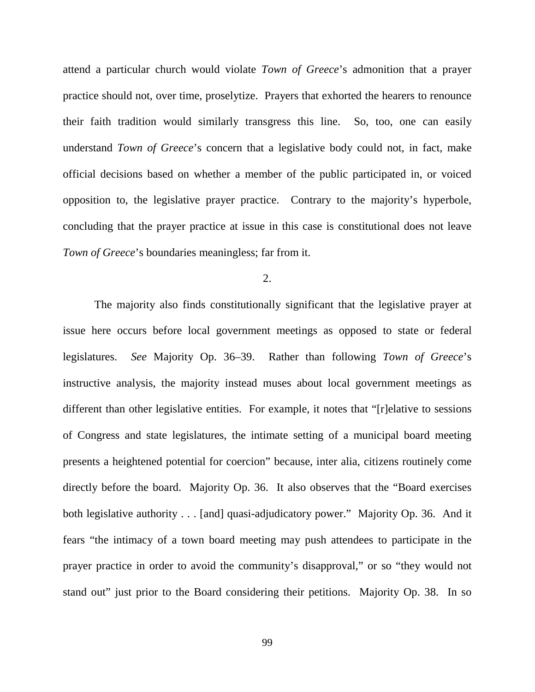attend a particular church would violate *Town of Greece*'s admonition that a prayer practice should not, over time, proselytize. Prayers that exhorted the hearers to renounce their faith tradition would similarly transgress this line. So, too, one can easily understand *Town of Greece*'s concern that a legislative body could not, in fact, make official decisions based on whether a member of the public participated in, or voiced opposition to, the legislative prayer practice. Contrary to the majority's hyperbole, concluding that the prayer practice at issue in this case is constitutional does not leave *Town of Greece*'s boundaries meaningless; far from it.

2.

The majority also finds constitutionally significant that the legislative prayer at issue here occurs before local government meetings as opposed to state or federal legislatures. *See* Majority Op. 36–39. Rather than following *Town of Greece*'s instructive analysis, the majority instead muses about local government meetings as different than other legislative entities. For example, it notes that "[r]elative to sessions of Congress and state legislatures, the intimate setting of a municipal board meeting presents a heightened potential for coercion" because, inter alia, citizens routinely come directly before the board. Majority Op. 36. It also observes that the "Board exercises both legislative authority . . . [and] quasi-adjudicatory power." Majority Op. 36. And it fears "the intimacy of a town board meeting may push attendees to participate in the prayer practice in order to avoid the community's disapproval," or so "they would not stand out" just prior to the Board considering their petitions. Majority Op. 38. In so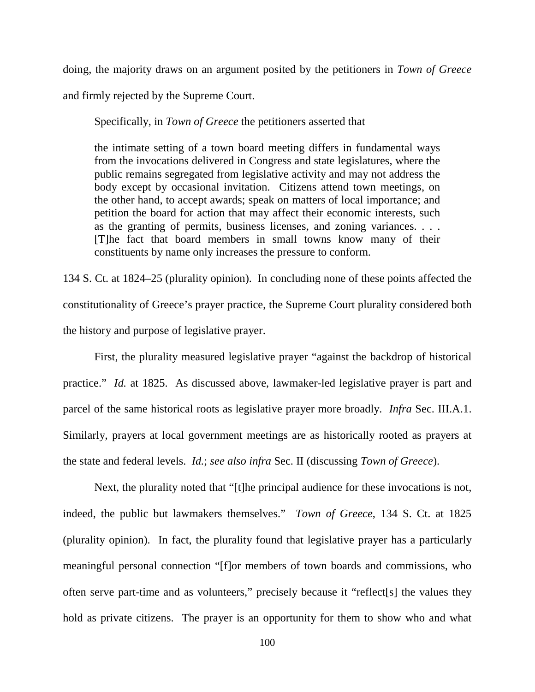doing, the majority draws on an argument posited by the petitioners in *Town of Greece* and firmly rejected by the Supreme Court.

Specifically, in *Town of Greece* the petitioners asserted that

the intimate setting of a town board meeting differs in fundamental ways from the invocations delivered in Congress and state legislatures, where the public remains segregated from legislative activity and may not address the body except by occasional invitation. Citizens attend town meetings, on the other hand, to accept awards; speak on matters of local importance; and petition the board for action that may affect their economic interests, such as the granting of permits, business licenses, and zoning variances. . . . [T]he fact that board members in small towns know many of their constituents by name only increases the pressure to conform.

134 S. Ct. at 1824–25 (plurality opinion). In concluding none of these points affected the constitutionality of Greece's prayer practice, the Supreme Court plurality considered both the history and purpose of legislative prayer.

First, the plurality measured legislative prayer "against the backdrop of historical practice." *Id.* at 1825. As discussed above, lawmaker-led legislative prayer is part and parcel of the same historical roots as legislative prayer more broadly. *Infra* Sec. III.A.1. Similarly, prayers at local government meetings are as historically rooted as prayers at the state and federal levels. *Id.*; *see also infra* Sec. II (discussing *Town of Greece*).

Next, the plurality noted that "[t]he principal audience for these invocations is not, indeed, the public but lawmakers themselves." *Town of Greece*, 134 S. Ct. at 1825 (plurality opinion). In fact, the plurality found that legislative prayer has a particularly meaningful personal connection "[f]or members of town boards and commissions, who often serve part-time and as volunteers," precisely because it "reflect[s] the values they hold as private citizens. The prayer is an opportunity for them to show who and what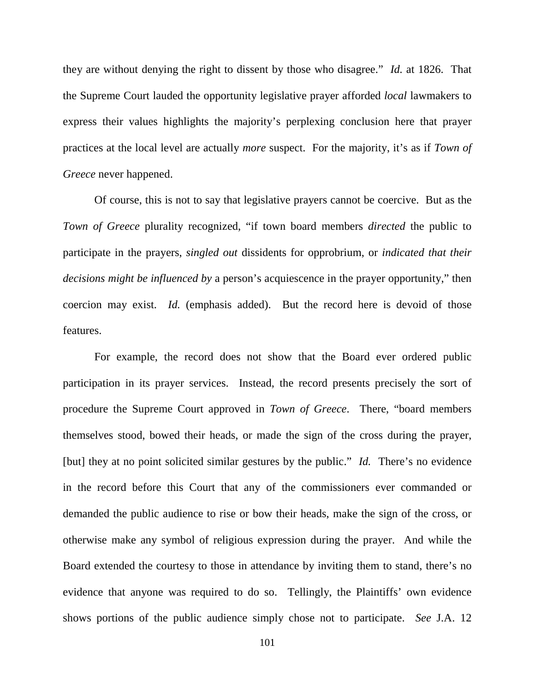they are without denying the right to dissent by those who disagree." *Id.* at 1826. That the Supreme Court lauded the opportunity legislative prayer afforded *local* lawmakers to express their values highlights the majority's perplexing conclusion here that prayer practices at the local level are actually *more* suspect. For the majority, it's as if *Town of Greece* never happened.

Of course, this is not to say that legislative prayers cannot be coercive. But as the *Town of Greece* plurality recognized, "if town board members *directed* the public to participate in the prayers, *singled out* dissidents for opprobrium, or *indicated that their decisions might be influenced by* a person's acquiescence in the prayer opportunity," then coercion may exist. *Id.* (emphasis added). But the record here is devoid of those features.

For example, the record does not show that the Board ever ordered public participation in its prayer services. Instead, the record presents precisely the sort of procedure the Supreme Court approved in *Town of Greece*. There, "board members themselves stood, bowed their heads, or made the sign of the cross during the prayer, [but] they at no point solicited similar gestures by the public." *Id.* There's no evidence in the record before this Court that any of the commissioners ever commanded or demanded the public audience to rise or bow their heads, make the sign of the cross, or otherwise make any symbol of religious expression during the prayer. And while the Board extended the courtesy to those in attendance by inviting them to stand, there's no evidence that anyone was required to do so. Tellingly, the Plaintiffs' own evidence shows portions of the public audience simply chose not to participate. *See* J.A. 12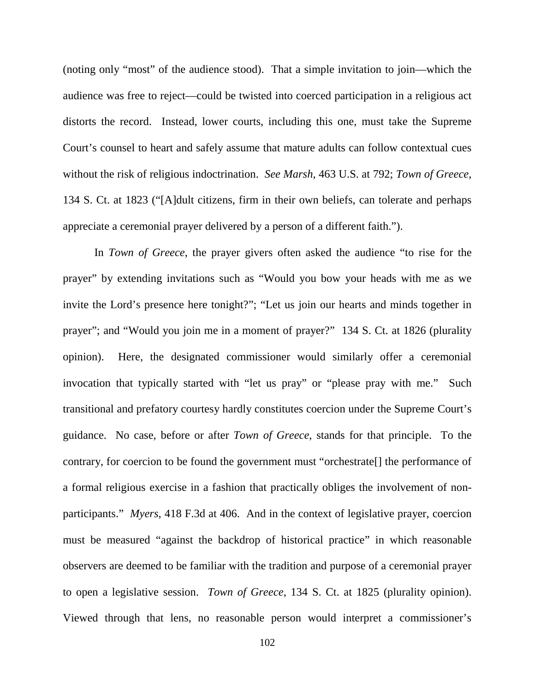(noting only "most" of the audience stood). That a simple invitation to join—which the audience was free to reject—could be twisted into coerced participation in a religious act distorts the record. Instead, lower courts, including this one, must take the Supreme Court's counsel to heart and safely assume that mature adults can follow contextual cues without the risk of religious indoctrination. *See Marsh*, 463 U.S. at 792; *Town of Greece*, 134 S. Ct. at 1823 ("[A]dult citizens, firm in their own beliefs, can tolerate and perhaps appreciate a ceremonial prayer delivered by a person of a different faith.").

In *Town of Greece*, the prayer givers often asked the audience "to rise for the prayer" by extending invitations such as "Would you bow your heads with me as we invite the Lord's presence here tonight?"; "Let us join our hearts and minds together in prayer"; and "Would you join me in a moment of prayer?" 134 S. Ct. at 1826 (plurality opinion). Here, the designated commissioner would similarly offer a ceremonial invocation that typically started with "let us pray" or "please pray with me." Such transitional and prefatory courtesy hardly constitutes coercion under the Supreme Court's guidance. No case, before or after *Town of Greece*, stands for that principle. To the contrary, for coercion to be found the government must "orchestrate[] the performance of a formal religious exercise in a fashion that practically obliges the involvement of nonparticipants." *Myers*, 418 F.3d at 406. And in the context of legislative prayer, coercion must be measured "against the backdrop of historical practice" in which reasonable observers are deemed to be familiar with the tradition and purpose of a ceremonial prayer to open a legislative session. *Town of Greece*, 134 S. Ct. at 1825 (plurality opinion). Viewed through that lens, no reasonable person would interpret a commissioner's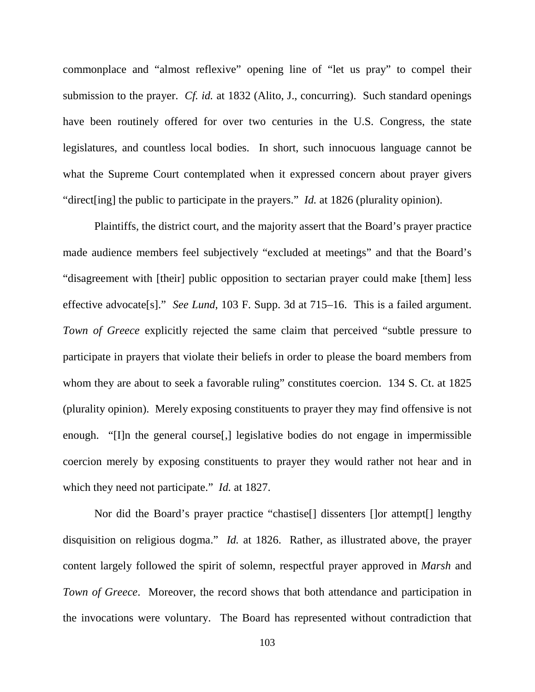commonplace and "almost reflexive" opening line of "let us pray" to compel their submission to the prayer. *Cf. id.* at 1832 (Alito, J., concurring). Such standard openings have been routinely offered for over two centuries in the U.S. Congress, the state legislatures, and countless local bodies. In short, such innocuous language cannot be what the Supreme Court contemplated when it expressed concern about prayer givers "direct[ing] the public to participate in the prayers." *Id.* at 1826 (plurality opinion).

Plaintiffs, the district court, and the majority assert that the Board's prayer practice made audience members feel subjectively "excluded at meetings" and that the Board's "disagreement with [their] public opposition to sectarian prayer could make [them] less effective advocate[s]." *See Lund*, 103 F. Supp. 3d at 715–16. This is a failed argument. *Town of Greece* explicitly rejected the same claim that perceived "subtle pressure to participate in prayers that violate their beliefs in order to please the board members from whom they are about to seek a favorable ruling" constitutes coercion. 134 S. Ct. at 1825 (plurality opinion). Merely exposing constituents to prayer they may find offensive is not enough. "[I]n the general course[,] legislative bodies do not engage in impermissible coercion merely by exposing constituents to prayer they would rather not hear and in which they need not participate." *Id.* at 1827.

Nor did the Board's prayer practice "chastise[] dissenters []or attempt[] lengthy disquisition on religious dogma." *Id.* at 1826. Rather, as illustrated above, the prayer content largely followed the spirit of solemn, respectful prayer approved in *Marsh* and *Town of Greece*. Moreover, the record shows that both attendance and participation in the invocations were voluntary. The Board has represented without contradiction that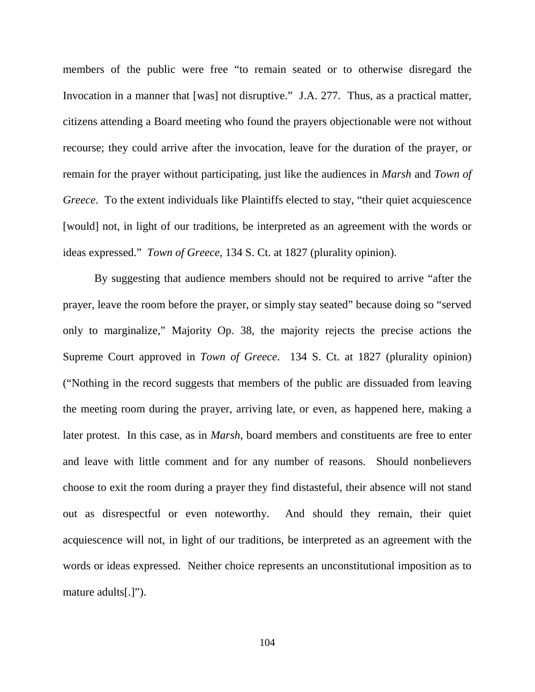members of the public were free "to remain seated or to otherwise disregard the Invocation in a manner that [was] not disruptive." J.A. 277. Thus, as a practical matter, citizens attending a Board meeting who found the prayers objectionable were not without recourse; they could arrive after the invocation, leave for the duration of the prayer, or remain for the prayer without participating, just like the audiences in *Marsh* and *Town of Greece*. To the extent individuals like Plaintiffs elected to stay, "their quiet acquiescence [would] not, in light of our traditions, be interpreted as an agreement with the words or ideas expressed." *Town of Greece*, 134 S. Ct. at 1827 (plurality opinion).

By suggesting that audience members should not be required to arrive "after the prayer, leave the room before the prayer, or simply stay seated" because doing so "served only to marginalize," Majority Op. 38, the majority rejects the precise actions the Supreme Court approved in *Town of Greece*. 134 S. Ct. at 1827 (plurality opinion) ("Nothing in the record suggests that members of the public are dissuaded from leaving the meeting room during the prayer, arriving late, or even, as happened here, making a later protest. In this case, as in *Marsh*, board members and constituents are free to enter and leave with little comment and for any number of reasons. Should nonbelievers choose to exit the room during a prayer they find distasteful, their absence will not stand out as disrespectful or even noteworthy. And should they remain, their quiet acquiescence will not, in light of our traditions, be interpreted as an agreement with the words or ideas expressed. Neither choice represents an unconstitutional imposition as to mature adults[.]").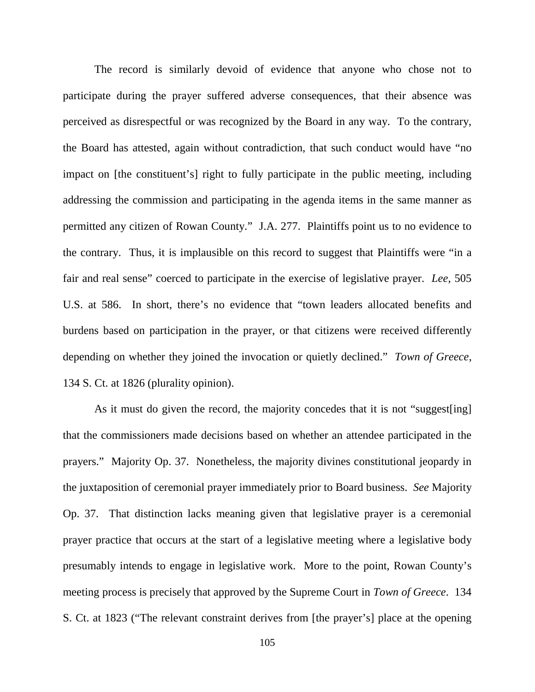The record is similarly devoid of evidence that anyone who chose not to participate during the prayer suffered adverse consequences, that their absence was perceived as disrespectful or was recognized by the Board in any way. To the contrary, the Board has attested, again without contradiction, that such conduct would have "no impact on [the constituent's] right to fully participate in the public meeting, including addressing the commission and participating in the agenda items in the same manner as permitted any citizen of Rowan County." J.A. 277. Plaintiffs point us to no evidence to the contrary. Thus, it is implausible on this record to suggest that Plaintiffs were "in a fair and real sense" coerced to participate in the exercise of legislative prayer. *Lee*, 505 U.S. at 586. In short, there's no evidence that "town leaders allocated benefits and burdens based on participation in the prayer, or that citizens were received differently depending on whether they joined the invocation or quietly declined." *Town of Greece*, 134 S. Ct. at 1826 (plurality opinion).

As it must do given the record, the majority concedes that it is not "suggest[ing] that the commissioners made decisions based on whether an attendee participated in the prayers." Majority Op. 37. Nonetheless, the majority divines constitutional jeopardy in the juxtaposition of ceremonial prayer immediately prior to Board business. *See* Majority Op. 37. That distinction lacks meaning given that legislative prayer is a ceremonial prayer practice that occurs at the start of a legislative meeting where a legislative body presumably intends to engage in legislative work. More to the point, Rowan County's meeting process is precisely that approved by the Supreme Court in *Town of Greece*. 134 S. Ct. at 1823 ("The relevant constraint derives from [the prayer's] place at the opening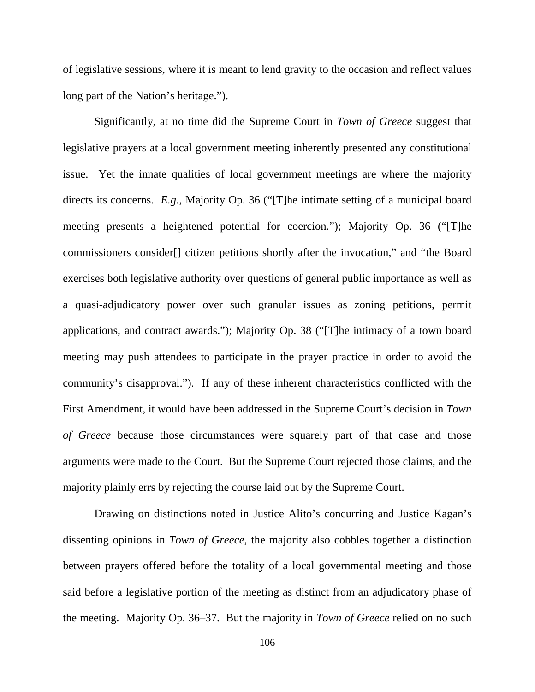of legislative sessions, where it is meant to lend gravity to the occasion and reflect values long part of the Nation's heritage.").

Significantly, at no time did the Supreme Court in *Town of Greece* suggest that legislative prayers at a local government meeting inherently presented any constitutional issue. Yet the innate qualities of local government meetings are where the majority directs its concerns. *E.g.*, Majority Op. 36 ("[T]he intimate setting of a municipal board meeting presents a heightened potential for coercion."); Majority Op. 36 ("[T]he commissioners consider[] citizen petitions shortly after the invocation," and "the Board exercises both legislative authority over questions of general public importance as well as a quasi-adjudicatory power over such granular issues as zoning petitions, permit applications, and contract awards."); Majority Op. 38 ("[T]he intimacy of a town board meeting may push attendees to participate in the prayer practice in order to avoid the community's disapproval."). If any of these inherent characteristics conflicted with the First Amendment, it would have been addressed in the Supreme Court's decision in *Town of Greece* because those circumstances were squarely part of that case and those arguments were made to the Court. But the Supreme Court rejected those claims, and the majority plainly errs by rejecting the course laid out by the Supreme Court.

Drawing on distinctions noted in Justice Alito's concurring and Justice Kagan's dissenting opinions in *Town of Greece*, the majority also cobbles together a distinction between prayers offered before the totality of a local governmental meeting and those said before a legislative portion of the meeting as distinct from an adjudicatory phase of the meeting. Majority Op. 36–37. But the majority in *Town of Greece* relied on no such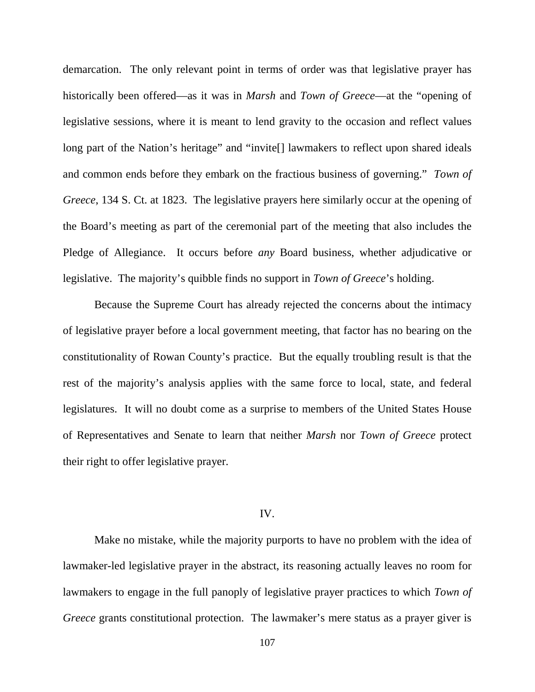demarcation. The only relevant point in terms of order was that legislative prayer has historically been offered—as it was in *Marsh* and *Town of Greece*—at the "opening of legislative sessions, where it is meant to lend gravity to the occasion and reflect values long part of the Nation's heritage" and "invite[] lawmakers to reflect upon shared ideals and common ends before they embark on the fractious business of governing." *Town of Greece*, 134 S. Ct. at 1823. The legislative prayers here similarly occur at the opening of the Board's meeting as part of the ceremonial part of the meeting that also includes the Pledge of Allegiance. It occurs before *any* Board business, whether adjudicative or legislative. The majority's quibble finds no support in *Town of Greece*'s holding.

Because the Supreme Court has already rejected the concerns about the intimacy of legislative prayer before a local government meeting, that factor has no bearing on the constitutionality of Rowan County's practice. But the equally troubling result is that the rest of the majority's analysis applies with the same force to local, state, and federal legislatures. It will no doubt come as a surprise to members of the United States House of Representatives and Senate to learn that neither *Marsh* nor *Town of Greece* protect their right to offer legislative prayer.

## IV.

Make no mistake, while the majority purports to have no problem with the idea of lawmaker-led legislative prayer in the abstract, its reasoning actually leaves no room for lawmakers to engage in the full panoply of legislative prayer practices to which *Town of Greece* grants constitutional protection. The lawmaker's mere status as a prayer giver is